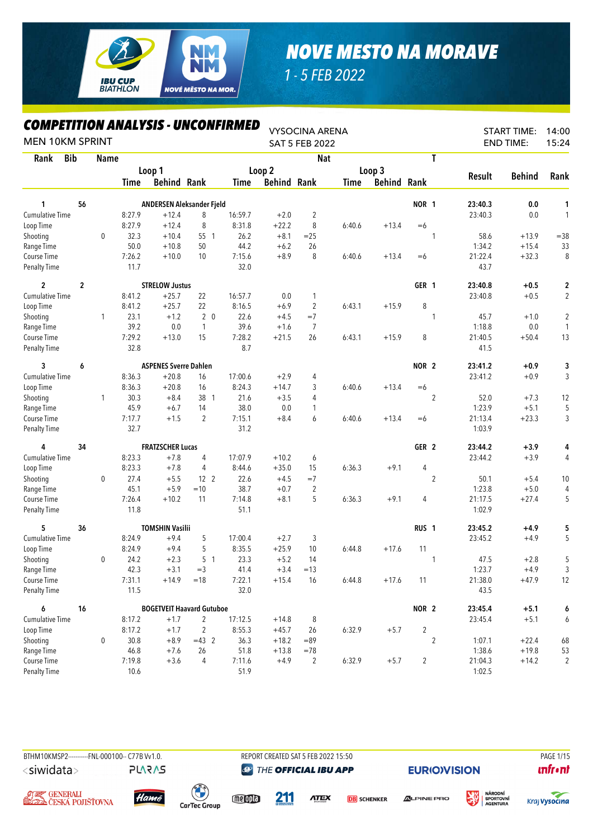

*1 - 5 FEB 2022*

| COMPETITION ANALYSIS - UNCONFIRMED<br><b>MEN 10KM SPRINT</b> |            |             |             |                                  |                 |         |                    | <b>VYSOCINA ARENA</b><br><b>SAT 5 FEB 2022</b> |        |               |                  |                |               | <b>START TIME:</b><br><b>END TIME:</b> | 14:00<br>15:24          |
|--------------------------------------------------------------|------------|-------------|-------------|----------------------------------|-----------------|---------|--------------------|------------------------------------------------|--------|---------------|------------------|----------------|---------------|----------------------------------------|-------------------------|
| Rank                                                         | <b>Bib</b> | <b>Name</b> |             |                                  |                 |         |                    | <b>Nat</b>                                     |        |               |                  | $\mathsf{T}$   |               |                                        |                         |
|                                                              |            |             |             | Loop 1                           |                 |         | Loop 2             |                                                |        | Loop 3        |                  |                |               |                                        |                         |
|                                                              |            |             | <b>Time</b> | <b>Behind Rank</b>               |                 | Time    | <b>Behind Rank</b> |                                                | Time   | <b>Behind</b> | Rank             |                | <b>Result</b> | <b>Behind</b>                          | Rank                    |
| 1                                                            | 56         |             |             | ANDERSEN Aleksander Fjeld        |                 |         |                    |                                                |        |               | NOR 1            |                | 23:40.3       | 0.0                                    | 1                       |
| Cumulative Time                                              |            |             | 8:27.9      | $+12.4$                          | 8               | 16:59.7 | $+2.0$             | $\overline{2}$                                 |        |               |                  |                | 23:40.3       | 0.0                                    | 1                       |
| Loop Time                                                    |            |             | 8:27.9      | $+12.4$                          | 8               | 8:31.8  | $+22.2$            | 8                                              | 6:40.6 | $+13.4$       | $=6$             |                |               |                                        |                         |
| Shooting                                                     |            | $\mathbf 0$ | 32.3        | $+10.4$                          | 55 1            | 26.2    | $+8.1$             | $=25$                                          |        |               |                  | 1              | 58.6          | $+13.9$                                | $= 38$                  |
| Range Time                                                   |            |             | 50.0        | $+10.8$                          | 50              | 44.2    | $+6.2$             | 26                                             |        |               |                  |                | 1:34.2        | $+15.4$                                | 33                      |
| Course Time                                                  |            |             | 7:26.2      | $+10.0$                          | 10              | 7:15.6  | $+8.9$             | 8                                              | 6:40.6 | $+13.4$       | $=6$             |                | 21:22.4       | $+32.3$                                | 8                       |
| <b>Penalty Time</b>                                          |            |             | 11.7        |                                  |                 | 32.0    |                    |                                                |        |               |                  |                | 43.7          |                                        |                         |
| $\mathbf{2}$                                                 | 2          |             |             | <b>STRELOW Justus</b>            |                 |         |                    |                                                |        |               | GER 1            |                | 23:40.8       | $+0.5$                                 | $\overline{c}$          |
| <b>Cumulative Time</b>                                       |            |             | 8:41.2      | $+25.7$                          | 22              | 16:57.7 | 0.0                | 1                                              |        |               |                  |                | 23:40.8       | $+0.5$                                 | $\overline{\mathbf{c}}$ |
| Loop Time                                                    |            |             | 8:41.2      | $+25.7$                          | 22              | 8:16.5  | $+6.9$             | $\overline{c}$                                 | 6:43.1 | $+15.9$       | 8                |                |               |                                        |                         |
| Shooting                                                     |            | 1           | 23.1        | $+1.2$                           | 2 <sub>0</sub>  | 22.6    | $+4.5$             | $=7$                                           |        |               |                  | 1              | 45.7          | $+1.0$                                 | $\overline{c}$          |
| Range Time                                                   |            |             | 39.2        | 0.0                              | $\overline{1}$  | 39.6    | $+1.6$             | $\overline{7}$                                 |        |               |                  |                | 1:18.8        | $0.0\,$                                | 1                       |
| Course Time                                                  |            |             | 7:29.2      | $+13.0$                          | 15              | 7:28.2  | $+21.5$            | 26                                             | 6:43.1 | $+15.9$       | 8                |                | 21:40.5       | $+50.4$                                | 13                      |
| <b>Penalty Time</b>                                          |            |             | 32.8        |                                  |                 | 8.7     |                    |                                                |        |               |                  |                | 41.5          |                                        |                         |
| 3                                                            | 6          |             |             | <b>ASPENES Sverre Dahlen</b>     |                 |         |                    |                                                |        |               | NOR <sub>2</sub> |                | 23:41.2       | $+0.9$                                 | 3                       |
| <b>Cumulative Time</b>                                       |            |             | 8:36.3      | $+20.8$                          | 16              | 17:00.6 | $+2.9$             | 4                                              |        |               |                  |                | 23:41.2       | $+0.9$                                 | 3                       |
| Loop Time                                                    |            |             | 8:36.3      | $+20.8$                          | 16              | 8:24.3  | $+14.7$            | 3                                              | 6:40.6 | $+13.4$       | $=6$             |                |               |                                        |                         |
| Shooting                                                     |            | 1           | 30.3        | $+8.4$                           | 38 1            | 21.6    | $+3.5$             | 4                                              |        |               |                  | $\overline{2}$ | 52.0          | $+7.3$                                 | 12                      |
| Range Time                                                   |            |             | 45.9        | $+6.7$                           | 14              | 38.0    | 0.0                | 1                                              |        |               |                  |                | 1:23.9        | $+5.1$                                 | 5                       |
| Course Time                                                  |            |             | 7:17.7      | $+1.5$                           | $\overline{2}$  | 7:15.1  | $+8.4$             | 6                                              | 6:40.6 | $+13.4$       | $=6$             |                | 21:13.4       | $+23.3$                                | 3                       |
| <b>Penalty Time</b>                                          |            |             | 32.7        |                                  |                 | 31.2    |                    |                                                |        |               |                  |                | 1:03.9        |                                        |                         |
| 4                                                            | 34         |             |             | <b>FRATZSCHER Lucas</b>          |                 |         |                    |                                                |        |               | GER 2            |                | 23:44.2       | $+3.9$                                 | 4                       |
| <b>Cumulative Time</b>                                       |            |             | 8:23.3      | $+7.8$                           | 4               | 17:07.9 | $+10.2$            | 6                                              |        |               |                  |                | 23:44.2       | $+3.9$                                 | 4                       |
| Loop Time                                                    |            |             | 8:23.3      | $+7.8$                           | 4               | 8:44.6  | $+35.0$            | 15                                             | 6:36.3 | $+9.1$        | 4                |                |               |                                        |                         |
| Shooting                                                     |            | $\mathbf 0$ | 27.4        | $+5.5$                           | 12 <sup>2</sup> | 22.6    | $+4.5$             | $=7$                                           |        |               |                  | $\overline{2}$ | 50.1          | $+5.4$                                 | 10                      |
| Range Time                                                   |            |             | 45.1        | $+5.9$                           | $=10$           | 38.7    | $+0.7$             | $\overline{2}$                                 |        |               |                  |                | 1:23.8        | $+5.0$                                 | 4                       |
| Course Time                                                  |            |             | 7:26.4      | $+10.2$                          | 11              | 7:14.8  | $+8.1$             | 5                                              | 6:36.3 | $+9.1$        | 4                |                | 21:17.5       | $+27.4$                                | 5                       |
| <b>Penalty Time</b>                                          |            |             | 11.8        |                                  |                 | 51.1    |                    |                                                |        |               |                  |                | 1:02.9        |                                        |                         |
| 5                                                            | 36         |             |             | <b>TOMSHIN Vasilii</b>           |                 |         |                    |                                                |        |               | RUS <sub>1</sub> |                | 23:45.2       | +4.9                                   | 5                       |
| Cumulative Time                                              |            |             | 8:24.9      | $+9.4$                           | 5               | 17:00.4 | $+2.7$             | 3                                              |        |               |                  |                | 23:45.2       | $+4.9$                                 | 5                       |
| Loop Time                                                    |            |             | 8:24.9      | $+9.4$                           | 5               | 8:35.5  | $+25.9$            | 10                                             | 6:44.8 | $+17.6$       | 11               |                |               |                                        |                         |
| Shooting                                                     |            | 0           | 24.2        | $+2.3$                           | 5 <sub>1</sub>  | 23.3    | $+5.2$             | 14                                             |        |               |                  | 1              | 47.5          | $+2.8$                                 | 5                       |
| Range Time                                                   |            |             | 42.3        | $+3.1$                           | $=$ 3           | 41.4    | $+3.4$             | $=13$                                          |        |               |                  |                | 1:23.7        | $+4.9$                                 | 3                       |
| Course Time                                                  |            |             | 7:31.1      | $+14.9$                          | $=18$           | 7:22.1  | $+15.4$            | 16                                             | 6:44.8 | $+17.6$       | 11               |                | 21:38.0       | $+47.9$                                | 12                      |
| <b>Penalty Time</b>                                          |            |             | 11.5        |                                  |                 | 32.0    |                    |                                                |        |               |                  |                | 43.5          |                                        |                         |
| 6                                                            | 16         |             |             | <b>BOGETVEIT Haavard Gutuboe</b> |                 |         |                    |                                                |        |               | NOR 2            |                | 23:45.4       | $+5.1$                                 | 6                       |
| <b>Cumulative Time</b>                                       |            |             | 8:17.2      | $+1.7$                           | $\overline{2}$  | 17:12.5 | $+14.8$            | 8                                              |        |               |                  |                | 23:45.4       | $+5.1$                                 | 6                       |
| Loop Time                                                    |            |             | 8:17.2      | $+1.7$                           | 2               | 8:55.3  | $+45.7$            | 26                                             | 6:32.9 | $+5.7$        | 2                |                |               |                                        |                         |
| Shooting                                                     |            | 0           | 30.8        | $+8.9$                           | $=43$ 2         | 36.3    | $+18.2$            | $= 89$                                         |        |               |                  | $\overline{2}$ | 1:07.1        | $+22.4$                                | 68                      |
| Range Time                                                   |            |             | 46.8        | $+7.6$                           | 26              | 51.8    | $+13.8$            | $=78$                                          |        |               |                  |                | 1:38.6        | $+19.8$                                | 53                      |
| Course Time                                                  |            |             | 7:19.8      | $+3.6$                           | 4               | 7:11.6  | $+4.9$             | $\overline{2}$                                 | 6:32.9 | $+5.7$        | $\overline{c}$   |                | 21:04.3       | $+14.2$                                | $\overline{c}$          |
| <b>Penalty Time</b>                                          |            |             | 10.6        |                                  |                 | 51.9    |                    |                                                |        |               |                  |                | 1:02.5        |                                        |                         |

<siwidata>

BTHM10KMSP2----------FNL-000100-- C77B Vv1.0. REPORT CREATED SAT 5 FEB 2022 15:50 PAGE 1/15 **@** THE OFFICIAL IBU APP

**EURIO)VISION** 









**PLARAS** 

 $\binom{6}{1}$ **CarTec Group** 

meople

211 **ATEX**  **DB** SCHENKER



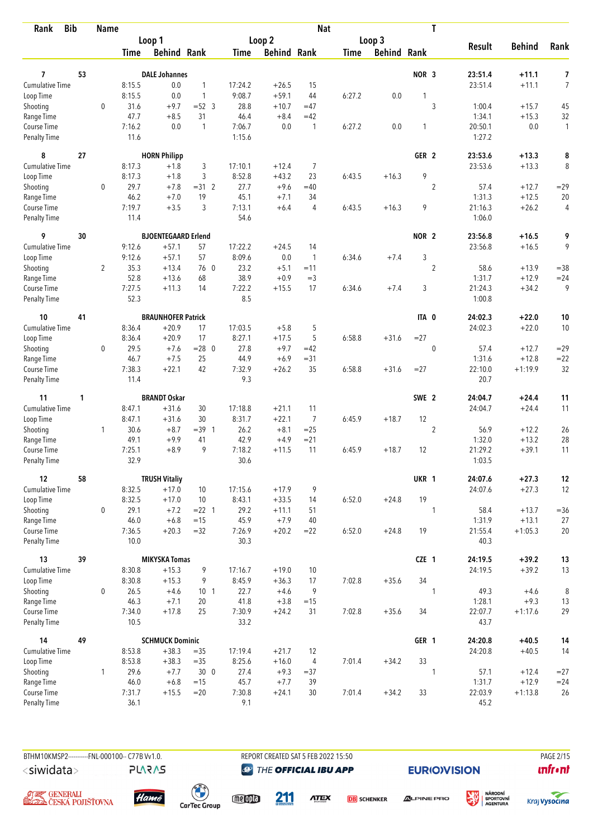| <b>Bib</b><br>Rank                 |    | <b>Name</b>    |              |                            |                 |                |                    | <b>Nat</b>     |        |                    |                  | T              |                   |                    |                    |
|------------------------------------|----|----------------|--------------|----------------------------|-----------------|----------------|--------------------|----------------|--------|--------------------|------------------|----------------|-------------------|--------------------|--------------------|
|                                    |    |                |              | Loop 1                     |                 |                | Loop <sub>2</sub>  |                |        | Loop 3             |                  |                |                   |                    |                    |
|                                    |    |                | <b>Time</b>  | <b>Behind Rank</b>         |                 | Time           | <b>Behind Rank</b> |                | Time   | <b>Behind Rank</b> |                  |                | <b>Result</b>     | <b>Behind</b>      | Rank               |
|                                    |    |                |              |                            |                 |                |                    |                |        |                    |                  |                |                   |                    |                    |
| 7                                  | 53 |                |              | <b>DALE Johannes</b>       |                 |                |                    |                |        |                    | NOR <sub>3</sub> |                | 23:51.4           | $+11.1$            | 7                  |
| <b>Cumulative Time</b>             |    |                | 8:15.5       | 0.0                        | $\mathbf{1}$    | 17:24.2        | $+26.5$            | 15             |        |                    |                  |                | 23:51.4           | $+11.1$            | 7                  |
| Loop Time                          |    |                | 8:15.5       | 0.0                        | $\mathbf{1}$    | 9:08.7         | $+59.1$            | 44             | 6:27.2 | 0.0                | 1                |                |                   |                    |                    |
| Shooting                           |    | $\mathbf 0$    | 31.6<br>47.7 | $+9.7$<br>$+8.5$           | $=52$ 3<br>31   | 28.8           | $+10.7$            | $=47$<br>$=42$ |        |                    |                  | 3              | 1:00.4<br>1:34.1  | $+15.7$<br>$+15.3$ | 45                 |
| Range Time                         |    |                | 7:16.2       | 0.0                        | $\mathbf{1}$    | 46.4<br>7:06.7 | $+8.4$<br>0.0      | $\mathbf{1}$   |        |                    | $\mathbf{1}$     |                |                   |                    | 32<br>$\mathbf{1}$ |
| Course Time<br><b>Penalty Time</b> |    |                | 11.6         |                            |                 | 1:15.6         |                    |                | 6:27.2 | 0.0                |                  |                | 20:50.1<br>1:27.2 | $0.0\,$            |                    |
| 8                                  | 27 |                |              | <b>HORN Philipp</b>        |                 |                |                    |                |        |                    | GER <sub>2</sub> |                | 23:53.6           | $+13.3$            | 8                  |
| <b>Cumulative Time</b>             |    |                | 8:17.3       | $+1.8$                     | 3               | 17:10.1        | $+12.4$            | 7              |        |                    |                  |                | 23:53.6           | $+13.3$            | 8                  |
| Loop Time                          |    |                | 8:17.3       | $+1.8$                     | 3               | 8:52.8         | $+43.2$            | 23             | 6:43.5 | $+16.3$            | 9                |                |                   |                    |                    |
| Shooting                           |    | 0              | 29.7         | $+7.8$                     | $=31.2$         | 27.7           | $+9.6$             | $=40$          |        |                    |                  | $\overline{2}$ | 57.4              | $+12.7$            | $=29$              |
| Range Time                         |    |                | 46.2         | $+7.0$                     | 19              | 45.1           | $+7.1$             | 34             |        |                    |                  |                | 1:31.3            | $+12.5$            | 20                 |
| Course Time                        |    |                | 7:19.7       | $+3.5$                     | 3               | 7:13.1         | $+6.4$             | 4              | 6:43.5 | $+16.3$            | 9                |                | 21:16.3           | $+26.2$            | 4                  |
| <b>Penalty Time</b>                |    |                | 11.4         |                            |                 | 54.6           |                    |                |        |                    |                  |                | 1:06.0            |                    |                    |
| 9                                  | 30 |                |              | <b>BJOENTEGAARD Erlend</b> |                 |                |                    |                |        |                    | NOR <sub>2</sub> |                | 23:56.8           | $+16.5$            | 9                  |
| Cumulative Time                    |    |                | 9:12.6       | $+57.1$                    | 57              | 17:22.2        | $+24.5$            | 14             |        |                    |                  |                | 23:56.8           | $+16.5$            | 9                  |
| Loop Time                          |    |                | 9:12.6       | $+57.1$                    | 57              | 8:09.6         | 0.0                | $\mathbf{1}$   | 6:34.6 | $+7.4$             | 3                |                |                   |                    |                    |
| Shooting                           |    | $\overline{2}$ | 35.3         | $+13.4$                    | 76 0            | 23.2           | $+5.1$             | $=11$          |        |                    |                  | $\overline{2}$ | 58.6              | $+13.9$            | $=38$              |
| Range Time                         |    |                | 52.8         | $+13.6$                    | 68              | 38.9           | $+0.9$             | $=$ 3          |        |                    |                  |                | 1:31.7            | $+12.9$            | $= 24$             |
| Course Time                        |    |                | 7:27.5       | $+11.3$                    | 14              | 7:22.2         | $+15.5$            | 17             | 6:34.6 | $+7.4$             | 3                |                | 21:24.3           | $+34.2$            | 9                  |
| <b>Penalty Time</b>                |    |                | 52.3         |                            |                 | 8.5            |                    |                |        |                    |                  |                | 1:00.8            |                    |                    |
| 10                                 | 41 |                |              | <b>BRAUNHOFER Patrick</b>  |                 |                |                    |                |        |                    | ITA 0            |                | 24:02.3           | $+22.0$            | 10                 |
| Cumulative Time                    |    |                | 8:36.4       | $+20.9$                    | 17              | 17:03.5        | $+5.8$             | 5              |        |                    |                  |                | 24:02.3           | $+22.0$            | 10                 |
| Loop Time                          |    |                | 8:36.4       | $+20.9$                    | 17              | 8:27.1         | $+17.5$            | 5              | 6:58.8 | $+31.6$            | $= 27$           |                |                   |                    |                    |
| Shooting                           |    | 0              | 29.5         | $+7.6$                     | $= 28$ 0        | 27.8           | $+9.7$             | $=42$          |        |                    |                  | $\pmb{0}$      | 57.4              | $+12.7$            | $= 29$             |
| Range Time                         |    |                | 46.7         | $+7.5$                     | 25              | 44.9           | $+6.9$             | $= 31$         |        |                    |                  |                | 1:31.6            | $+12.8$            | $= 22$             |
| Course Time                        |    |                | 7:38.3       | $+22.1$                    | 42              | 7:32.9         | $+26.2$            | 35             | 6:58.8 | $+31.6$            | $= 27$           |                | 22:10.0           | $+1:19.9$          | 32                 |
| <b>Penalty Time</b>                |    |                | 11.4         |                            |                 | 9.3            |                    |                |        |                    |                  |                | 20.7              |                    |                    |
| 11                                 | 1  |                |              | <b>BRANDT Oskar</b>        |                 |                |                    |                |        |                    | SWE 2            |                | 24:04.7           | $+24.4$            | 11                 |
| Cumulative Time                    |    |                | 8:47.1       | $+31.6$                    | 30              | 17:18.8        | $+21.1$            | 11             |        |                    |                  |                | 24:04.7           | $+24.4$            | 11                 |
| Loop Time                          |    |                | 8:47.1       | $+31.6$                    | 30              | 8:31.7         | $+22.1$            | $\overline{7}$ | 6:45.9 | $+18.7$            | 12               |                |                   |                    |                    |
| Shooting                           |    | 1              | 30.6         | $+8.7$                     | $=39$ 1         | 26.2           | $+8.1$             | $=25$          |        |                    |                  | $\overline{2}$ | 56.9              | $+12.2$            | 26                 |
| Range Time                         |    |                | 49.1         | $+9.9$                     | 41              | 42.9           | $+4.9$             | $= 21$         |        |                    |                  |                | 1:32.0            | $+13.2$            | 28                 |
| Course Time                        |    |                | 7:25.1       | $+8.9$                     | 9               | 7:18.2         | $+11.5$            | 11             | 6:45.9 | $+18.7$            | 12               |                | 21:29.2           | $+39.1$            | 11                 |
| <b>Penalty Time</b>                |    |                | 32.9         |                            |                 | 30.6           |                    |                |        |                    |                  |                | 1:03.5            |                    |                    |
| 12                                 | 58 |                |              | <b>TRUSH Vitaliy</b>       |                 |                |                    |                |        |                    | UKR 1            |                | 24:07.6           | $+27.3$            | $12\,$             |
| Cumulative Time                    |    |                | 8:32.5       | $+17.0$                    | 10              | 17:15.6        | $+17.9$            | 9              |        |                    |                  |                | 24:07.6           | $+27.3$            | 12                 |
| Loop Time                          |    |                | 8:32.5       | $+17.0$                    | 10              | 8:43.1         | $+33.5$            | 14             | 6:52.0 | $+24.8$            | 19               |                |                   |                    |                    |
| Shooting                           |    | 0              | 29.1         | $+7.2$                     | $= 22 \quad 1$  | 29.2           | $+11.1$            | 51             |        |                    |                  | $\mathbf{1}$   | 58.4              | $+13.7$            | $= 36$             |
| Range Time                         |    |                | 46.0         | $+6.8$                     | $=15$           | 45.9           | $+7.9$             | 40             |        |                    |                  |                | 1:31.9            | $+13.1$            | 27                 |
| Course Time                        |    |                | 7:36.5       | $+20.3$                    | $=32$           | 7:26.9         | $+20.2$            | $=22$          | 6:52.0 | $+24.8$            | 19               |                | 21:55.4           | $+1:05.3$          | 20                 |
| Penalty Time                       |    |                | 10.0         |                            |                 | 30.3           |                    |                |        |                    |                  |                | 40.3              |                    |                    |
| 13                                 | 39 |                |              | <b>MIKYSKA Tomas</b>       |                 |                |                    |                |        |                    | CZE 1            |                | 24:19.5           | $+39.2$            | 13                 |
| <b>Cumulative Time</b>             |    |                | 8:30.8       | $+15.3$                    | 9               | 17:16.7        | $+19.0$            | 10             |        |                    |                  |                | 24:19.5           | $+39.2$            | 13                 |
| Loop Time                          |    |                | 8:30.8       | $+15.3$                    | 9               | 8:45.9         | $+36.3$            | 17             | 7:02.8 | $+35.6$            | 34               |                |                   |                    |                    |
| Shooting                           |    | $\mathbf 0$    | 26.5         | $+4.6$                     | 10 <sub>1</sub> | 22.7           | $+4.6$             | 9              |        |                    |                  | $\mathbf{1}$   | 49.3              | $+4.6$             | $\, 8$             |
| Range Time                         |    |                | 46.3         | $+7.1$                     | 20              | 41.8           | $+3.8$             | $=15$          |        |                    |                  |                | 1:28.1            | $+9.3$             | 13                 |
| Course Time                        |    |                | 7:34.0       | $+17.8$                    | 25              | 7:30.9         | $+24.2$            | 31             | 7:02.8 | $+35.6$            | 34               |                | 22:07.7           | $+1:17.6$          | 29                 |
| Penalty Time                       |    |                | 10.5         |                            |                 | 33.2           |                    |                |        |                    |                  |                | 43.7              |                    |                    |
| 14                                 | 49 |                |              | <b>SCHMUCK Dominic</b>     |                 |                |                    |                |        |                    | GER 1            |                | 24:20.8           | $+40.5$            | 14                 |
| Cumulative Time                    |    |                | 8:53.8       | $+38.3$                    | $=35$           | 17:19.4        | $+21.7$            | 12             |        |                    |                  |                | 24:20.8           | $+40.5$            | 14                 |
| Loop Time                          |    |                | 8:53.8       | $+38.3$                    | $=35$           | 8:25.6         | $+16.0$            | $\overline{4}$ | 7:01.4 | $+34.2$            | 33               |                |                   |                    |                    |
| Shooting                           |    | $\mathbf{1}$   | 29.6         | $+7.7$                     | 300             | 27.4           | $+9.3$             | $= 37$         |        |                    |                  | 1              | 57.1              | $+12.4$            | $= 27$             |
| Range Time                         |    |                | 46.0         | $+6.8$                     | $=15$           | 45.7           | $+7.7$             | 39             |        |                    |                  |                | 1:31.7            | $+12.9$            | $= 24$             |
| Course Time                        |    |                | 7:31.7       | $+15.5$                    | $=20$           | 7:30.8         | $+24.1$            | 30             | 7:01.4 | $+34.2$            | 33               |                | 22:03.9           | $+1:13.8$          | 26                 |
| Penalty Time                       |    |                | 36.1         |                            |                 | 9.1            |                    |                |        |                    |                  |                | 45.2              |                    |                    |



BTHM10KMSP2----------FNL-000100-- C77B Vv1.0. REPORT CREATED SAT 5 FEB 2022 15:50 PAGE 2015

**@** THE OFFICIAL IBU APP

**EURIO)VISION** 

姿







**PLARAS** 

 $\begin{pmatrix} 1 \\ 1 \end{pmatrix}$ <br>CarTec Group meona

211

**ATEX** 

**DB** SCHENKER



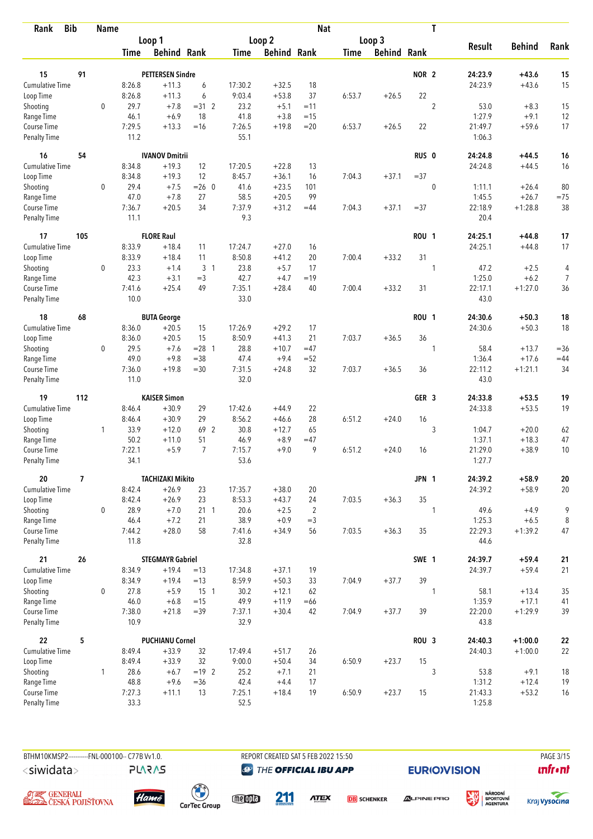| <b>Bib</b><br>Rank          |     | <b>Name</b>  |                |                         |                |                |                    | <b>Nat</b>     |             |                    |                  | T              |                 |                  |                |
|-----------------------------|-----|--------------|----------------|-------------------------|----------------|----------------|--------------------|----------------|-------------|--------------------|------------------|----------------|-----------------|------------------|----------------|
|                             |     |              |                | Loop 1                  |                |                | Loop 2             |                |             | Loop 3             |                  |                |                 |                  |                |
|                             |     |              | <b>Time</b>    | <b>Behind Rank</b>      |                | Time           | <b>Behind Rank</b> |                | <b>Time</b> | <b>Behind Rank</b> |                  |                | <b>Result</b>   | <b>Behind</b>    | Rank           |
|                             |     |              |                |                         |                |                |                    |                |             |                    | NOR <sub>2</sub> |                |                 |                  |                |
| 15                          | 91  |              |                | <b>PETTERSEN Sindre</b> |                |                |                    |                |             |                    |                  |                | 24:23.9         | $+43.6$          | 15             |
| Cumulative Time             |     |              | 8:26.8         | $+11.3$                 | 6              | 17:30.2        | $+32.5$            | 18             |             |                    |                  |                | 24:23.9         | $+43.6$          | 15             |
| Loop Time                   |     |              | 8:26.8         | $+11.3$                 | 6              | 9:03.4         | $+53.8$            | 37             | 6:53.7      | $+26.5$            | 22               |                |                 |                  |                |
| Shooting                    |     | 0            | 29.7           | $+7.8$<br>$+6.9$        | $=31$ 2<br>18  | 23.2           | $+5.1$             | $=11$<br>$=15$ |             |                    |                  | $\overline{2}$ | 53.0<br>1:27.9  | $+8.3$<br>$+9.1$ | 15             |
| Range Time<br>Course Time   |     |              | 46.1<br>7:29.5 | $+13.3$                 | $=16$          | 41.8<br>7:26.5 | $+3.8$<br>$+19.8$  | $= 20$         | 6:53.7      | $+26.5$            | 22               |                | 21:49.7         | $+59.6$          | 12<br>17       |
| Penalty Time                |     |              | 11.2           |                         |                | 55.1           |                    |                |             |                    |                  |                | 1:06.3          |                  |                |
| 16                          | 54  |              |                | <b>IVANOV Dmitrii</b>   |                |                |                    |                |             |                    | RUS <sub>0</sub> |                | 24:24.8         | +44.5            | 16             |
| <b>Cumulative Time</b>      |     |              | 8:34.8         | $+19.3$                 | 12             | 17:20.5        | $+22.8$            | 13             |             |                    |                  |                | 24:24.8         | $+44.5$          | 16             |
| Loop Time                   |     |              | 8:34.8         | $+19.3$                 | 12             | 8:45.7         | $+36.1$            | 16             | 7:04.3      | $+37.1$            | $= 37$           |                |                 |                  |                |
| Shooting                    |     | 0            | 29.4           | $+7.5$                  | $= 26$ 0       | 41.6           | $+23.5$            | 101            |             |                    |                  | $\mathbf 0$    | 1:11.1          | $+26.4$          | 80             |
| Range Time                  |     |              | 47.0           | $+7.8$                  | 27             | 58.5           | $+20.5$            | 99             |             |                    |                  |                | 1:45.5          | $+26.7$          | $=75$          |
| Course Time                 |     |              | 7:36.7         | $+20.5$                 | 34             | 7:37.9         | $+31.2$            | $=44$          | 7:04.3      | $+37.1$            | $= 37$           |                | 22:18.9         | $+1:28.8$        | 38             |
| <b>Penalty Time</b>         |     |              | 11.1           |                         |                | 9.3            |                    |                |             |                    |                  |                | 20.4            |                  |                |
| 17                          | 105 |              |                | <b>FLORE Raul</b>       |                |                |                    |                |             |                    | <b>ROU 1</b>     |                | 24:25.1         | +44.8            | 17             |
| <b>Cumulative Time</b>      |     |              | 8:33.9         | $+18.4$                 | 11             | 17:24.7        | $+27.0$            | 16             |             |                    |                  |                | 24:25.1         | $+44.8$          | 17             |
| Loop Time                   |     |              | 8:33.9         | $+18.4$                 | 11             | 8:50.8         | $+41.2$            | 20             | 7:00.4      | $+33.2$            | 31               |                |                 |                  |                |
| Shooting                    |     | 0            | 23.3           | $+1.4$                  | 3 <sub>1</sub> | 23.8           | $+5.7$             | 17             |             |                    |                  | 1              | 47.2            | $+2.5$           | $\overline{4}$ |
| Range Time                  |     |              | 42.3           | $+3.1$                  | $=$ 3          | 42.7           | $+4.7$             | $=19$          |             |                    |                  |                | 1:25.0          | $+6.2$           | 7              |
| Course Time                 |     |              | 7:41.6         | $+25.4$                 | 49             | 7:35.1         | $+28.4$            | 40             | 7:00.4      | $+33.2$            | 31               |                | 22:17.1         | $+1:27.0$        | 36             |
| Penalty Time                |     |              | 10.0           |                         |                | 33.0           |                    |                |             |                    |                  |                | 43.0            |                  |                |
| 18                          | 68  |              |                | <b>BUTA George</b>      |                |                |                    |                |             |                    | <b>ROU 1</b>     |                | 24:30.6         | $+50.3$          | 18             |
| <b>Cumulative Time</b>      |     |              | 8:36.0         | $+20.5$                 | 15             | 17:26.9        | $+29.2$            | 17             |             |                    |                  |                | 24:30.6         | $+50.3$          | 18             |
| Loop Time                   |     |              | 8:36.0         | $+20.5$                 | 15             | 8:50.9         | $+41.3$            | 21             | 7:03.7      | $+36.5$            | 36               |                |                 |                  |                |
| Shooting                    |     | 0            | 29.5           | $+7.6$                  | $= 28$ 1       | 28.8           | $+10.7$            | $=47$          |             |                    |                  | 1              | 58.4            | $+13.7$          | $= 36$         |
| Range Time                  |     |              | 49.0           | $+9.8$                  | $= 38$         | 47.4           | $+9.4$             | $= 52$         |             |                    |                  |                | 1:36.4          | $+17.6$          | $=44$          |
| Course Time                 |     |              | 7:36.0         | $+19.8$                 | $= 30$         | 7:31.5         | $+24.8$            | 32             | 7:03.7      | $+36.5$            | 36               |                | 22:11.2         | $+1:21.1$        | 34             |
| <b>Penalty Time</b>         |     |              | 11.0           |                         |                | 32.0           |                    |                |             |                    |                  |                | 43.0            |                  |                |
| 19                          | 112 |              |                | <b>KAISER Simon</b>     |                |                |                    |                |             |                    | GER <sub>3</sub> |                | 24:33.8         | $+53.5$          | 19             |
| <b>Cumulative Time</b>      |     |              | 8:46.4         | $+30.9$                 | 29             | 17:42.6        | $+44.9$            | 22             |             |                    |                  |                | 24:33.8         | $+53.5$          | 19             |
| Loop Time                   |     |              | 8:46.4         | $+30.9$                 | 29             | 8:56.2         | $+46.6$            | 28             | 6:51.2      | $+24.0$            | 16               |                |                 |                  |                |
| Shooting                    |     | $\mathbf{1}$ | 33.9           | $+12.0$                 | 69 2           | 30.8           | $+12.7$            | 65             |             |                    |                  | 3              | 1:04.7          | $+20.0$          | 62             |
| Range Time                  |     |              | 50.2           | $+11.0$                 | 51             | 46.9           | $+8.9$             | $=47$          |             |                    |                  |                | 1:37.1          | $+18.3$          | 47             |
| Course Time                 |     |              | 7:22.1         | $+5.9$                  | $\overline{7}$ | 7:15.7         | $+9.0$             | 9              | 6:51.2      | $+24.0$            | 16               |                | 21:29.0         | $+38.9$          | 10             |
| <b>Penalty Time</b>         |     |              | 34.1           |                         |                | 53.6           |                    |                |             |                    |                  |                | 1:27.7          |                  |                |
| 20                          | 7   |              |                | <b>TACHIZAKI Mikito</b> |                |                |                    |                |             |                    | JPN 1            |                | 24:39.2         | $+58.9$          | ${\bf 20}$     |
| <b>Cumulative Time</b>      |     |              | 8:42.4         | $+26.9$                 | 23             | 17:35.7        | $+38.0$            | 20             |             |                    |                  |                | 24:39.2         | $+58.9$          | 20             |
| Loop Time                   |     |              | 8:42.4         | $+26.9$                 | 23             | 8:53.3         | $+43.7$            | 24             | 7:03.5      | $+36.3$            | 35               |                |                 |                  |                |
| Shooting                    |     | 0            | 28.9           | $+7.0$                  | $21 \t1$       | 20.6           | $+2.5$             | $\overline{2}$ |             |                    |                  | 1              | 49.6            | $+4.9$           | 9              |
| Range Time                  |     |              | 46.4           | $+7.2$                  | 21             | 38.9           | $+0.9$             | $=3$           |             |                    |                  |                | 1:25.3          | $+6.5$           | 8              |
| Course Time<br>Penalty Time |     |              | 7:44.2<br>11.8 | $+28.0$                 | 58             | 7:41.6<br>32.8 | $+34.9$            | 56             | 7:03.5      | $+36.3$            | 35               |                | 22:29.3<br>44.6 | $+1:39.2$        | 47             |
| 21                          | 26  |              |                | <b>STEGMAYR Gabriel</b> |                |                |                    |                |             |                    | SWE 1            |                | 24:39.7         | $+59.4$          | 21             |
| <b>Cumulative Time</b>      |     |              | 8:34.9         | $+19.4$                 | $=13$          | 17:34.8        | $+37.1$            | 19             |             |                    |                  |                | 24:39.7         | $+59.4$          | 21             |
| Loop Time                   |     |              | 8:34.9         | $+19.4$                 | $=13$          | 8:59.9         | $+50.3$            | 33             | 7:04.9      | $+37.7$            | 39               |                |                 |                  |                |
| Shooting                    |     | 0            | 27.8           | $+5.9$                  | $15-1$         | 30.2           | $+12.1$            | 62             |             |                    |                  | 1              | 58.1            | $+13.4$          | 35             |
| Range Time                  |     |              | 46.0           | $+6.8$                  | $=15$          | 49.9           | $+11.9$            | $=66$          |             |                    |                  |                | 1:35.9          | $+17.1$          | 41             |
| Course Time                 |     |              | 7:38.0         | $+21.8$                 | $=39$          | 7:37.1         | $+30.4$            | 42             | 7:04.9      | $+37.7$            | 39               |                | 22:20.0         | $+1:29.9$        | 39             |
| <b>Penalty Time</b>         |     |              | 10.9           |                         |                | 32.9           |                    |                |             |                    |                  |                | 43.8            |                  |                |
| 22                          | 5   |              |                | <b>PUCHIANU Cornel</b>  |                |                |                    |                |             |                    | ROU <sub>3</sub> |                | 24:40.3         | $+1:00.0$        | 22             |
| <b>Cumulative Time</b>      |     |              | 8:49.4         | $+33.9$                 | 32             | 17:49.4        | $+51.7$            | 26             |             |                    |                  |                | 24:40.3         | $+1:00.0$        | 22             |
| Loop Time                   |     |              | 8:49.4         | $+33.9$                 | 32             | 9:00.0         | $+50.4$            | 34             | 6:50.9      | $+23.7$            | 15               |                |                 |                  |                |
| Shooting                    |     | $\mathbf{1}$ | 28.6           | $+6.7$                  | $= 19$ 2       | 25.2           | $+7.1$             | 21             |             |                    |                  | 3              | 53.8            | $+9.1$           | 18             |
| Range Time                  |     |              | 48.8           | $+9.6$                  | $=36$          | 42.4           | $+4.4$             | 17             |             |                    |                  |                | 1:31.2          | $+12.4$          | 19             |
| Course Time                 |     |              | 7:27.3         | $+11.1$                 | 13             | 7:25.1         | $+18.4$            | 19             | 6:50.9      | $+23.7$            | 15               |                | 21:43.3         | $+53.2$          | 16             |
| <b>Penalty Time</b>         |     |              | 33.3           |                         |                | 52.5           |                    |                |             |                    |                  |                | 1:25.8          |                  |                |



REPORT CREATED SAT 5 FEB 2022 15:50 **@** THE OFFICIAL IBU APP

**EURIO)VISION** 

PAGE 3/15 **unfront** 





**PLARAS** 

 $\begin{pmatrix} 1 \\ 1 \end{pmatrix}$ <br>CarTec Group



211 **ATEX** 

**DB** SCHENKER



姿

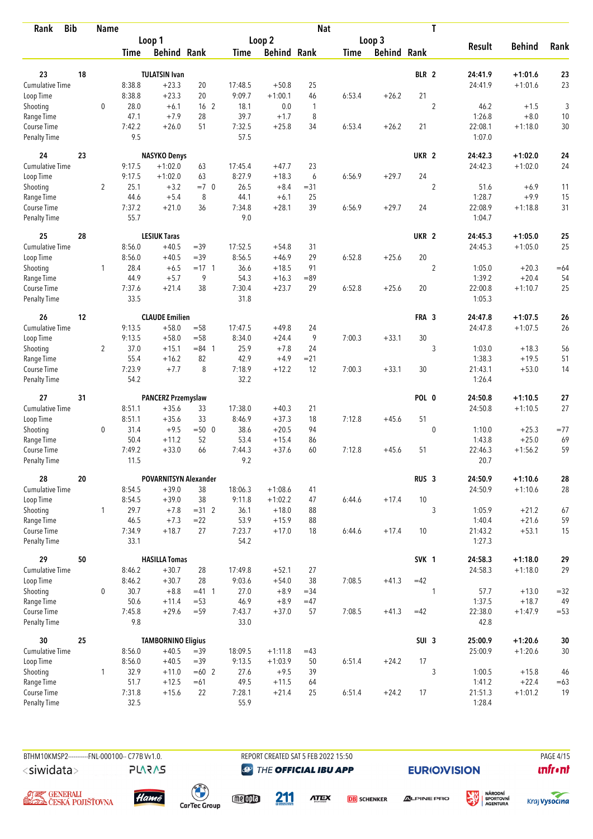| Loop 2<br>Loop 3<br>Loop 1<br><b>Result</b><br><b>Behind</b><br>Rank<br><b>Behind Rank</b><br><b>Behind Rank</b><br><b>Behind Rank</b><br><b>Time</b><br>Time<br>Time<br>BLR 2<br>23<br>18<br><b>TULATSIN Ivan</b><br>24:41.9<br>$+1:01.6$<br>23<br><b>Cumulative Time</b><br>8:38.8<br>$+23.3$<br>20<br>17:48.5<br>25<br>23<br>$+50.8$<br>24:41.9<br>$+1:01.6$<br>21<br>8:38.8<br>$+23.3$<br>20<br>9:09.7<br>$+1:00.1$<br>6:53.4<br>$+26.2$<br>Loop Time<br>46<br>$\overline{2}$<br>3<br>$\mathbf 0$<br>28.0<br>16 <sub>2</sub><br>18.1<br>0.0<br>46.2<br>$+6.1$<br>$\mathbf{1}$<br>$+1.5$<br>Shooting<br>47.1<br>$+7.9$<br>28<br>39.7<br>$+1.7$<br>8<br>1:26.8<br>$+8.0$<br>10<br>Range Time<br>7:42.2<br>51<br>7:32.5<br>$+25.8$<br>34<br>6:53.4<br>$+26.2$<br>21<br>22:08.1<br>$+1:18.0$<br>Course Time<br>$+26.0$<br>9.5<br>57.5<br>1:07.0<br><b>Penalty Time</b><br>24<br>23<br>UKR <sub>2</sub><br>24<br><b>NASYKO Denys</b><br>24:42.3<br>$+1:02.0$<br>23<br>9:17.5<br>$+1:02.0$<br>17:45.4<br>$+47.7$<br>$+1:02.0$<br>24<br>Cumulative Time<br>63<br>24:42.3<br>24<br>9:17.5<br>$+1:02.0$<br>63<br>8:27.9<br>$+18.3$<br>6<br>6:56.9<br>$+29.7$<br>Loop Time<br>$\overline{2}$<br>$\overline{2}$<br>25.1<br>$+3.2$<br>$=7.0$<br>26.5<br>Shooting<br>$+8.4$<br>$= 31$<br>51.6<br>$+6.9$<br>11<br>$+5.4$<br>8<br>44.1<br>25<br>1:28.7<br>$+9.9$<br>15<br>Range Time<br>44.6<br>$+6.1$<br>7:37.2<br>$+21.0$<br>36<br>7:34.8<br>$+28.1$<br>39<br>6:56.9<br>$+29.7$<br>24<br>22:08.9<br>$+1:18.8$<br>31<br>Course Time<br>55.7<br>9.0<br>1:04.7<br><b>Penalty Time</b><br>25<br>28<br><b>LESIUK Taras</b><br>UKR <sub>2</sub><br>$+1:05.0$<br>25<br>24:45.3<br>25<br><b>Cumulative Time</b><br>8:56.0<br>$+40.5$<br>$=39$<br>17:52.5<br>$+54.8$<br>31<br>24:45.3<br>$+1:05.0$<br>20<br>8:56.0<br>$+40.5$<br>8:56.5<br>29<br>6:52.8<br>$+25.6$<br>Loop Time<br>$=39$<br>$+46.9$<br>$\overline{c}$<br>28.4<br>$+6.5$<br>$= 17 \quad 1$<br>36.6<br>91<br>Shooting<br>$\mathbf{1}$<br>$+18.5$<br>1:05.0<br>$+20.3$<br>$=64$<br>44.9<br>$+5.7$<br>9<br>54.3<br>1:39.2<br>$+20.4$<br>54<br>Range Time<br>$+16.3$<br>$=89$<br>7:37.6<br>38<br>7:30.4<br>29<br>$+25.6$<br>20<br>22:00.8<br>$+1:10.7$<br>25<br>$+21.4$<br>$+23.7$<br>6:52.8<br>Course Time<br>33.5<br>31.8<br>1:05.3<br><b>Penalty Time</b><br>12<br><b>CLAUDE Emilien</b><br>FRA 3<br>26<br>24:47.8<br>$+1:07.5$<br>26<br>9:13.5<br>$+58.0$<br>$= 58$<br>26<br><b>Cumulative Time</b><br>17:47.5<br>$+49.8$<br>24<br>24:47.8<br>$+1:07.5$<br>9<br>9:13.5<br>$+58.0$<br>$= 58$<br>8:34.0<br>7:00.3<br>30<br>Loop Time<br>$+24.4$<br>$+33.1$<br>$\overline{2}$<br>37.0<br>$+15.1$<br>25.9<br>$+7.8$<br>3<br>56<br>$= 84$ 1<br>24<br>1:03.0<br>$+18.3$<br>Shooting<br>55.4<br>$+16.2$<br>82<br>42.9<br>1:38.3<br>$+19.5$<br>51<br>$+4.9$<br>$= 21$<br>Range Time<br>7:23.9<br>8<br>$+7.7$<br>7:18.9<br>$+12.2$<br>12<br>7:00.3<br>30<br>$+53.0$<br>Course Time<br>$+33.1$<br>21:43.1<br>14<br>54.2<br>32.2<br>1:26.4<br><b>Penalty Time</b><br>27<br>31<br><b>PANCERZ Przemyslaw</b><br>POL 0<br>24:50.8<br>27<br>$+1:10.5$<br>$+35.6$<br>$+1:10.5$<br>27<br><b>Cumulative Time</b><br>8:51.1<br>33<br>17:38.0<br>$+40.3$<br>21<br>24:50.8<br>8:51.1<br>33<br>8:46.9<br>18<br>7:12.8<br>51<br>Loop Time<br>$+35.6$<br>$+37.3$<br>$+45.6$<br>31.4<br>$+9.5$<br>$=500$<br>38.6<br>$+20.5$<br>94<br>$\mathbf 0$<br>0<br>1:10.0<br>$+25.3$<br>$= 77$<br>Shooting<br>50.4<br>$+15.4$<br>$+25.0$<br>69<br>Range Time<br>$+11.2$<br>52<br>53.4<br>86<br>1:43.8<br>7:49.2<br>66<br>60<br>51<br>59<br>Course Time<br>$+33.0$<br>7:44.3<br>$+37.6$<br>7:12.8<br>$+45.6$<br>22:46.3<br>$+1:56.2$<br>11.5<br>9.2<br>20.7<br><b>Penalty Time</b><br>28<br>20<br><b>POVARNITSYN Alexander</b><br>RUS <sub>3</sub><br>24:50.9<br>$+1:10.6$<br>Cumulative Time<br>8:54.5<br>$+39.0$<br>38<br>18:06.3<br>$+1:08.6$<br>24:50.9<br>$+1:10.6$<br>41<br>8:54.5<br>$+39.0$<br>38<br>9:11.8<br>$+1:02.2$<br>6:44.6<br>10<br>Loop Time<br>47<br>$+17.4$<br>29.7<br>$+18.0$<br>3<br>1:05.9<br>Shooting<br>$\mathbf{1}$<br>$+7.8$<br>$=31$ 2<br>36.1<br>88<br>$+21.2$<br>67<br>59<br>46.5<br>$+7.3$<br>$=22$<br>53.9<br>$+15.9$<br>88<br>1:40.4<br>$+21.6$<br>Range Time<br>27<br>Course Time<br>7:34.9<br>$+18.7$<br>7:23.7<br>10<br>21:43.2<br>$+53.1$<br>$+17.0$<br>18<br>6:44.6<br>$+17.4$<br>54.2<br>33.1<br>1:27.3<br>Penalty Time<br>29<br>50<br><b>HASILLA Tomas</b><br>SVK 1<br>24:58.3<br>$+1:18.0$<br>Cumulative Time<br>$+30.7$<br>28<br>17:49.8<br>$+52.1$<br>27<br>$+1:18.0$<br>8:46.2<br>24:58.3<br>8:46.2<br>$+30.7$<br>28<br>9:03.6<br>$+54.0$<br>38<br>7:08.5<br>$+41.3$<br>$=42$<br>Loop Time<br>30.7<br>0<br>$+8.8$<br>$= 41$ 1<br>27.0<br>$+8.9$<br>$= 34$<br>57.7<br>$= 32$<br>Shooting<br>$\mathbf{1}$<br>$+13.0$<br>50.6<br>$+11.4$<br>$= 53$<br>46.9<br>$+8.9$<br>1:37.5<br>$+18.7$<br>49<br>Range Time<br>$=47$<br>Course Time<br>7:45.8<br>7:08.5<br>$+41.3$<br>22:38.0<br>$+29.6$<br>$= 59$<br>7:43.7<br>$+37.0$<br>57<br>$=42$<br>$+1:47.9$<br>$= 53$<br>9.8<br>33.0<br>42.8<br>Penalty Time<br>30<br>25<br><b>TAMBORNINO Eligius</b><br>SUI <sub>3</sub><br>25:00.9<br>$+1:20.6$<br><b>Cumulative Time</b><br>8:56.0<br>$+40.5$<br>18:09.5<br>$+1:11.8$<br>$=43$<br>25:00.9<br>$+1:20.6$<br>$=39$<br>$+40.5$<br>17<br>8:56.0<br>$=39$<br>9:13.5<br>$+1:03.9$<br>50<br>6:51.4<br>$+24.2$<br>Loop Time<br>$\mathbf{1}$<br>32.9<br>$+11.0$<br>27.6<br>39<br>3<br>1:00.5<br>$+15.8$<br>46<br>Shooting<br>$=60$ 2<br>$+9.5$<br>51.7<br>$+12.5$<br>49.5<br>1:41.2<br>$+22.4$<br>Range Time<br>$=61$<br>$+11.5$<br>64<br>7:31.8<br>22<br>7:28.1<br>$+21.4$<br>$+24.2$<br>17<br>21:51.3<br>19<br>Course Time<br>$+15.6$<br>25<br>6:51.4<br>$+1:01.2$<br>32.5<br><b>Penalty Time</b><br>55.9<br>1:28.4 | <b>Bib</b><br>Rank | <b>Name</b> |  |  | <b>Nat</b> |  | T |  |  |
|-----------------------------------------------------------------------------------------------------------------------------------------------------------------------------------------------------------------------------------------------------------------------------------------------------------------------------------------------------------------------------------------------------------------------------------------------------------------------------------------------------------------------------------------------------------------------------------------------------------------------------------------------------------------------------------------------------------------------------------------------------------------------------------------------------------------------------------------------------------------------------------------------------------------------------------------------------------------------------------------------------------------------------------------------------------------------------------------------------------------------------------------------------------------------------------------------------------------------------------------------------------------------------------------------------------------------------------------------------------------------------------------------------------------------------------------------------------------------------------------------------------------------------------------------------------------------------------------------------------------------------------------------------------------------------------------------------------------------------------------------------------------------------------------------------------------------------------------------------------------------------------------------------------------------------------------------------------------------------------------------------------------------------------------------------------------------------------------------------------------------------------------------------------------------------------------------------------------------------------------------------------------------------------------------------------------------------------------------------------------------------------------------------------------------------------------------------------------------------------------------------------------------------------------------------------------------------------------------------------------------------------------------------------------------------------------------------------------------------------------------------------------------------------------------------------------------------------------------------------------------------------------------------------------------------------------------------------------------------------------------------------------------------------------------------------------------------------------------------------------------------------------------------------------------------------------------------------------------------------------------------------------------------------------------------------------------------------------------------------------------------------------------------------------------------------------------------------------------------------------------------------------------------------------------------------------------------------------------------------------------------------------------------------------------------------------------------------------------------------------------------------------------------------------------------------------------------------------------------------------------------------------------------------------------------------------------------------------------------------------------------------------------------------------------------------------------------------------------------------------------------------------------------------------------------------------------------------------------------------------------------------------------------------------------------------------------------------------------------------------------------------------------------------------------------------------------------------------------------------------------------------------------------------------------------------------------------------------------------------------------------------------------------------------------------------------------------------------------------------------------------------------------------------------------------------------------------------------------------------------------------------------------------------------------------------------------------------------------------------------------------------------------------------------------------------------------------------------------------------------------------------------------------------------------------------------------------------------------------------------------------------------------------------------------------------------------------------------------------------------------------------------------------------------------------------------------------------------------------------------------------------------------------------------------------------------------------------------------------------------------------------------------------------------------------------------------------------------------------------------------------------|--------------------|-------------|--|--|------------|--|---|--|--|
|                                                                                                                                                                                                                                                                                                                                                                                                                                                                                                                                                                                                                                                                                                                                                                                                                                                                                                                                                                                                                                                                                                                                                                                                                                                                                                                                                                                                                                                                                                                                                                                                                                                                                                                                                                                                                                                                                                                                                                                                                                                                                                                                                                                                                                                                                                                                                                                                                                                                                                                                                                                                                                                                                                                                                                                                                                                                                                                                                                                                                                                                                                                                                                                                                                                                                                                                                                                                                                                                                                                                                                                                                                                                                                                                                                                                                                                                                                                                                                                                                                                                                                                                                                                                                                                                                                                                                                                                                                                                                                                                                                                                                                                                                                                                                                                                                                                                                                                                                                                                                                                                                                                                                                                                                                                                                                                                                                                                                                                                                                                                                                                                                                                                                                                                                           |                    |             |  |  |            |  |   |  |  |
|                                                                                                                                                                                                                                                                                                                                                                                                                                                                                                                                                                                                                                                                                                                                                                                                                                                                                                                                                                                                                                                                                                                                                                                                                                                                                                                                                                                                                                                                                                                                                                                                                                                                                                                                                                                                                                                                                                                                                                                                                                                                                                                                                                                                                                                                                                                                                                                                                                                                                                                                                                                                                                                                                                                                                                                                                                                                                                                                                                                                                                                                                                                                                                                                                                                                                                                                                                                                                                                                                                                                                                                                                                                                                                                                                                                                                                                                                                                                                                                                                                                                                                                                                                                                                                                                                                                                                                                                                                                                                                                                                                                                                                                                                                                                                                                                                                                                                                                                                                                                                                                                                                                                                                                                                                                                                                                                                                                                                                                                                                                                                                                                                                                                                                                                                           |                    |             |  |  |            |  |   |  |  |
| 30<br>28<br>28<br>15<br>29<br>29<br>$30\,$<br>30<br>$=63$                                                                                                                                                                                                                                                                                                                                                                                                                                                                                                                                                                                                                                                                                                                                                                                                                                                                                                                                                                                                                                                                                                                                                                                                                                                                                                                                                                                                                                                                                                                                                                                                                                                                                                                                                                                                                                                                                                                                                                                                                                                                                                                                                                                                                                                                                                                                                                                                                                                                                                                                                                                                                                                                                                                                                                                                                                                                                                                                                                                                                                                                                                                                                                                                                                                                                                                                                                                                                                                                                                                                                                                                                                                                                                                                                                                                                                                                                                                                                                                                                                                                                                                                                                                                                                                                                                                                                                                                                                                                                                                                                                                                                                                                                                                                                                                                                                                                                                                                                                                                                                                                                                                                                                                                                                                                                                                                                                                                                                                                                                                                                                                                                                                                                                 |                    |             |  |  |            |  |   |  |  |
|                                                                                                                                                                                                                                                                                                                                                                                                                                                                                                                                                                                                                                                                                                                                                                                                                                                                                                                                                                                                                                                                                                                                                                                                                                                                                                                                                                                                                                                                                                                                                                                                                                                                                                                                                                                                                                                                                                                                                                                                                                                                                                                                                                                                                                                                                                                                                                                                                                                                                                                                                                                                                                                                                                                                                                                                                                                                                                                                                                                                                                                                                                                                                                                                                                                                                                                                                                                                                                                                                                                                                                                                                                                                                                                                                                                                                                                                                                                                                                                                                                                                                                                                                                                                                                                                                                                                                                                                                                                                                                                                                                                                                                                                                                                                                                                                                                                                                                                                                                                                                                                                                                                                                                                                                                                                                                                                                                                                                                                                                                                                                                                                                                                                                                                                                           |                    |             |  |  |            |  |   |  |  |
|                                                                                                                                                                                                                                                                                                                                                                                                                                                                                                                                                                                                                                                                                                                                                                                                                                                                                                                                                                                                                                                                                                                                                                                                                                                                                                                                                                                                                                                                                                                                                                                                                                                                                                                                                                                                                                                                                                                                                                                                                                                                                                                                                                                                                                                                                                                                                                                                                                                                                                                                                                                                                                                                                                                                                                                                                                                                                                                                                                                                                                                                                                                                                                                                                                                                                                                                                                                                                                                                                                                                                                                                                                                                                                                                                                                                                                                                                                                                                                                                                                                                                                                                                                                                                                                                                                                                                                                                                                                                                                                                                                                                                                                                                                                                                                                                                                                                                                                                                                                                                                                                                                                                                                                                                                                                                                                                                                                                                                                                                                                                                                                                                                                                                                                                                           |                    |             |  |  |            |  |   |  |  |
|                                                                                                                                                                                                                                                                                                                                                                                                                                                                                                                                                                                                                                                                                                                                                                                                                                                                                                                                                                                                                                                                                                                                                                                                                                                                                                                                                                                                                                                                                                                                                                                                                                                                                                                                                                                                                                                                                                                                                                                                                                                                                                                                                                                                                                                                                                                                                                                                                                                                                                                                                                                                                                                                                                                                                                                                                                                                                                                                                                                                                                                                                                                                                                                                                                                                                                                                                                                                                                                                                                                                                                                                                                                                                                                                                                                                                                                                                                                                                                                                                                                                                                                                                                                                                                                                                                                                                                                                                                                                                                                                                                                                                                                                                                                                                                                                                                                                                                                                                                                                                                                                                                                                                                                                                                                                                                                                                                                                                                                                                                                                                                                                                                                                                                                                                           |                    |             |  |  |            |  |   |  |  |
|                                                                                                                                                                                                                                                                                                                                                                                                                                                                                                                                                                                                                                                                                                                                                                                                                                                                                                                                                                                                                                                                                                                                                                                                                                                                                                                                                                                                                                                                                                                                                                                                                                                                                                                                                                                                                                                                                                                                                                                                                                                                                                                                                                                                                                                                                                                                                                                                                                                                                                                                                                                                                                                                                                                                                                                                                                                                                                                                                                                                                                                                                                                                                                                                                                                                                                                                                                                                                                                                                                                                                                                                                                                                                                                                                                                                                                                                                                                                                                                                                                                                                                                                                                                                                                                                                                                                                                                                                                                                                                                                                                                                                                                                                                                                                                                                                                                                                                                                                                                                                                                                                                                                                                                                                                                                                                                                                                                                                                                                                                                                                                                                                                                                                                                                                           |                    |             |  |  |            |  |   |  |  |
|                                                                                                                                                                                                                                                                                                                                                                                                                                                                                                                                                                                                                                                                                                                                                                                                                                                                                                                                                                                                                                                                                                                                                                                                                                                                                                                                                                                                                                                                                                                                                                                                                                                                                                                                                                                                                                                                                                                                                                                                                                                                                                                                                                                                                                                                                                                                                                                                                                                                                                                                                                                                                                                                                                                                                                                                                                                                                                                                                                                                                                                                                                                                                                                                                                                                                                                                                                                                                                                                                                                                                                                                                                                                                                                                                                                                                                                                                                                                                                                                                                                                                                                                                                                                                                                                                                                                                                                                                                                                                                                                                                                                                                                                                                                                                                                                                                                                                                                                                                                                                                                                                                                                                                                                                                                                                                                                                                                                                                                                                                                                                                                                                                                                                                                                                           |                    |             |  |  |            |  |   |  |  |
|                                                                                                                                                                                                                                                                                                                                                                                                                                                                                                                                                                                                                                                                                                                                                                                                                                                                                                                                                                                                                                                                                                                                                                                                                                                                                                                                                                                                                                                                                                                                                                                                                                                                                                                                                                                                                                                                                                                                                                                                                                                                                                                                                                                                                                                                                                                                                                                                                                                                                                                                                                                                                                                                                                                                                                                                                                                                                                                                                                                                                                                                                                                                                                                                                                                                                                                                                                                                                                                                                                                                                                                                                                                                                                                                                                                                                                                                                                                                                                                                                                                                                                                                                                                                                                                                                                                                                                                                                                                                                                                                                                                                                                                                                                                                                                                                                                                                                                                                                                                                                                                                                                                                                                                                                                                                                                                                                                                                                                                                                                                                                                                                                                                                                                                                                           |                    |             |  |  |            |  |   |  |  |
|                                                                                                                                                                                                                                                                                                                                                                                                                                                                                                                                                                                                                                                                                                                                                                                                                                                                                                                                                                                                                                                                                                                                                                                                                                                                                                                                                                                                                                                                                                                                                                                                                                                                                                                                                                                                                                                                                                                                                                                                                                                                                                                                                                                                                                                                                                                                                                                                                                                                                                                                                                                                                                                                                                                                                                                                                                                                                                                                                                                                                                                                                                                                                                                                                                                                                                                                                                                                                                                                                                                                                                                                                                                                                                                                                                                                                                                                                                                                                                                                                                                                                                                                                                                                                                                                                                                                                                                                                                                                                                                                                                                                                                                                                                                                                                                                                                                                                                                                                                                                                                                                                                                                                                                                                                                                                                                                                                                                                                                                                                                                                                                                                                                                                                                                                           |                    |             |  |  |            |  |   |  |  |
|                                                                                                                                                                                                                                                                                                                                                                                                                                                                                                                                                                                                                                                                                                                                                                                                                                                                                                                                                                                                                                                                                                                                                                                                                                                                                                                                                                                                                                                                                                                                                                                                                                                                                                                                                                                                                                                                                                                                                                                                                                                                                                                                                                                                                                                                                                                                                                                                                                                                                                                                                                                                                                                                                                                                                                                                                                                                                                                                                                                                                                                                                                                                                                                                                                                                                                                                                                                                                                                                                                                                                                                                                                                                                                                                                                                                                                                                                                                                                                                                                                                                                                                                                                                                                                                                                                                                                                                                                                                                                                                                                                                                                                                                                                                                                                                                                                                                                                                                                                                                                                                                                                                                                                                                                                                                                                                                                                                                                                                                                                                                                                                                                                                                                                                                                           |                    |             |  |  |            |  |   |  |  |
|                                                                                                                                                                                                                                                                                                                                                                                                                                                                                                                                                                                                                                                                                                                                                                                                                                                                                                                                                                                                                                                                                                                                                                                                                                                                                                                                                                                                                                                                                                                                                                                                                                                                                                                                                                                                                                                                                                                                                                                                                                                                                                                                                                                                                                                                                                                                                                                                                                                                                                                                                                                                                                                                                                                                                                                                                                                                                                                                                                                                                                                                                                                                                                                                                                                                                                                                                                                                                                                                                                                                                                                                                                                                                                                                                                                                                                                                                                                                                                                                                                                                                                                                                                                                                                                                                                                                                                                                                                                                                                                                                                                                                                                                                                                                                                                                                                                                                                                                                                                                                                                                                                                                                                                                                                                                                                                                                                                                                                                                                                                                                                                                                                                                                                                                                           |                    |             |  |  |            |  |   |  |  |
|                                                                                                                                                                                                                                                                                                                                                                                                                                                                                                                                                                                                                                                                                                                                                                                                                                                                                                                                                                                                                                                                                                                                                                                                                                                                                                                                                                                                                                                                                                                                                                                                                                                                                                                                                                                                                                                                                                                                                                                                                                                                                                                                                                                                                                                                                                                                                                                                                                                                                                                                                                                                                                                                                                                                                                                                                                                                                                                                                                                                                                                                                                                                                                                                                                                                                                                                                                                                                                                                                                                                                                                                                                                                                                                                                                                                                                                                                                                                                                                                                                                                                                                                                                                                                                                                                                                                                                                                                                                                                                                                                                                                                                                                                                                                                                                                                                                                                                                                                                                                                                                                                                                                                                                                                                                                                                                                                                                                                                                                                                                                                                                                                                                                                                                                                           |                    |             |  |  |            |  |   |  |  |
|                                                                                                                                                                                                                                                                                                                                                                                                                                                                                                                                                                                                                                                                                                                                                                                                                                                                                                                                                                                                                                                                                                                                                                                                                                                                                                                                                                                                                                                                                                                                                                                                                                                                                                                                                                                                                                                                                                                                                                                                                                                                                                                                                                                                                                                                                                                                                                                                                                                                                                                                                                                                                                                                                                                                                                                                                                                                                                                                                                                                                                                                                                                                                                                                                                                                                                                                                                                                                                                                                                                                                                                                                                                                                                                                                                                                                                                                                                                                                                                                                                                                                                                                                                                                                                                                                                                                                                                                                                                                                                                                                                                                                                                                                                                                                                                                                                                                                                                                                                                                                                                                                                                                                                                                                                                                                                                                                                                                                                                                                                                                                                                                                                                                                                                                                           |                    |             |  |  |            |  |   |  |  |
|                                                                                                                                                                                                                                                                                                                                                                                                                                                                                                                                                                                                                                                                                                                                                                                                                                                                                                                                                                                                                                                                                                                                                                                                                                                                                                                                                                                                                                                                                                                                                                                                                                                                                                                                                                                                                                                                                                                                                                                                                                                                                                                                                                                                                                                                                                                                                                                                                                                                                                                                                                                                                                                                                                                                                                                                                                                                                                                                                                                                                                                                                                                                                                                                                                                                                                                                                                                                                                                                                                                                                                                                                                                                                                                                                                                                                                                                                                                                                                                                                                                                                                                                                                                                                                                                                                                                                                                                                                                                                                                                                                                                                                                                                                                                                                                                                                                                                                                                                                                                                                                                                                                                                                                                                                                                                                                                                                                                                                                                                                                                                                                                                                                                                                                                                           |                    |             |  |  |            |  |   |  |  |
|                                                                                                                                                                                                                                                                                                                                                                                                                                                                                                                                                                                                                                                                                                                                                                                                                                                                                                                                                                                                                                                                                                                                                                                                                                                                                                                                                                                                                                                                                                                                                                                                                                                                                                                                                                                                                                                                                                                                                                                                                                                                                                                                                                                                                                                                                                                                                                                                                                                                                                                                                                                                                                                                                                                                                                                                                                                                                                                                                                                                                                                                                                                                                                                                                                                                                                                                                                                                                                                                                                                                                                                                                                                                                                                                                                                                                                                                                                                                                                                                                                                                                                                                                                                                                                                                                                                                                                                                                                                                                                                                                                                                                                                                                                                                                                                                                                                                                                                                                                                                                                                                                                                                                                                                                                                                                                                                                                                                                                                                                                                                                                                                                                                                                                                                                           |                    |             |  |  |            |  |   |  |  |
|                                                                                                                                                                                                                                                                                                                                                                                                                                                                                                                                                                                                                                                                                                                                                                                                                                                                                                                                                                                                                                                                                                                                                                                                                                                                                                                                                                                                                                                                                                                                                                                                                                                                                                                                                                                                                                                                                                                                                                                                                                                                                                                                                                                                                                                                                                                                                                                                                                                                                                                                                                                                                                                                                                                                                                                                                                                                                                                                                                                                                                                                                                                                                                                                                                                                                                                                                                                                                                                                                                                                                                                                                                                                                                                                                                                                                                                                                                                                                                                                                                                                                                                                                                                                                                                                                                                                                                                                                                                                                                                                                                                                                                                                                                                                                                                                                                                                                                                                                                                                                                                                                                                                                                                                                                                                                                                                                                                                                                                                                                                                                                                                                                                                                                                                                           |                    |             |  |  |            |  |   |  |  |
|                                                                                                                                                                                                                                                                                                                                                                                                                                                                                                                                                                                                                                                                                                                                                                                                                                                                                                                                                                                                                                                                                                                                                                                                                                                                                                                                                                                                                                                                                                                                                                                                                                                                                                                                                                                                                                                                                                                                                                                                                                                                                                                                                                                                                                                                                                                                                                                                                                                                                                                                                                                                                                                                                                                                                                                                                                                                                                                                                                                                                                                                                                                                                                                                                                                                                                                                                                                                                                                                                                                                                                                                                                                                                                                                                                                                                                                                                                                                                                                                                                                                                                                                                                                                                                                                                                                                                                                                                                                                                                                                                                                                                                                                                                                                                                                                                                                                                                                                                                                                                                                                                                                                                                                                                                                                                                                                                                                                                                                                                                                                                                                                                                                                                                                                                           |                    |             |  |  |            |  |   |  |  |
|                                                                                                                                                                                                                                                                                                                                                                                                                                                                                                                                                                                                                                                                                                                                                                                                                                                                                                                                                                                                                                                                                                                                                                                                                                                                                                                                                                                                                                                                                                                                                                                                                                                                                                                                                                                                                                                                                                                                                                                                                                                                                                                                                                                                                                                                                                                                                                                                                                                                                                                                                                                                                                                                                                                                                                                                                                                                                                                                                                                                                                                                                                                                                                                                                                                                                                                                                                                                                                                                                                                                                                                                                                                                                                                                                                                                                                                                                                                                                                                                                                                                                                                                                                                                                                                                                                                                                                                                                                                                                                                                                                                                                                                                                                                                                                                                                                                                                                                                                                                                                                                                                                                                                                                                                                                                                                                                                                                                                                                                                                                                                                                                                                                                                                                                                           |                    |             |  |  |            |  |   |  |  |
|                                                                                                                                                                                                                                                                                                                                                                                                                                                                                                                                                                                                                                                                                                                                                                                                                                                                                                                                                                                                                                                                                                                                                                                                                                                                                                                                                                                                                                                                                                                                                                                                                                                                                                                                                                                                                                                                                                                                                                                                                                                                                                                                                                                                                                                                                                                                                                                                                                                                                                                                                                                                                                                                                                                                                                                                                                                                                                                                                                                                                                                                                                                                                                                                                                                                                                                                                                                                                                                                                                                                                                                                                                                                                                                                                                                                                                                                                                                                                                                                                                                                                                                                                                                                                                                                                                                                                                                                                                                                                                                                                                                                                                                                                                                                                                                                                                                                                                                                                                                                                                                                                                                                                                                                                                                                                                                                                                                                                                                                                                                                                                                                                                                                                                                                                           |                    |             |  |  |            |  |   |  |  |
|                                                                                                                                                                                                                                                                                                                                                                                                                                                                                                                                                                                                                                                                                                                                                                                                                                                                                                                                                                                                                                                                                                                                                                                                                                                                                                                                                                                                                                                                                                                                                                                                                                                                                                                                                                                                                                                                                                                                                                                                                                                                                                                                                                                                                                                                                                                                                                                                                                                                                                                                                                                                                                                                                                                                                                                                                                                                                                                                                                                                                                                                                                                                                                                                                                                                                                                                                                                                                                                                                                                                                                                                                                                                                                                                                                                                                                                                                                                                                                                                                                                                                                                                                                                                                                                                                                                                                                                                                                                                                                                                                                                                                                                                                                                                                                                                                                                                                                                                                                                                                                                                                                                                                                                                                                                                                                                                                                                                                                                                                                                                                                                                                                                                                                                                                           |                    |             |  |  |            |  |   |  |  |
|                                                                                                                                                                                                                                                                                                                                                                                                                                                                                                                                                                                                                                                                                                                                                                                                                                                                                                                                                                                                                                                                                                                                                                                                                                                                                                                                                                                                                                                                                                                                                                                                                                                                                                                                                                                                                                                                                                                                                                                                                                                                                                                                                                                                                                                                                                                                                                                                                                                                                                                                                                                                                                                                                                                                                                                                                                                                                                                                                                                                                                                                                                                                                                                                                                                                                                                                                                                                                                                                                                                                                                                                                                                                                                                                                                                                                                                                                                                                                                                                                                                                                                                                                                                                                                                                                                                                                                                                                                                                                                                                                                                                                                                                                                                                                                                                                                                                                                                                                                                                                                                                                                                                                                                                                                                                                                                                                                                                                                                                                                                                                                                                                                                                                                                                                           |                    |             |  |  |            |  |   |  |  |
|                                                                                                                                                                                                                                                                                                                                                                                                                                                                                                                                                                                                                                                                                                                                                                                                                                                                                                                                                                                                                                                                                                                                                                                                                                                                                                                                                                                                                                                                                                                                                                                                                                                                                                                                                                                                                                                                                                                                                                                                                                                                                                                                                                                                                                                                                                                                                                                                                                                                                                                                                                                                                                                                                                                                                                                                                                                                                                                                                                                                                                                                                                                                                                                                                                                                                                                                                                                                                                                                                                                                                                                                                                                                                                                                                                                                                                                                                                                                                                                                                                                                                                                                                                                                                                                                                                                                                                                                                                                                                                                                                                                                                                                                                                                                                                                                                                                                                                                                                                                                                                                                                                                                                                                                                                                                                                                                                                                                                                                                                                                                                                                                                                                                                                                                                           |                    |             |  |  |            |  |   |  |  |
|                                                                                                                                                                                                                                                                                                                                                                                                                                                                                                                                                                                                                                                                                                                                                                                                                                                                                                                                                                                                                                                                                                                                                                                                                                                                                                                                                                                                                                                                                                                                                                                                                                                                                                                                                                                                                                                                                                                                                                                                                                                                                                                                                                                                                                                                                                                                                                                                                                                                                                                                                                                                                                                                                                                                                                                                                                                                                                                                                                                                                                                                                                                                                                                                                                                                                                                                                                                                                                                                                                                                                                                                                                                                                                                                                                                                                                                                                                                                                                                                                                                                                                                                                                                                                                                                                                                                                                                                                                                                                                                                                                                                                                                                                                                                                                                                                                                                                                                                                                                                                                                                                                                                                                                                                                                                                                                                                                                                                                                                                                                                                                                                                                                                                                                                                           |                    |             |  |  |            |  |   |  |  |
|                                                                                                                                                                                                                                                                                                                                                                                                                                                                                                                                                                                                                                                                                                                                                                                                                                                                                                                                                                                                                                                                                                                                                                                                                                                                                                                                                                                                                                                                                                                                                                                                                                                                                                                                                                                                                                                                                                                                                                                                                                                                                                                                                                                                                                                                                                                                                                                                                                                                                                                                                                                                                                                                                                                                                                                                                                                                                                                                                                                                                                                                                                                                                                                                                                                                                                                                                                                                                                                                                                                                                                                                                                                                                                                                                                                                                                                                                                                                                                                                                                                                                                                                                                                                                                                                                                                                                                                                                                                                                                                                                                                                                                                                                                                                                                                                                                                                                                                                                                                                                                                                                                                                                                                                                                                                                                                                                                                                                                                                                                                                                                                                                                                                                                                                                           |                    |             |  |  |            |  |   |  |  |
|                                                                                                                                                                                                                                                                                                                                                                                                                                                                                                                                                                                                                                                                                                                                                                                                                                                                                                                                                                                                                                                                                                                                                                                                                                                                                                                                                                                                                                                                                                                                                                                                                                                                                                                                                                                                                                                                                                                                                                                                                                                                                                                                                                                                                                                                                                                                                                                                                                                                                                                                                                                                                                                                                                                                                                                                                                                                                                                                                                                                                                                                                                                                                                                                                                                                                                                                                                                                                                                                                                                                                                                                                                                                                                                                                                                                                                                                                                                                                                                                                                                                                                                                                                                                                                                                                                                                                                                                                                                                                                                                                                                                                                                                                                                                                                                                                                                                                                                                                                                                                                                                                                                                                                                                                                                                                                                                                                                                                                                                                                                                                                                                                                                                                                                                                           |                    |             |  |  |            |  |   |  |  |
|                                                                                                                                                                                                                                                                                                                                                                                                                                                                                                                                                                                                                                                                                                                                                                                                                                                                                                                                                                                                                                                                                                                                                                                                                                                                                                                                                                                                                                                                                                                                                                                                                                                                                                                                                                                                                                                                                                                                                                                                                                                                                                                                                                                                                                                                                                                                                                                                                                                                                                                                                                                                                                                                                                                                                                                                                                                                                                                                                                                                                                                                                                                                                                                                                                                                                                                                                                                                                                                                                                                                                                                                                                                                                                                                                                                                                                                                                                                                                                                                                                                                                                                                                                                                                                                                                                                                                                                                                                                                                                                                                                                                                                                                                                                                                                                                                                                                                                                                                                                                                                                                                                                                                                                                                                                                                                                                                                                                                                                                                                                                                                                                                                                                                                                                                           |                    |             |  |  |            |  |   |  |  |
|                                                                                                                                                                                                                                                                                                                                                                                                                                                                                                                                                                                                                                                                                                                                                                                                                                                                                                                                                                                                                                                                                                                                                                                                                                                                                                                                                                                                                                                                                                                                                                                                                                                                                                                                                                                                                                                                                                                                                                                                                                                                                                                                                                                                                                                                                                                                                                                                                                                                                                                                                                                                                                                                                                                                                                                                                                                                                                                                                                                                                                                                                                                                                                                                                                                                                                                                                                                                                                                                                                                                                                                                                                                                                                                                                                                                                                                                                                                                                                                                                                                                                                                                                                                                                                                                                                                                                                                                                                                                                                                                                                                                                                                                                                                                                                                                                                                                                                                                                                                                                                                                                                                                                                                                                                                                                                                                                                                                                                                                                                                                                                                                                                                                                                                                                           |                    |             |  |  |            |  |   |  |  |
|                                                                                                                                                                                                                                                                                                                                                                                                                                                                                                                                                                                                                                                                                                                                                                                                                                                                                                                                                                                                                                                                                                                                                                                                                                                                                                                                                                                                                                                                                                                                                                                                                                                                                                                                                                                                                                                                                                                                                                                                                                                                                                                                                                                                                                                                                                                                                                                                                                                                                                                                                                                                                                                                                                                                                                                                                                                                                                                                                                                                                                                                                                                                                                                                                                                                                                                                                                                                                                                                                                                                                                                                                                                                                                                                                                                                                                                                                                                                                                                                                                                                                                                                                                                                                                                                                                                                                                                                                                                                                                                                                                                                                                                                                                                                                                                                                                                                                                                                                                                                                                                                                                                                                                                                                                                                                                                                                                                                                                                                                                                                                                                                                                                                                                                                                           |                    |             |  |  |            |  |   |  |  |
|                                                                                                                                                                                                                                                                                                                                                                                                                                                                                                                                                                                                                                                                                                                                                                                                                                                                                                                                                                                                                                                                                                                                                                                                                                                                                                                                                                                                                                                                                                                                                                                                                                                                                                                                                                                                                                                                                                                                                                                                                                                                                                                                                                                                                                                                                                                                                                                                                                                                                                                                                                                                                                                                                                                                                                                                                                                                                                                                                                                                                                                                                                                                                                                                                                                                                                                                                                                                                                                                                                                                                                                                                                                                                                                                                                                                                                                                                                                                                                                                                                                                                                                                                                                                                                                                                                                                                                                                                                                                                                                                                                                                                                                                                                                                                                                                                                                                                                                                                                                                                                                                                                                                                                                                                                                                                                                                                                                                                                                                                                                                                                                                                                                                                                                                                           |                    |             |  |  |            |  |   |  |  |
|                                                                                                                                                                                                                                                                                                                                                                                                                                                                                                                                                                                                                                                                                                                                                                                                                                                                                                                                                                                                                                                                                                                                                                                                                                                                                                                                                                                                                                                                                                                                                                                                                                                                                                                                                                                                                                                                                                                                                                                                                                                                                                                                                                                                                                                                                                                                                                                                                                                                                                                                                                                                                                                                                                                                                                                                                                                                                                                                                                                                                                                                                                                                                                                                                                                                                                                                                                                                                                                                                                                                                                                                                                                                                                                                                                                                                                                                                                                                                                                                                                                                                                                                                                                                                                                                                                                                                                                                                                                                                                                                                                                                                                                                                                                                                                                                                                                                                                                                                                                                                                                                                                                                                                                                                                                                                                                                                                                                                                                                                                                                                                                                                                                                                                                                                           |                    |             |  |  |            |  |   |  |  |
|                                                                                                                                                                                                                                                                                                                                                                                                                                                                                                                                                                                                                                                                                                                                                                                                                                                                                                                                                                                                                                                                                                                                                                                                                                                                                                                                                                                                                                                                                                                                                                                                                                                                                                                                                                                                                                                                                                                                                                                                                                                                                                                                                                                                                                                                                                                                                                                                                                                                                                                                                                                                                                                                                                                                                                                                                                                                                                                                                                                                                                                                                                                                                                                                                                                                                                                                                                                                                                                                                                                                                                                                                                                                                                                                                                                                                                                                                                                                                                                                                                                                                                                                                                                                                                                                                                                                                                                                                                                                                                                                                                                                                                                                                                                                                                                                                                                                                                                                                                                                                                                                                                                                                                                                                                                                                                                                                                                                                                                                                                                                                                                                                                                                                                                                                           |                    |             |  |  |            |  |   |  |  |
|                                                                                                                                                                                                                                                                                                                                                                                                                                                                                                                                                                                                                                                                                                                                                                                                                                                                                                                                                                                                                                                                                                                                                                                                                                                                                                                                                                                                                                                                                                                                                                                                                                                                                                                                                                                                                                                                                                                                                                                                                                                                                                                                                                                                                                                                                                                                                                                                                                                                                                                                                                                                                                                                                                                                                                                                                                                                                                                                                                                                                                                                                                                                                                                                                                                                                                                                                                                                                                                                                                                                                                                                                                                                                                                                                                                                                                                                                                                                                                                                                                                                                                                                                                                                                                                                                                                                                                                                                                                                                                                                                                                                                                                                                                                                                                                                                                                                                                                                                                                                                                                                                                                                                                                                                                                                                                                                                                                                                                                                                                                                                                                                                                                                                                                                                           |                    |             |  |  |            |  |   |  |  |
|                                                                                                                                                                                                                                                                                                                                                                                                                                                                                                                                                                                                                                                                                                                                                                                                                                                                                                                                                                                                                                                                                                                                                                                                                                                                                                                                                                                                                                                                                                                                                                                                                                                                                                                                                                                                                                                                                                                                                                                                                                                                                                                                                                                                                                                                                                                                                                                                                                                                                                                                                                                                                                                                                                                                                                                                                                                                                                                                                                                                                                                                                                                                                                                                                                                                                                                                                                                                                                                                                                                                                                                                                                                                                                                                                                                                                                                                                                                                                                                                                                                                                                                                                                                                                                                                                                                                                                                                                                                                                                                                                                                                                                                                                                                                                                                                                                                                                                                                                                                                                                                                                                                                                                                                                                                                                                                                                                                                                                                                                                                                                                                                                                                                                                                                                           |                    |             |  |  |            |  |   |  |  |
|                                                                                                                                                                                                                                                                                                                                                                                                                                                                                                                                                                                                                                                                                                                                                                                                                                                                                                                                                                                                                                                                                                                                                                                                                                                                                                                                                                                                                                                                                                                                                                                                                                                                                                                                                                                                                                                                                                                                                                                                                                                                                                                                                                                                                                                                                                                                                                                                                                                                                                                                                                                                                                                                                                                                                                                                                                                                                                                                                                                                                                                                                                                                                                                                                                                                                                                                                                                                                                                                                                                                                                                                                                                                                                                                                                                                                                                                                                                                                                                                                                                                                                                                                                                                                                                                                                                                                                                                                                                                                                                                                                                                                                                                                                                                                                                                                                                                                                                                                                                                                                                                                                                                                                                                                                                                                                                                                                                                                                                                                                                                                                                                                                                                                                                                                           |                    |             |  |  |            |  |   |  |  |
|                                                                                                                                                                                                                                                                                                                                                                                                                                                                                                                                                                                                                                                                                                                                                                                                                                                                                                                                                                                                                                                                                                                                                                                                                                                                                                                                                                                                                                                                                                                                                                                                                                                                                                                                                                                                                                                                                                                                                                                                                                                                                                                                                                                                                                                                                                                                                                                                                                                                                                                                                                                                                                                                                                                                                                                                                                                                                                                                                                                                                                                                                                                                                                                                                                                                                                                                                                                                                                                                                                                                                                                                                                                                                                                                                                                                                                                                                                                                                                                                                                                                                                                                                                                                                                                                                                                                                                                                                                                                                                                                                                                                                                                                                                                                                                                                                                                                                                                                                                                                                                                                                                                                                                                                                                                                                                                                                                                                                                                                                                                                                                                                                                                                                                                                                           |                    |             |  |  |            |  |   |  |  |
|                                                                                                                                                                                                                                                                                                                                                                                                                                                                                                                                                                                                                                                                                                                                                                                                                                                                                                                                                                                                                                                                                                                                                                                                                                                                                                                                                                                                                                                                                                                                                                                                                                                                                                                                                                                                                                                                                                                                                                                                                                                                                                                                                                                                                                                                                                                                                                                                                                                                                                                                                                                                                                                                                                                                                                                                                                                                                                                                                                                                                                                                                                                                                                                                                                                                                                                                                                                                                                                                                                                                                                                                                                                                                                                                                                                                                                                                                                                                                                                                                                                                                                                                                                                                                                                                                                                                                                                                                                                                                                                                                                                                                                                                                                                                                                                                                                                                                                                                                                                                                                                                                                                                                                                                                                                                                                                                                                                                                                                                                                                                                                                                                                                                                                                                                           |                    |             |  |  |            |  |   |  |  |
|                                                                                                                                                                                                                                                                                                                                                                                                                                                                                                                                                                                                                                                                                                                                                                                                                                                                                                                                                                                                                                                                                                                                                                                                                                                                                                                                                                                                                                                                                                                                                                                                                                                                                                                                                                                                                                                                                                                                                                                                                                                                                                                                                                                                                                                                                                                                                                                                                                                                                                                                                                                                                                                                                                                                                                                                                                                                                                                                                                                                                                                                                                                                                                                                                                                                                                                                                                                                                                                                                                                                                                                                                                                                                                                                                                                                                                                                                                                                                                                                                                                                                                                                                                                                                                                                                                                                                                                                                                                                                                                                                                                                                                                                                                                                                                                                                                                                                                                                                                                                                                                                                                                                                                                                                                                                                                                                                                                                                                                                                                                                                                                                                                                                                                                                                           |                    |             |  |  |            |  |   |  |  |
|                                                                                                                                                                                                                                                                                                                                                                                                                                                                                                                                                                                                                                                                                                                                                                                                                                                                                                                                                                                                                                                                                                                                                                                                                                                                                                                                                                                                                                                                                                                                                                                                                                                                                                                                                                                                                                                                                                                                                                                                                                                                                                                                                                                                                                                                                                                                                                                                                                                                                                                                                                                                                                                                                                                                                                                                                                                                                                                                                                                                                                                                                                                                                                                                                                                                                                                                                                                                                                                                                                                                                                                                                                                                                                                                                                                                                                                                                                                                                                                                                                                                                                                                                                                                                                                                                                                                                                                                                                                                                                                                                                                                                                                                                                                                                                                                                                                                                                                                                                                                                                                                                                                                                                                                                                                                                                                                                                                                                                                                                                                                                                                                                                                                                                                                                           |                    |             |  |  |            |  |   |  |  |
|                                                                                                                                                                                                                                                                                                                                                                                                                                                                                                                                                                                                                                                                                                                                                                                                                                                                                                                                                                                                                                                                                                                                                                                                                                                                                                                                                                                                                                                                                                                                                                                                                                                                                                                                                                                                                                                                                                                                                                                                                                                                                                                                                                                                                                                                                                                                                                                                                                                                                                                                                                                                                                                                                                                                                                                                                                                                                                                                                                                                                                                                                                                                                                                                                                                                                                                                                                                                                                                                                                                                                                                                                                                                                                                                                                                                                                                                                                                                                                                                                                                                                                                                                                                                                                                                                                                                                                                                                                                                                                                                                                                                                                                                                                                                                                                                                                                                                                                                                                                                                                                                                                                                                                                                                                                                                                                                                                                                                                                                                                                                                                                                                                                                                                                                                           |                    |             |  |  |            |  |   |  |  |
|                                                                                                                                                                                                                                                                                                                                                                                                                                                                                                                                                                                                                                                                                                                                                                                                                                                                                                                                                                                                                                                                                                                                                                                                                                                                                                                                                                                                                                                                                                                                                                                                                                                                                                                                                                                                                                                                                                                                                                                                                                                                                                                                                                                                                                                                                                                                                                                                                                                                                                                                                                                                                                                                                                                                                                                                                                                                                                                                                                                                                                                                                                                                                                                                                                                                                                                                                                                                                                                                                                                                                                                                                                                                                                                                                                                                                                                                                                                                                                                                                                                                                                                                                                                                                                                                                                                                                                                                                                                                                                                                                                                                                                                                                                                                                                                                                                                                                                                                                                                                                                                                                                                                                                                                                                                                                                                                                                                                                                                                                                                                                                                                                                                                                                                                                           |                    |             |  |  |            |  |   |  |  |
|                                                                                                                                                                                                                                                                                                                                                                                                                                                                                                                                                                                                                                                                                                                                                                                                                                                                                                                                                                                                                                                                                                                                                                                                                                                                                                                                                                                                                                                                                                                                                                                                                                                                                                                                                                                                                                                                                                                                                                                                                                                                                                                                                                                                                                                                                                                                                                                                                                                                                                                                                                                                                                                                                                                                                                                                                                                                                                                                                                                                                                                                                                                                                                                                                                                                                                                                                                                                                                                                                                                                                                                                                                                                                                                                                                                                                                                                                                                                                                                                                                                                                                                                                                                                                                                                                                                                                                                                                                                                                                                                                                                                                                                                                                                                                                                                                                                                                                                                                                                                                                                                                                                                                                                                                                                                                                                                                                                                                                                                                                                                                                                                                                                                                                                                                           |                    |             |  |  |            |  |   |  |  |
|                                                                                                                                                                                                                                                                                                                                                                                                                                                                                                                                                                                                                                                                                                                                                                                                                                                                                                                                                                                                                                                                                                                                                                                                                                                                                                                                                                                                                                                                                                                                                                                                                                                                                                                                                                                                                                                                                                                                                                                                                                                                                                                                                                                                                                                                                                                                                                                                                                                                                                                                                                                                                                                                                                                                                                                                                                                                                                                                                                                                                                                                                                                                                                                                                                                                                                                                                                                                                                                                                                                                                                                                                                                                                                                                                                                                                                                                                                                                                                                                                                                                                                                                                                                                                                                                                                                                                                                                                                                                                                                                                                                                                                                                                                                                                                                                                                                                                                                                                                                                                                                                                                                                                                                                                                                                                                                                                                                                                                                                                                                                                                                                                                                                                                                                                           |                    |             |  |  |            |  |   |  |  |
|                                                                                                                                                                                                                                                                                                                                                                                                                                                                                                                                                                                                                                                                                                                                                                                                                                                                                                                                                                                                                                                                                                                                                                                                                                                                                                                                                                                                                                                                                                                                                                                                                                                                                                                                                                                                                                                                                                                                                                                                                                                                                                                                                                                                                                                                                                                                                                                                                                                                                                                                                                                                                                                                                                                                                                                                                                                                                                                                                                                                                                                                                                                                                                                                                                                                                                                                                                                                                                                                                                                                                                                                                                                                                                                                                                                                                                                                                                                                                                                                                                                                                                                                                                                                                                                                                                                                                                                                                                                                                                                                                                                                                                                                                                                                                                                                                                                                                                                                                                                                                                                                                                                                                                                                                                                                                                                                                                                                                                                                                                                                                                                                                                                                                                                                                           |                    |             |  |  |            |  |   |  |  |
|                                                                                                                                                                                                                                                                                                                                                                                                                                                                                                                                                                                                                                                                                                                                                                                                                                                                                                                                                                                                                                                                                                                                                                                                                                                                                                                                                                                                                                                                                                                                                                                                                                                                                                                                                                                                                                                                                                                                                                                                                                                                                                                                                                                                                                                                                                                                                                                                                                                                                                                                                                                                                                                                                                                                                                                                                                                                                                                                                                                                                                                                                                                                                                                                                                                                                                                                                                                                                                                                                                                                                                                                                                                                                                                                                                                                                                                                                                                                                                                                                                                                                                                                                                                                                                                                                                                                                                                                                                                                                                                                                                                                                                                                                                                                                                                                                                                                                                                                                                                                                                                                                                                                                                                                                                                                                                                                                                                                                                                                                                                                                                                                                                                                                                                                                           |                    |             |  |  |            |  |   |  |  |
|                                                                                                                                                                                                                                                                                                                                                                                                                                                                                                                                                                                                                                                                                                                                                                                                                                                                                                                                                                                                                                                                                                                                                                                                                                                                                                                                                                                                                                                                                                                                                                                                                                                                                                                                                                                                                                                                                                                                                                                                                                                                                                                                                                                                                                                                                                                                                                                                                                                                                                                                                                                                                                                                                                                                                                                                                                                                                                                                                                                                                                                                                                                                                                                                                                                                                                                                                                                                                                                                                                                                                                                                                                                                                                                                                                                                                                                                                                                                                                                                                                                                                                                                                                                                                                                                                                                                                                                                                                                                                                                                                                                                                                                                                                                                                                                                                                                                                                                                                                                                                                                                                                                                                                                                                                                                                                                                                                                                                                                                                                                                                                                                                                                                                                                                                           |                    |             |  |  |            |  |   |  |  |
|                                                                                                                                                                                                                                                                                                                                                                                                                                                                                                                                                                                                                                                                                                                                                                                                                                                                                                                                                                                                                                                                                                                                                                                                                                                                                                                                                                                                                                                                                                                                                                                                                                                                                                                                                                                                                                                                                                                                                                                                                                                                                                                                                                                                                                                                                                                                                                                                                                                                                                                                                                                                                                                                                                                                                                                                                                                                                                                                                                                                                                                                                                                                                                                                                                                                                                                                                                                                                                                                                                                                                                                                                                                                                                                                                                                                                                                                                                                                                                                                                                                                                                                                                                                                                                                                                                                                                                                                                                                                                                                                                                                                                                                                                                                                                                                                                                                                                                                                                                                                                                                                                                                                                                                                                                                                                                                                                                                                                                                                                                                                                                                                                                                                                                                                                           |                    |             |  |  |            |  |   |  |  |
|                                                                                                                                                                                                                                                                                                                                                                                                                                                                                                                                                                                                                                                                                                                                                                                                                                                                                                                                                                                                                                                                                                                                                                                                                                                                                                                                                                                                                                                                                                                                                                                                                                                                                                                                                                                                                                                                                                                                                                                                                                                                                                                                                                                                                                                                                                                                                                                                                                                                                                                                                                                                                                                                                                                                                                                                                                                                                                                                                                                                                                                                                                                                                                                                                                                                                                                                                                                                                                                                                                                                                                                                                                                                                                                                                                                                                                                                                                                                                                                                                                                                                                                                                                                                                                                                                                                                                                                                                                                                                                                                                                                                                                                                                                                                                                                                                                                                                                                                                                                                                                                                                                                                                                                                                                                                                                                                                                                                                                                                                                                                                                                                                                                                                                                                                           |                    |             |  |  |            |  |   |  |  |
|                                                                                                                                                                                                                                                                                                                                                                                                                                                                                                                                                                                                                                                                                                                                                                                                                                                                                                                                                                                                                                                                                                                                                                                                                                                                                                                                                                                                                                                                                                                                                                                                                                                                                                                                                                                                                                                                                                                                                                                                                                                                                                                                                                                                                                                                                                                                                                                                                                                                                                                                                                                                                                                                                                                                                                                                                                                                                                                                                                                                                                                                                                                                                                                                                                                                                                                                                                                                                                                                                                                                                                                                                                                                                                                                                                                                                                                                                                                                                                                                                                                                                                                                                                                                                                                                                                                                                                                                                                                                                                                                                                                                                                                                                                                                                                                                                                                                                                                                                                                                                                                                                                                                                                                                                                                                                                                                                                                                                                                                                                                                                                                                                                                                                                                                                           |                    |             |  |  |            |  |   |  |  |
|                                                                                                                                                                                                                                                                                                                                                                                                                                                                                                                                                                                                                                                                                                                                                                                                                                                                                                                                                                                                                                                                                                                                                                                                                                                                                                                                                                                                                                                                                                                                                                                                                                                                                                                                                                                                                                                                                                                                                                                                                                                                                                                                                                                                                                                                                                                                                                                                                                                                                                                                                                                                                                                                                                                                                                                                                                                                                                                                                                                                                                                                                                                                                                                                                                                                                                                                                                                                                                                                                                                                                                                                                                                                                                                                                                                                                                                                                                                                                                                                                                                                                                                                                                                                                                                                                                                                                                                                                                                                                                                                                                                                                                                                                                                                                                                                                                                                                                                                                                                                                                                                                                                                                                                                                                                                                                                                                                                                                                                                                                                                                                                                                                                                                                                                                           |                    |             |  |  |            |  |   |  |  |
|                                                                                                                                                                                                                                                                                                                                                                                                                                                                                                                                                                                                                                                                                                                                                                                                                                                                                                                                                                                                                                                                                                                                                                                                                                                                                                                                                                                                                                                                                                                                                                                                                                                                                                                                                                                                                                                                                                                                                                                                                                                                                                                                                                                                                                                                                                                                                                                                                                                                                                                                                                                                                                                                                                                                                                                                                                                                                                                                                                                                                                                                                                                                                                                                                                                                                                                                                                                                                                                                                                                                                                                                                                                                                                                                                                                                                                                                                                                                                                                                                                                                                                                                                                                                                                                                                                                                                                                                                                                                                                                                                                                                                                                                                                                                                                                                                                                                                                                                                                                                                                                                                                                                                                                                                                                                                                                                                                                                                                                                                                                                                                                                                                                                                                                                                           |                    |             |  |  |            |  |   |  |  |
|                                                                                                                                                                                                                                                                                                                                                                                                                                                                                                                                                                                                                                                                                                                                                                                                                                                                                                                                                                                                                                                                                                                                                                                                                                                                                                                                                                                                                                                                                                                                                                                                                                                                                                                                                                                                                                                                                                                                                                                                                                                                                                                                                                                                                                                                                                                                                                                                                                                                                                                                                                                                                                                                                                                                                                                                                                                                                                                                                                                                                                                                                                                                                                                                                                                                                                                                                                                                                                                                                                                                                                                                                                                                                                                                                                                                                                                                                                                                                                                                                                                                                                                                                                                                                                                                                                                                                                                                                                                                                                                                                                                                                                                                                                                                                                                                                                                                                                                                                                                                                                                                                                                                                                                                                                                                                                                                                                                                                                                                                                                                                                                                                                                                                                                                                           |                    |             |  |  |            |  |   |  |  |
|                                                                                                                                                                                                                                                                                                                                                                                                                                                                                                                                                                                                                                                                                                                                                                                                                                                                                                                                                                                                                                                                                                                                                                                                                                                                                                                                                                                                                                                                                                                                                                                                                                                                                                                                                                                                                                                                                                                                                                                                                                                                                                                                                                                                                                                                                                                                                                                                                                                                                                                                                                                                                                                                                                                                                                                                                                                                                                                                                                                                                                                                                                                                                                                                                                                                                                                                                                                                                                                                                                                                                                                                                                                                                                                                                                                                                                                                                                                                                                                                                                                                                                                                                                                                                                                                                                                                                                                                                                                                                                                                                                                                                                                                                                                                                                                                                                                                                                                                                                                                                                                                                                                                                                                                                                                                                                                                                                                                                                                                                                                                                                                                                                                                                                                                                           |                    |             |  |  |            |  |   |  |  |
|                                                                                                                                                                                                                                                                                                                                                                                                                                                                                                                                                                                                                                                                                                                                                                                                                                                                                                                                                                                                                                                                                                                                                                                                                                                                                                                                                                                                                                                                                                                                                                                                                                                                                                                                                                                                                                                                                                                                                                                                                                                                                                                                                                                                                                                                                                                                                                                                                                                                                                                                                                                                                                                                                                                                                                                                                                                                                                                                                                                                                                                                                                                                                                                                                                                                                                                                                                                                                                                                                                                                                                                                                                                                                                                                                                                                                                                                                                                                                                                                                                                                                                                                                                                                                                                                                                                                                                                                                                                                                                                                                                                                                                                                                                                                                                                                                                                                                                                                                                                                                                                                                                                                                                                                                                                                                                                                                                                                                                                                                                                                                                                                                                                                                                                                                           |                    |             |  |  |            |  |   |  |  |
|                                                                                                                                                                                                                                                                                                                                                                                                                                                                                                                                                                                                                                                                                                                                                                                                                                                                                                                                                                                                                                                                                                                                                                                                                                                                                                                                                                                                                                                                                                                                                                                                                                                                                                                                                                                                                                                                                                                                                                                                                                                                                                                                                                                                                                                                                                                                                                                                                                                                                                                                                                                                                                                                                                                                                                                                                                                                                                                                                                                                                                                                                                                                                                                                                                                                                                                                                                                                                                                                                                                                                                                                                                                                                                                                                                                                                                                                                                                                                                                                                                                                                                                                                                                                                                                                                                                                                                                                                                                                                                                                                                                                                                                                                                                                                                                                                                                                                                                                                                                                                                                                                                                                                                                                                                                                                                                                                                                                                                                                                                                                                                                                                                                                                                                                                           |                    |             |  |  |            |  |   |  |  |

**PLARAS** 

BTHM10KMSP2----------FNL-000100-- C77B Vv1.0. REPORT CREATED SAT 5 FEB 2022 15:50 PAGE 4/15 **@** THE OFFICIAL IBU APP

**EURIO)VISION** 





 $\begin{pmatrix} 1 \\ 1 \end{pmatrix}$ <br>CarTec Group

meona

211

**ATEX DB** SCHENKER **ALPINE PRO** 



溪



**unfront**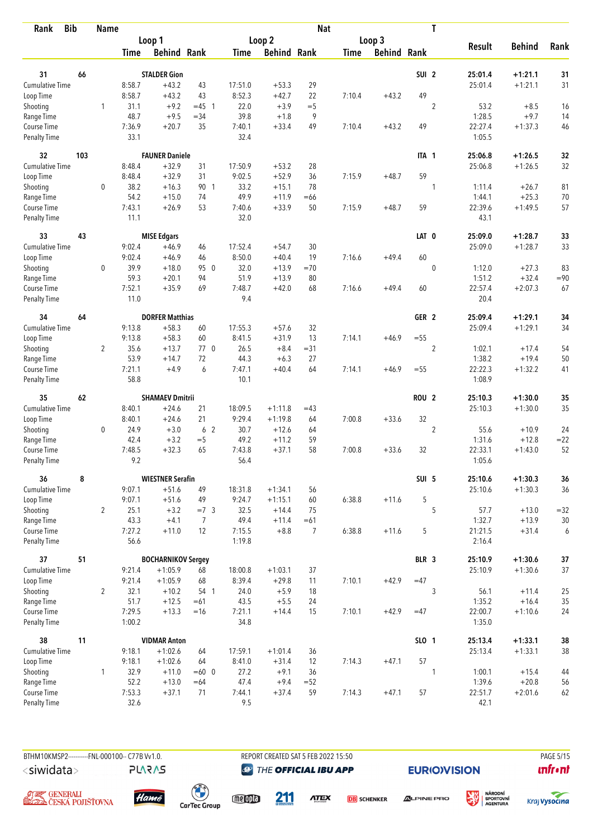| <b>Bib</b><br>Rank          |     | <b>Name</b>    |                  |                           |                |                  |                    | <b>Nat</b>     |             |                    |                  | T              |                   |                  |          |
|-----------------------------|-----|----------------|------------------|---------------------------|----------------|------------------|--------------------|----------------|-------------|--------------------|------------------|----------------|-------------------|------------------|----------|
|                             |     |                |                  | Loop 1                    |                |                  | Loop <sub>2</sub>  |                |             | Loop 3             |                  |                |                   |                  |          |
|                             |     |                | <b>Time</b>      | <b>Behind Rank</b>        |                | <b>Time</b>      | <b>Behind Rank</b> |                | <b>Time</b> | <b>Behind Rank</b> |                  |                | <b>Result</b>     | <b>Behind</b>    | Rank     |
|                             |     |                |                  |                           |                |                  |                    |                |             |                    |                  |                |                   |                  |          |
| 31                          | 66  |                |                  | <b>STALDER Gion</b>       |                |                  |                    |                |             |                    | SUI <sub>2</sub> |                | 25:01.4           | $+1:21.1$        | 31       |
| <b>Cumulative Time</b>      |     |                | 8:58.7           | $+43.2$                   | 43             | 17:51.0          | $+53.3$            | 29             |             |                    | 49               |                | 25:01.4           | $+1:21.1$        | 31       |
| Loop Time                   |     |                | 8:58.7           | $+43.2$                   | 43             | 8:52.3           | $+42.7$            | 22             | 7:10.4      | $+43.2$            |                  |                |                   |                  |          |
| Shooting                    |     | 1              | 31.1<br>48.7     | $+9.2$<br>$+9.5$          | $= 45$ 1       | 22.0<br>39.8     | $+3.9$<br>$+1.8$   | $=$ 5<br>9     |             |                    |                  | $\overline{2}$ | 53.2<br>1:28.5    | $+8.5$<br>$+9.7$ | 16       |
| Range Time<br>Course Time   |     |                | 7:36.9           | $+20.7$                   | $= 34$<br>35   | 7:40.1           | $+33.4$            | 49             | 7:10.4      | $+43.2$            | 49               |                | 22:27.4           | $+1:37.3$        | 14<br>46 |
| <b>Penalty Time</b>         |     |                | 33.1             |                           |                | 32.4             |                    |                |             |                    |                  |                | 1:05.5            |                  |          |
| 32                          | 103 |                |                  | <b>FAUNER Daniele</b>     |                |                  |                    |                |             |                    | ITA 1            |                | 25:06.8           | $+1:26.5$        | 32       |
| Cumulative Time             |     |                | 8:48.4           | $+32.9$                   | 31             | 17:50.9          | $+53.2$            | 28             |             |                    |                  |                | 25:06.8           | $+1:26.5$        | 32       |
| Loop Time                   |     |                | 8:48.4           | $+32.9$                   | 31             | 9:02.5           | $+52.9$            | 36             | 7:15.9      | $+48.7$            | 59               |                |                   |                  |          |
| Shooting                    |     | 0              | 38.2             | $+16.3$                   | 90 1           | 33.2             | $+15.1$            | 78             |             |                    |                  | 1              | 1:11.4            | $+26.7$          | 81       |
| Range Time                  |     |                | 54.2             | $+15.0$                   | 74             | 49.9             | $+11.9$            | $=66$          |             |                    |                  |                | 1:44.1            | $+25.3$          | 70       |
| Course Time                 |     |                | 7:43.1           | $+26.9$                   | 53             | 7:40.6           | $+33.9$            | 50             | 7:15.9      | $+48.7$            | 59               |                | 22:39.6           | $+1:49.5$        | 57       |
| <b>Penalty Time</b>         |     |                | 11.1             |                           |                | 32.0             |                    |                |             |                    |                  |                | 43.1              |                  |          |
| 33                          | 43  |                |                  | <b>MISE Edgars</b>        |                |                  |                    |                |             |                    | LAT 0            |                | 25:09.0           | $+1:28.7$        | 33       |
| Cumulative Time             |     |                | 9:02.4           | $+46.9$                   | 46             | 17:52.4          | $+54.7$            | 30             |             |                    |                  |                | 25:09.0           | $+1:28.7$        | 33       |
| Loop Time                   |     |                | 9:02.4           | $+46.9$                   | 46             | 8:50.0           | $+40.4$            | 19             | 7:16.6      | $+49.4$            | 60               |                |                   |                  |          |
| Shooting                    |     | $\mathbf 0$    | 39.9             | $+18.0$                   | 95 0           | 32.0             | $+13.9$            | $=70$          |             |                    |                  | $\mathbf 0$    | 1:12.0            | $+27.3$          | 83       |
| Range Time                  |     |                | 59.3             | $+20.1$                   | 94             | 51.9             | $+13.9$            | 80             |             |                    |                  |                | 1:51.2            | $+32.4$          | $= 90$   |
| Course Time                 |     |                | 7:52.1           | $+35.9$                   | 69             | 7:48.7           | $+42.0$            | 68             | 7:16.6      | $+49.4$            | 60               |                | 22:57.4           | $+2:07.3$        | 67       |
| <b>Penalty Time</b>         |     |                | 11.0             |                           |                | 9.4              |                    |                |             |                    |                  |                | 20.4              |                  |          |
| 34                          | 64  |                |                  | <b>DORFER Matthias</b>    |                |                  |                    |                |             |                    | GER <sub>2</sub> |                | 25:09.4           | $+1:29.1$        | 34       |
| Cumulative Time             |     |                | 9:13.8           | $+58.3$                   | 60             | 17:55.3          | $+57.6$            | 32             |             |                    |                  |                | 25:09.4           | $+1:29.1$        | 34       |
| Loop Time                   |     |                | 9:13.8           | $+58.3$                   | 60             | 8:41.5           | $+31.9$            | 13             | 7:14.1      | $+46.9$            | $=55$            |                |                   |                  |          |
| Shooting                    |     | $\overline{2}$ | 35.6             | $+13.7$                   | 770            | 26.5             | $+8.4$             | $= 31$         |             |                    |                  | $\overline{2}$ | 1:02.1            | $+17.4$          | 54       |
| Range Time                  |     |                | 53.9             | $+14.7$                   | 72             | 44.3             | $+6.3$             | 27             |             |                    |                  |                | 1:38.2            | $+19.4$          | 50       |
| Course Time                 |     |                | 7:21.1           | $+4.9$                    | 6              | 7:47.1           | $+40.4$            | 64             | 7:14.1      | $+46.9$            | $=55$            |                | 22:22.3           | $+1:32.2$        | 41       |
| <b>Penalty Time</b>         |     |                | 58.8             |                           |                | 10.1             |                    |                |             |                    |                  |                | 1:08.9            |                  |          |
| 35                          | 62  |                |                  | <b>SHAMAEV Dmitrii</b>    |                |                  |                    |                |             |                    | <b>ROU 2</b>     |                | 25:10.3           | $+1:30.0$        | 35       |
| Cumulative Time             |     |                | 8:40.1           | $+24.6$                   | 21             | 18:09.5          | $+1:11.8$          | $=43$          |             |                    |                  |                | 25:10.3           | $+1:30.0$        | 35       |
| Loop Time                   |     |                | 8:40.1           | $+24.6$                   | 21             | 9:29.4           | $+1:19.8$          | 64             | 7:00.8      | $+33.6$            | 32               |                |                   |                  |          |
| Shooting                    |     | 0              | 24.9             | $+3.0$                    | 6 <sub>2</sub> | 30.7             | $+12.6$            | 64             |             |                    |                  | $\overline{2}$ | 55.6              | $+10.9$          | 24       |
| Range Time                  |     |                | 42.4             | $+3.2$                    | $=$ 5          | 49.2             | $+11.2$            | 59             |             |                    |                  |                | 1:31.6            | $+12.8$          | $= 22$   |
| Course Time                 |     |                | 7:48.5           | $+32.3$                   | 65             | 7:43.8           | $+37.1$            | 58             | 7:00.8      | $+33.6$            | 32               |                | 22:33.1           | $+1:43.0$        | 52       |
| <b>Penalty Time</b>         |     |                | 9.2              |                           |                | 56.4             |                    |                |             |                    |                  |                | 1:05.6            |                  |          |
| 36                          | 8   |                |                  | <b>WIESTNER Serafin</b>   |                |                  |                    |                |             |                    | SUI 5            |                | 25:10.6           | $+1:30.3$        | 36       |
| <b>Cumulative Time</b>      |     |                | 9:07.1           | $+51.6$                   | 49             | 18:31.8          | $+1:34.1$          | 56             |             |                    |                  |                | 25:10.6           | $+1:30.3$        | 36       |
| Loop Time                   |     |                | 9:07.1           | $+51.6$                   | 49             | 9:24.7           | $+1:15.1$          | 60             | 6:38.8      | $+11.6$            | 5                |                |                   |                  |          |
| Shooting                    |     | $\overline{2}$ | 25.1             | $+3.2$                    | $=7.3$         | 32.5             | $+14.4$            | 75             |             |                    |                  | 5              | 57.7              | $+13.0$          | $= 32$   |
| Range Time                  |     |                | 43.3             | $+4.1$                    | 7              | 49.4             | $+11.4$            | $=61$          |             |                    |                  |                | 1:32.7            | $+13.9$          | 30       |
| Course Time<br>Penalty Time |     |                | 7:27.2<br>56.6   | $+11.0$                   | 12             | 7:15.5<br>1:19.8 | $+8.8$             | $\overline{7}$ | 6:38.8      | $+11.6$            | 5                |                | 21:21.5<br>2:16.4 | $+31.4$          | 6        |
|                             |     |                |                  |                           |                |                  |                    |                |             |                    |                  |                |                   |                  |          |
| 37                          | 51  |                |                  | <b>BOCHARNIKOV Sergey</b> |                |                  |                    |                |             |                    | BLR 3            |                | 25:10.9           | $+1:30.6$        | $37\,$   |
| <b>Cumulative Time</b>      |     |                | 9:21.4           | $+1:05.9$                 | 68             | 18:00.8          | $+1:03.1$          | 37             |             |                    |                  |                | 25:10.9           | $+1:30.6$        | 37       |
| Loop Time                   |     |                | 9:21.4           | $+1:05.9$                 | 68             | 8:39.4           | $+29.8$            | 11             | 7:10.1      | $+42.9$            | $=47$            |                |                   |                  |          |
| Shooting                    |     | $\overline{2}$ | 32.1             | $+10.2$                   | 54 1           | 24.0             | $+5.9$             | 18             |             |                    |                  | 3              | 56.1              | $+11.4$          | 25       |
| Range Time                  |     |                | 51.7             | $+12.5$                   | $=61$          | 43.5             | $+5.5$             | 24             |             |                    |                  |                | 1:35.2            | $+16.4$          | 35       |
| Course Time<br>Penalty Time |     |                | 7:29.5<br>1:00.2 | $+13.3$                   | $=16$          | 7:21.1<br>34.8   | $+14.4$            | 15             | 7:10.1      | $+42.9$            | $=47$            |                | 22:00.7<br>1:35.0 | $+1:10.6$        | 24       |
| 38                          | 11  |                |                  | <b>VIDMAR Anton</b>       |                |                  |                    |                |             |                    | SLO 1            |                | 25:13.4           | $+1:33.1$        | 38       |
| <b>Cumulative Time</b>      |     |                | 9:18.1           | $+1:02.6$                 | 64             | 17:59.1          | $+1:01.4$          | 36             |             |                    |                  |                | 25:13.4           | $+1:33.1$        | $38\,$   |
| Loop Time                   |     |                | 9:18.1           | $+1:02.6$                 | 64             | 8:41.0           | $+31.4$            | 12             | 7:14.3      | $+47.1$            | 57               |                |                   |                  |          |
| Shooting                    |     | $\mathbf{1}$   | 32.9             | $+11.0$                   | $=60$ 0        | 27.2             | $+9.1$             | 36             |             |                    |                  | 1              | 1:00.1            | $+15.4$          | 44       |
| Range Time                  |     |                | 52.2             | $+13.0$                   | $=64$          | 47.4             | $+9.4$             | $= 52$         |             |                    |                  |                | 1:39.6            | $+20.8$          | 56       |
| Course Time                 |     |                | 7:53.3           | $+37.1$                   | 71             | 7:44.1           | $+37.4$            | 59             | 7:14.3      | $+47.1$            | 57               |                | 22:51.7           | $+2:01.6$        | 62       |
| Penalty Time                |     |                | 32.6             |                           |                | 9.5              |                    |                |             |                    |                  |                | 42.1              |                  |          |

BTHM10KMSP2----------FNL-000100-- C77B Vv1.0. <siwidata>

**PLARAS** 

REPORT CREATED SAT 5 FEB 2022 15:50 **@** THE OFFICIAL IBU APP

**EURIO)VISION** 

姿







 $\begin{pmatrix} 1 \\ 1 \end{pmatrix}$ <br>CarTec Group

meona

211

**ATEX DB** SCHENKER





**PAGE 5/15** 

**unfront**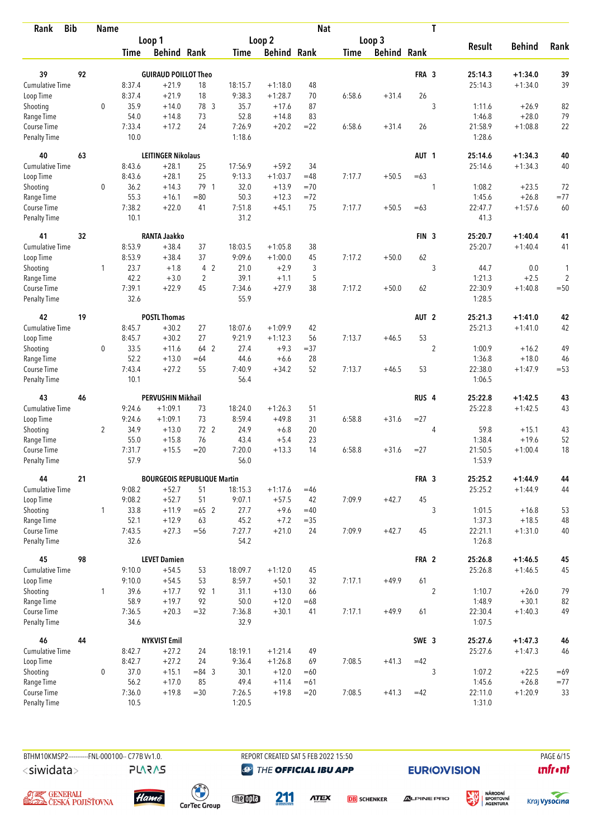| <b>Bib</b><br>Rank        |    | <b>Name</b>    |                |                                    |                 |         |                    | <b>Nat</b> |             |                    |                  | T              |                   |               |                |
|---------------------------|----|----------------|----------------|------------------------------------|-----------------|---------|--------------------|------------|-------------|--------------------|------------------|----------------|-------------------|---------------|----------------|
|                           |    |                |                | Loop 1                             |                 |         | Loop 2             |            |             | Loop 3             |                  |                |                   |               |                |
|                           |    |                | <b>Time</b>    | <b>Behind Rank</b>                 |                 | Time    | <b>Behind Rank</b> |            | <b>Time</b> | <b>Behind Rank</b> |                  |                | <b>Result</b>     | <b>Behind</b> | Rank           |
| 39                        | 92 |                |                | <b>GUIRAUD POILLOT Theo</b>        |                 |         |                    |            |             |                    | FRA 3            |                | 25:14.3           | $+1:34.0$     | 39             |
| Cumulative Time           |    |                | 8:37.4         | $+21.9$                            |                 | 18:15.7 | $+1:18.0$          |            |             |                    |                  |                | 25:14.3           | $+1:34.0$     | 39             |
|                           |    |                | 8:37.4         | $+21.9$                            | 18<br>18        | 9:38.3  | $+1:28.7$          | 48<br>70   |             | $+31.4$            | 26               |                |                   |               |                |
| Loop Time                 |    | $\mathbf 0$    | 35.9           |                                    | 78 3            | 35.7    | $+17.6$            | 87         | 6:58.6      |                    |                  | 3              |                   | $+26.9$       |                |
| Shooting                  |    |                |                | $+14.0$                            |                 | 52.8    |                    | 83         |             |                    |                  |                | 1:11.6            | $+28.0$       | 82             |
| Range Time<br>Course Time |    |                | 54.0<br>7:33.4 | $+14.8$<br>$+17.2$                 | 73<br>24        | 7:26.9  | $+14.8$<br>$+20.2$ | $= 22$     | 6:58.6      | $+31.4$            | 26               |                | 1:46.8<br>21:58.9 | $+1:08.8$     | 79<br>22       |
| <b>Penalty Time</b>       |    |                | 10.0           |                                    |                 | 1:18.6  |                    |            |             |                    |                  |                | 1:28.6            |               |                |
| 40                        | 63 |                |                | <b>LEITINGER Nikolaus</b>          |                 |         |                    |            |             |                    | AUT <sub>1</sub> |                | 25:14.6           | $+1:34.3$     | 40             |
| Cumulative Time           |    |                | 8:43.6         | $+28.1$                            | 25              | 17:56.9 | $+59.2$            | 34         |             |                    |                  |                | 25:14.6           | $+1:34.3$     | 40             |
| Loop Time                 |    |                | 8:43.6         | $+28.1$                            | 25              | 9:13.3  | $+1:03.7$          | $=48$      | 7:17.7      | $+50.5$            | $=63$            |                |                   |               |                |
| Shooting                  |    | 0              | 36.2           | $+14.3$                            | 79 1            | 32.0    | $+13.9$            | $=70$      |             |                    |                  | 1              | 1:08.2            | $+23.5$       | 72             |
| Range Time                |    |                | 55.3           | $+16.1$                            | $=80$           | 50.3    | $+12.3$            | $=72$      |             |                    |                  |                | 1:45.6            | $+26.8$       | $= 77$         |
| Course Time               |    |                | 7:38.2         | $+22.0$                            | 41              | 7:51.8  | $+45.1$            | 75         | 7:17.7      | $+50.5$            | $=63$            |                | 22:47.7           | $+1:57.6$     | 60             |
| <b>Penalty Time</b>       |    |                | 10.1           |                                    |                 | 31.2    |                    |            |             |                    |                  |                | 41.3              |               |                |
| 41                        | 32 |                |                | <b>RANTA Jaakko</b>                |                 |         |                    |            |             |                    | FIN <sub>3</sub> |                | 25:20.7           | $+1:40.4$     | 41             |
| <b>Cumulative Time</b>    |    |                | 8:53.9         | $+38.4$                            | 37              | 18:03.5 | $+1:05.8$          | 38         |             |                    |                  |                | 25:20.7           | $+1:40.4$     | 41             |
| Loop Time                 |    |                | 8:53.9         | $+38.4$                            | 37              | 9:09.6  | $+1:00.0$          | 45         | 7:17.2      | $+50.0$            | 62               |                |                   |               |                |
| Shooting                  |    | $\mathbf{1}$   | 23.7           | $+1.8$                             | 4 2             | 21.0    | $+2.9$             | 3          |             |                    |                  | 3              | 44.7              | 0.0           | 1              |
| Range Time                |    |                | 42.2           | $+3.0$                             | $\overline{2}$  | 39.1    | $+1.1$             | 5          |             |                    |                  |                | 1:21.3            | $+2.5$        | $\overline{c}$ |
| Course Time               |    |                | 7:39.1         | $+22.9$                            | 45              | 7:34.6  | $+27.9$            | 38         | 7:17.2      | $+50.0$            | 62               |                | 22:30.9           | $+1:40.8$     | $=50$          |
| <b>Penalty Time</b>       |    |                | 32.6           |                                    |                 | 55.9    |                    |            |             |                    |                  |                | 1:28.5            |               |                |
| 42                        | 19 |                |                | <b>POSTL Thomas</b>                |                 |         |                    |            |             |                    | AUT <sub>2</sub> |                | 25:21.3           | $+1:41.0$     | 42             |
| Cumulative Time           |    |                | 8:45.7         | $+30.2$                            | 27              | 18:07.6 | $+1:09.9$          | 42         |             |                    |                  |                | 25:21.3           | $+1:41.0$     | 42             |
| Loop Time                 |    |                | 8:45.7         | $+30.2$                            | 27              | 9:21.9  | $+1:12.3$          | 56         | 7:13.7      | $+46.5$            | 53               |                |                   |               |                |
| Shooting                  |    | 0              | 33.5           | $+11.6$                            | 64 2            | 27.4    | $+9.3$             | $= 37$     |             |                    |                  | $\overline{2}$ | 1:00.9            | $+16.2$       | 49             |
| Range Time                |    |                | 52.2           | $+13.0$                            | $=64$           | 44.6    | $+6.6$             | 28         |             |                    |                  |                | 1:36.8            | $+18.0$       | 46             |
| Course Time               |    |                | 7:43.4         | $+27.2$                            | 55              | 7:40.9  | $+34.2$            | 52         | 7:13.7      | $+46.5$            | 53               |                | 22:38.0           | $+1:47.9$     | $=53$          |
| <b>Penalty Time</b>       |    |                | 10.1           |                                    |                 | 56.4    |                    |            |             |                    |                  |                | 1:06.5            |               |                |
| 43                        | 46 |                |                | <b>PERVUSHIN Mikhail</b>           |                 |         |                    |            |             |                    | RUS <sub>4</sub> |                | 25:22.8           | $+1:42.5$     | 43             |
| <b>Cumulative Time</b>    |    |                | 9:24.6         | $+1:09.1$                          | 73              | 18:24.0 | $+1:26.3$          | 51         |             |                    |                  |                | 25:22.8           | $+1:42.5$     | 43             |
| Loop Time                 |    |                | 9:24.6         | $+1:09.1$                          | 73              | 8:59.4  | $+49.8$            | 31         | 6:58.8      | $+31.6$            | $= 27$           |                |                   |               |                |
| Shooting                  |    | $\overline{2}$ | 34.9           | $+13.0$                            | 72 <sub>2</sub> | 24.9    | $+6.8$             | 20         |             |                    |                  | 4              | 59.8              | $+15.1$       | 43             |
| Range Time                |    |                | 55.0           | $+15.8$                            | 76              | 43.4    | $+5.4$             | 23         |             |                    |                  |                | 1:38.4            | $+19.6$       | 52             |
| Course Time               |    |                | 7:31.7         | $+15.5$                            | $=20$           | 7:20.0  | $+13.3$            | 14         | 6:58.8      | $+31.6$            | $= 27$           |                | 21:50.5           | $+1:00.4$     | 18             |
| <b>Penalty Time</b>       |    |                | 57.9           |                                    |                 | 56.0    |                    |            |             |                    |                  |                | 1:53.9            |               |                |
| 44                        | 21 |                |                | <b>BOURGEOIS REPUBLIQUE Martin</b> |                 |         |                    |            |             |                    | FRA 3            |                | 25:25.2           | $+1:44.9$     | 44             |
| <b>Cumulative Time</b>    |    |                | 9:08.2         | $+52.7$                            | 51              | 18:15.3 | $+1:17.6$          | $=46$      |             |                    |                  |                | 25:25.2           | $+1:44.9$     | 44             |
| Loop Time                 |    |                | 9:08.2         | $+52.7$                            | 51              | 9:07.1  | $+57.5$            | 42         | 7:09.9      | $+42.7$            | 45               |                |                   |               |                |
| Shooting                  |    | $\mathbf{1}$   | 33.8           | $+11.9$                            | $=65$ 2         | 27.7    | $+9.6$             | $=40$      |             |                    |                  | 3              | 1:01.5            | $+16.8$       | 53             |
| Range Time                |    |                | 52.1           | $+12.9$                            | 63              | 45.2    | $+7.2$             | $= 35$     |             |                    |                  |                | 1:37.3            | $+18.5$       | 48             |
| Course Time               |    |                | 7:43.5         | $+27.3$                            | $=56$           | 7:27.7  | $+21.0$            | 24         | 7:09.9      | $+42.7$            | 45               |                | 22:21.1           | $+1:31.0$     | 40             |
| Penalty Time              |    |                | 32.6           |                                    |                 | 54.2    |                    |            |             |                    |                  |                | 1:26.8            |               |                |
| 45                        | 98 |                |                | <b>LEVET Damien</b>                |                 |         |                    |            |             |                    | FRA 2            |                | 25:26.8           | $+1:46.5$     | 45             |
| <b>Cumulative Time</b>    |    |                | 9:10.0         | $+54.5$                            | 53              | 18:09.7 | $+1:12.0$          | 45         |             |                    |                  |                | 25:26.8           | $+1:46.5$     | 45             |
| Loop Time                 |    |                | 9:10.0         | $+54.5$                            | 53              | 8:59.7  | $+50.1$            | 32         | 7:17.1      | $+49.9$            | 61               |                |                   |               |                |
| Shooting                  |    | $\mathbf{1}$   | 39.6           | $+17.7$                            | 92 1            | 31.1    | $+13.0$            | 66         |             |                    |                  | $\overline{2}$ | 1:10.7            | $+26.0$       | 79             |
| Range Time                |    |                | 58.9           | $+19.7$                            | 92              | 50.0    | $+12.0$            | $=68$      |             |                    |                  |                | 1:48.9            | $+30.1$       | 82             |
| Course Time               |    |                | 7:36.5         | $+20.3$                            | $=32$           | 7:36.8  | $+30.1$            | 41         | 7:17.1      | $+49.9$            | 61               |                | 22:30.4           | $+1:40.3$     | 49             |
| Penalty Time              |    |                | 34.6           |                                    |                 | 32.9    |                    |            |             |                    |                  |                | 1:07.5            |               |                |
| 46                        | 44 |                |                | <b>NYKVIST Emil</b>                |                 |         |                    |            |             |                    | SWE 3            |                | 25:27.6           | $+1:47.3$     | 46             |
| <b>Cumulative Time</b>    |    |                | 8:42.7         | $+27.2$                            | 24              | 18:19.1 | $+1:21.4$          | 49         |             |                    |                  |                | 25:27.6           | $+1:47.3$     | 46             |
| Loop Time                 |    |                | 8:42.7         | $+27.2$                            | 24              | 9:36.4  | $+1:26.8$          | 69         | 7:08.5      | $+41.3$            | $=42$            |                |                   |               |                |
| Shooting                  |    | $\mathbf 0$    | 37.0           | $+15.1$                            | $= 84$ 3        | 30.1    | $+12.0$            | $=60$      |             |                    |                  | 3              | 1:07.2            | $+22.5$       | $=69$          |
| Range Time                |    |                | 56.2           | $+17.0$                            | 85              | 49.4    | $+11.4$            | $=61$      |             |                    |                  |                | 1:45.6            | $+26.8$       | $=77$          |
| Course Time               |    |                | 7:36.0         | $+19.8$                            | $=30$           | 7:26.5  | $+19.8$            | $= 20$     | 7:08.5      | $+41.3$            | $=42$            |                | 22:11.0           | $+1:20.9$     | 33             |
| Penalty Time              |    |                | 10.5           |                                    |                 | 1:20.5  |                    |            |             |                    |                  |                | 1:31.0            |               |                |

BTHM10KMSP2----------FNL-000100-- C77B Vv1.0. <siwidata>

**PLARAS** 

REPORT CREATED SAT 5 FEB 2022 15:50 **@** THE OFFICIAL IBU APP

211

**EURIO)VISION** 

PAGE 6/15  $\mathbf{u}$ front





 $\begin{pmatrix} 1 \\ 1 \end{pmatrix}$ <br>CarTec Group



**ATEX** 

**DB** SCHENKER

**ALPINE PRO** 



姿

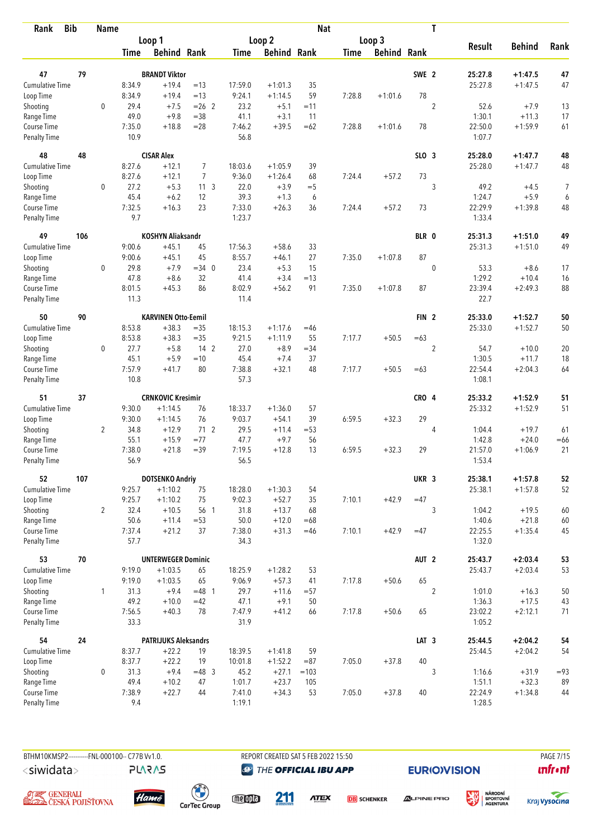| <b>Bib</b><br>Rank        |     | <b>Name</b>    |                |                             |                 |                |                    | <b>Nat</b>  |             |                    |                  | T              |                   |                   |          |
|---------------------------|-----|----------------|----------------|-----------------------------|-----------------|----------------|--------------------|-------------|-------------|--------------------|------------------|----------------|-------------------|-------------------|----------|
|                           |     |                |                | Loop 1                      |                 |                | Loop 2             |             |             | Loop 3             |                  |                |                   |                   |          |
|                           |     |                | Time           | <b>Behind Rank</b>          |                 | Time           | <b>Behind Rank</b> |             | <b>Time</b> | <b>Behind Rank</b> |                  |                | <b>Result</b>     | <b>Behind</b>     | Rank     |
| 47                        | 79  |                |                | <b>BRANDT Viktor</b>        |                 |                |                    |             |             |                    | SWE 2            |                | 25:27.8           | $+1:47.5$         | 47       |
| <b>Cumulative Time</b>    |     |                | 8:34.9         | $+19.4$                     | $=13$           | 17:59.0        | $+1:01.3$          | 35          |             |                    |                  |                | 25:27.8           | $+1:47.5$         | 47       |
| Loop Time                 |     |                | 8:34.9         | $+19.4$                     | $=13$           | 9:24.1         | $+1:14.5$          | 59          | 7:28.8      | $+1:01.6$          | 78               |                |                   |                   |          |
| Shooting                  |     | $\mathbf 0$    | 29.4           | $+7.5$                      | $= 26$ 2        | 23.2           | $+5.1$             | $=11$       |             |                    |                  | $\overline{2}$ | 52.6              | $+7.9$            | 13       |
| Range Time                |     |                | 49.0           | $+9.8$                      | $=$ 38          | 41.1           | $+3.1$             | 11          |             |                    |                  |                | 1:30.1            | $+11.3$           | 17       |
| Course Time               |     |                | 7:35.0         | $+18.8$                     | $=28$           | 7:46.2         | $+39.5$            | $=62$       | 7:28.8      | $+1:01.6$          | 78               |                | 22:50.0           | $+1:59.9$         | 61       |
| Penalty Time              |     |                | 10.9           |                             |                 | 56.8           |                    |             |             |                    |                  |                | 1:07.7            |                   |          |
| 48                        | 48  |                |                | <b>CISAR Alex</b>           |                 |                |                    |             |             |                    | SLO <sub>3</sub> |                | 25:28.0           | $+1:47.7$         | 48       |
| Cumulative Time           |     |                | 8:27.6         | $+12.1$                     | $\overline{7}$  | 18:03.6        | $+1:05.9$          | 39          |             |                    |                  |                | 25:28.0           | $+1:47.7$         | 48       |
| Loop Time                 |     |                | 8:27.6         | $+12.1$                     | $\overline{7}$  | 9:36.0         | $+1:26.4$          | 68          | 7:24.4      | $+57.2$            | 73               |                |                   |                   |          |
| Shooting                  |     | 0              | 27.2           | $+5.3$                      | 11 <sup>3</sup> | 22.0           | $+3.9$             | $=$ 5       |             |                    |                  | 3              | 49.2              | $+4.5$            | 7        |
| Range Time                |     |                | 45.4           | $+6.2$                      | 12              | 39.3           | $+1.3$             | 6           |             |                    |                  |                | 1:24.7            | $+5.9$            | 6        |
| Course Time               |     |                | 7:32.5         | $+16.3$                     | 23              | 7:33.0         | $+26.3$            | 36          | 7:24.4      | $+57.2$            | 73               |                | 22:29.9           | $+1:39.8$         | 48       |
| Penalty Time              |     |                | 9.7            |                             |                 | 1:23.7         |                    |             |             |                    |                  |                | 1:33.4            |                   |          |
| 49                        | 106 |                |                | <b>KOSHYN Aliaksandr</b>    |                 |                |                    |             |             |                    | BLR 0            |                | 25:31.3           | $+1:51.0$         | 49       |
| Cumulative Time           |     |                | 9:00.6         | $+45.1$                     | 45              | 17:56.3        | $+58.6$            | 33          |             |                    |                  |                | 25:31.3           | $+1:51.0$         | 49       |
| Loop Time                 |     |                | 9:00.6         | $+45.1$                     | 45              | 8:55.7         | $+46.1$            | 27          | 7:35.0      | $+1:07.8$          | 87               |                |                   |                   |          |
| Shooting                  |     | $\mathbf 0$    | 29.8<br>47.8   | $+7.9$                      | $=34$ 0<br>32   | 23.4           | $+5.3$<br>$+3.4$   | 15          |             |                    |                  | $\mathbf 0$    | 53.3<br>1:29.2    | $+8.6$<br>$+10.4$ | 17       |
| Range Time<br>Course Time |     |                | 8:01.5         | $+8.6$<br>$+45.3$           | 86              | 41.4<br>8:02.9 | $+56.2$            | $=13$<br>91 | 7:35.0      | $+1:07.8$          | 87               |                | 23:39.4           | $+2:49.3$         | 16<br>88 |
| <b>Penalty Time</b>       |     |                | 11.3           |                             |                 | 11.4           |                    |             |             |                    |                  |                | 22.7              |                   |          |
| 50                        | 90  |                |                | <b>KARVINEN Otto-Eemil</b>  |                 |                |                    |             |             |                    | FIN <sub>2</sub> |                | 25:33.0           | $+1:52.7$         | 50       |
| Cumulative Time           |     |                | 8:53.8         | $+38.3$                     | $=35$           | 18:15.3        | $+1:17.6$          | $=46$       |             |                    |                  |                | 25:33.0           | $+1:52.7$         | 50       |
| Loop Time                 |     |                | 8:53.8         | $+38.3$                     | $= 35$          | 9:21.5         | $+1:11.9$          | 55          | 7:17.7      | $+50.5$            | $=63$            |                |                   |                   |          |
| Shooting                  |     | 0              | 27.7           | $+5.8$                      | 14 <sub>2</sub> | 27.0           | $+8.9$             | $=34$       |             |                    |                  | $\overline{2}$ | 54.7              | $+10.0$           | 20       |
| Range Time                |     |                | 45.1           | $+5.9$                      | $=10$           | 45.4           | $+7.4$             | 37          |             |                    |                  |                | 1:30.5            | $+11.7$           | 18       |
| Course Time               |     |                | 7:57.9         | $+41.7$                     | 80              | 7:38.8         | $+32.1$            | 48          | 7:17.7      | $+50.5$            | $=63$            |                | 22:54.4           | $+2:04.3$         | 64       |
| <b>Penalty Time</b>       |     |                | 10.8           |                             |                 | 57.3           |                    |             |             |                    |                  |                | 1:08.1            |                   |          |
| 51                        | 37  |                |                | <b>CRNKOVIC Kresimir</b>    |                 |                |                    |             |             |                    | CRO 4            |                | 25:33.2           | $+1:52.9$         | 51       |
| <b>Cumulative Time</b>    |     |                | 9:30.0         | $+1:14.5$                   | 76              | 18:33.7        | $+1:36.0$          | 57          |             |                    |                  |                | 25:33.2           | $+1:52.9$         | 51       |
| Loop Time                 |     |                | 9:30.0         | $+1:14.5$                   | 76              | 9:03.7         | $+54.1$            | 39          | 6:59.5      | $+32.3$            | 29               |                |                   |                   |          |
| Shooting                  |     | $\overline{2}$ | 34.8           | $+12.9$                     | 712             | 29.5           | $+11.4$            | $= 53$      |             |                    |                  | 4              | 1:04.4            | $+19.7$           | 61       |
| Range Time                |     |                | 55.1           | $+15.9$                     | $= 77$          | 47.7           | $+9.7$             | 56          |             |                    |                  |                | 1:42.8            | $+24.0$           | $=66$    |
| Course Time               |     |                | 7:38.0         | $+21.8$                     | $=39$           | 7:19.5         | $+12.8$            | 13          | 6:59.5      | $+32.3$            | 29               |                | 21:57.0           | $+1:06.9$         | 21       |
| Penalty Time              |     |                | 56.9           |                             |                 | 56.5           |                    |             |             |                    |                  |                | 1:53.4            |                   |          |
| 52                        | 107 |                |                | <b>DOTSENKO Andriy</b>      |                 |                |                    |             |             |                    | UKR 3            |                | 25:38.1           | $+1:57.8$         | 52       |
| Cumulative Time           |     |                | 9:25.7         | $+1:10.2$                   | 75              | 18:28.0        | $+1:30.3$          | 54          |             |                    |                  |                | 25:38.1           | $+1:57.8$         | 52       |
| Loop Time                 |     |                | 9:25.7         | $+1:10.2$                   | 75              | 9:02.3         | $+52.7$            | 35          | 7:10.1      | $+42.9$            | $=47$            |                |                   |                   |          |
| Shooting                  |     | $\overline{2}$ | 32.4           | $+10.5$                     | 56 1            | 31.8           | $+13.7$            | 68          |             |                    |                  | 3              | 1:04.2            | $+19.5$           | 60       |
| Range Time<br>Course Time |     |                | 50.6           | $+11.4$<br>$+21.2$          | $= 53$<br>37    | 50.0           | $+12.0$            | $=68$       |             | $+42.9$            | $=47$            |                | 1:40.6            | $+21.8$           | 60       |
| Penalty Time              |     |                | 7:37.4<br>57.7 |                             |                 | 7:38.0<br>34.3 | $+31.3$            | $=46$       | 7:10.1      |                    |                  |                | 22:25.5<br>1:32.0 | $+1:35.4$         | 45       |
| 53                        | 70  |                |                | <b>UNTERWEGER Dominic</b>   |                 |                |                    |             |             |                    | AUT <sub>2</sub> |                | 25:43.7           | $+2:03.4$         | 53       |
| Cumulative Time           |     |                | 9:19.0         | $+1:03.5$                   | 65              | 18:25.9        | $+1:28.2$          | 53          |             |                    |                  |                | 25:43.7           | $+2:03.4$         | 53       |
| Loop Time                 |     |                | 9:19.0         | $+1:03.5$                   | 65              | 9:06.9         | $+57.3$            | 41          | 7:17.8      | $+50.6$            | 65               |                |                   |                   |          |
| Shooting                  |     | $\mathbf{1}$   | 31.3           | $+9.4$                      | $= 48$ 1        | 29.7           | $+11.6$            | $= 57$      |             |                    |                  | $\overline{2}$ | 1:01.0            | $+16.3$           | 50       |
| Range Time                |     |                | 49.2           | $+10.0$                     | $=42$           | 47.1           | $+9.1$             | 50          |             |                    |                  |                | 1:36.3            | $+17.5$           | 43       |
| Course Time               |     |                | 7:56.5         | $+40.3$                     | 78              | 7:47.9         | $+41.2$            | 66          | 7:17.8      | $+50.6$            | 65               |                | 23:02.2           | $+2:12.1$         | 71       |
| Penalty Time              |     |                | 33.3           |                             |                 | 31.9           |                    |             |             |                    |                  |                | 1:05.2            |                   |          |
| 54                        | 24  |                |                | <b>PATRIJUKS Aleksandrs</b> |                 |                |                    |             |             |                    | LAT <sub>3</sub> |                | 25:44.5           | $+2:04.2$         | 54       |
| <b>Cumulative Time</b>    |     |                | 8:37.7         | $+22.2$                     | 19              | 18:39.5        | $+1:41.8$          | 59          |             |                    |                  |                | 25:44.5           | $+2:04.2$         | 54       |
| Loop Time                 |     |                | 8:37.7         | $+22.2$                     | 19              | 10:01.8        | $+1:52.2$          | $= 87$      | 7:05.0      | $+37.8$            | $40\,$           |                |                   |                   |          |
| Shooting                  |     | $\mathbf 0$    | 31.3           | $+9.4$                      | $=48$ 3         | 45.2           | $+27.1$            | $=103$      |             |                    |                  | 3              | 1:16.6            | $+31.9$           | $= 93$   |
| Range Time                |     |                | 49.4           | $+10.2$                     | 47              | 1:01.7         | $+23.7$            | 105         |             |                    |                  |                | 1:51.1            | $+32.3$           | 89       |
| Course Time               |     |                | 7:38.9         | $+22.7$                     | 44              | 7:41.0         | $+34.3$            | 53          | 7:05.0      | $+37.8$            | 40               |                | 22:24.9           | $+1:34.8$         | 44       |
| Penalty Time              |     |                | 9.4            |                             |                 | 1:19.1         |                    |             |             |                    |                  |                | 1:28.5            |                   |          |

**PLARAS** 

BTHM10KMSP2----------FNL-000100-- C77B Vv1.0. REPORT CREATED SAT 5 FEB 2022 15:50 PAGE 7/15 **@** THE OFFICIAL IBU APP

**EURIO)VISION** 

溪







meona

211

**ATEX DB** SCHENKER



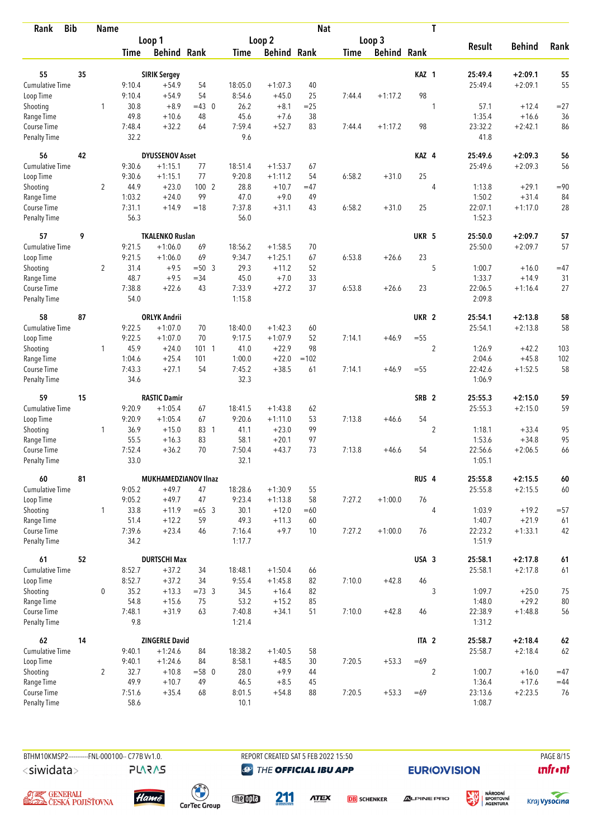| <b>Bib</b><br>Rank                 |    | <b>Name</b>    |                |                        |          |                  |                    | <b>Nat</b> |             |                    |                  | T              |                   |               |            |
|------------------------------------|----|----------------|----------------|------------------------|----------|------------------|--------------------|------------|-------------|--------------------|------------------|----------------|-------------------|---------------|------------|
|                                    |    |                |                | Loop 1                 |          |                  | Loop 2             |            |             | Loop 3             |                  |                |                   |               |            |
|                                    |    |                | Time           | <b>Behind Rank</b>     |          | Time             | <b>Behind Rank</b> |            | <b>Time</b> | <b>Behind Rank</b> |                  |                | <b>Result</b>     | <b>Behind</b> | Rank       |
| 55                                 | 35 |                |                | <b>SIRIK Sergey</b>    |          |                  |                    |            |             |                    | KAZ <sub>1</sub> |                | 25:49.4           | $+2:09.1$     | 55         |
| <b>Cumulative Time</b>             |    |                | 9:10.4         | $+54.9$                | 54       | 18:05.0          | $+1:07.3$          | 40         |             |                    |                  |                | 25:49.4           | $+2:09.1$     | 55         |
| Loop Time                          |    |                | 9:10.4         | $+54.9$                | 54       | 8:54.6           | $+45.0$            | 25         | 7:44.4      | $+1:17.2$          | 98               |                |                   |               |            |
| Shooting                           |    | 1              | 30.8           | $+8.9$                 | $=43$ 0  | 26.2             | $+8.1$             | $=25$      |             |                    |                  | 1              | 57.1              | $+12.4$       | $= 27$     |
| Range Time                         |    |                | 49.8           | $+10.6$                | 48       | 45.6             | $+7.6$             | 38         |             |                    |                  |                | 1:35.4            | $+16.6$       | 36         |
| Course Time                        |    |                | 7:48.4         | $+32.2$                | 64       | 7:59.4           | $+52.7$            | 83         | 7:44.4      | $+1:17.2$          | 98               |                | 23:32.2           | $+2:42.1$     | 86         |
| <b>Penalty Time</b>                |    |                | 32.2           |                        |          | 9.6              |                    |            |             |                    |                  |                | 41.8              |               |            |
| 56                                 | 42 |                |                | <b>DYUSSENOV Asset</b> |          |                  |                    |            |             |                    | KAZ 4            |                | 25:49.6           | $+2:09.3$     | 56         |
| Cumulative Time                    |    |                | 9:30.6         | $+1:15.1$              | 77       | 18:51.4          | $+1:53.7$          | 67         |             |                    |                  |                | 25:49.6           | $+2:09.3$     | 56         |
| Loop Time                          |    |                | 9:30.6         | $+1:15.1$              | 77       | 9:20.8           | $+1:11.2$          | 54         | 6:58.2      | $+31.0$            | 25               |                |                   |               |            |
| Shooting                           |    | $\overline{2}$ | 44.9           | $+23.0$                | 100 2    | 28.8             | $+10.7$            | $=47$      |             |                    |                  | 4              | 1:13.8            | $+29.1$       | $=90$      |
| Range Time                         |    |                | 1:03.2         | $+24.0$                | 99       | 47.0             | $+9.0$             | 49         |             |                    |                  |                | 1:50.2            | $+31.4$       | 84         |
| Course Time                        |    |                | 7:31.1         | $+14.9$                | $=18$    | 7:37.8           | $+31.1$            | 43         | 6:58.2      | $+31.0$            | 25               |                | 22:07.1           | $+1:17.0$     | 28         |
| <b>Penalty Time</b>                |    |                | 56.3           |                        |          | 56.0             |                    |            |             |                    |                  |                | 1:52.3            |               |            |
| 57                                 | 9  |                |                | <b>TKALENKO Ruslan</b> |          |                  |                    |            |             |                    | UKR 5            |                | 25:50.0           | $+2:09.7$     | 57         |
| <b>Cumulative Time</b>             |    |                | 9:21.5         | $+1:06.0$              | 69       | 18:56.2          | $+1:58.5$          | 70         |             |                    |                  |                | 25:50.0           | $+2:09.7$     | 57         |
| Loop Time                          |    |                | 9:21.5         | $+1:06.0$              | 69       | 9:34.7           | $+1:25.1$          | 67         | 6:53.8      | $+26.6$            | 23               |                |                   |               |            |
| Shooting                           |    | $\overline{2}$ | 31.4           | $+9.5$                 | $= 50.3$ | 29.3             | $+11.2$            | 52         |             |                    |                  | 5              | 1:00.7            | $+16.0$       | $=47$      |
| Range Time                         |    |                | 48.7           | $+9.5$                 | $= 34$   | 45.0             | $+7.0$             | 33         |             |                    |                  |                | 1:33.7            | $+14.9$       | 31         |
| Course Time<br><b>Penalty Time</b> |    |                | 7:38.8<br>54.0 | $+22.6$                | 43       | 7:33.9<br>1:15.8 | $+27.2$            | 37         | 6:53.8      | $+26.6$            | 23               |                | 22:06.5<br>2:09.8 | $+1:16.4$     | 27         |
| 58                                 | 87 |                |                | <b>ORLYK Andrii</b>    |          |                  |                    |            |             |                    | UKR <sub>2</sub> |                | 25:54.1           | $+2:13.8$     | 58         |
| Cumulative Time                    |    |                | 9:22.5         | $+1:07.0$              | 70       | 18:40.0          | $+1:42.3$          | 60         |             |                    |                  |                | 25:54.1           | $+2:13.8$     | 58         |
| Loop Time                          |    |                | 9:22.5         | $+1:07.0$              | 70       | 9:17.5           | $+1:07.9$          | 52         | 7:14.1      | $+46.9$            | $= 55$           |                |                   |               |            |
| Shooting                           |    | 1              | 45.9           | $+24.0$                | 1011     | 41.0             | $+22.9$            | 98         |             |                    |                  | $\overline{2}$ | 1:26.9            | $+42.2$       | 103        |
| Range Time                         |    |                | 1:04.6         | $+25.4$                | 101      | 1:00.0           | $+22.0$            | $=102$     |             |                    |                  |                | 2:04.6            | $+45.8$       | 102        |
| Course Time                        |    |                | 7:43.3         | $+27.1$                | 54       | 7:45.2           | $+38.5$            | 61         | 7:14.1      | $+46.9$            | $= 55$           |                | 22:42.6           | $+1:52.5$     | 58         |
| <b>Penalty Time</b>                |    |                | 34.6           |                        |          | 32.3             |                    |            |             |                    |                  |                | 1:06.9            |               |            |
| 59                                 | 15 |                |                | <b>RASTIC Damir</b>    |          |                  |                    |            |             |                    | SRB <sub>2</sub> |                | 25:55.3           | $+2:15.0$     | 59         |
| <b>Cumulative Time</b>             |    |                | 9:20.9         | $+1:05.4$              | 67       | 18:41.5          | $+1:43.8$          | 62         |             |                    |                  |                | 25:55.3           | $+2:15.0$     | 59         |
| Loop Time                          |    |                | 9:20.9         | $+1:05.4$              | 67       | 9:20.6           | $+1:11.0$          | 53         | 7:13.8      | $+46.6$            | 54               |                |                   |               |            |
| Shooting                           |    | 1              | 36.9           | $+15.0$                | 83 1     | 41.1             | $+23.0$            | 99         |             |                    |                  | $\overline{2}$ | 1:18.1            | $+33.4$       | 95         |
| Range Time                         |    |                | 55.5           | $+16.3$                | 83       | 58.1             | $+20.1$            | 97         |             |                    |                  |                | 1:53.6            | $+34.8$       | 95         |
| Course Time                        |    |                | 7:52.4         | $+36.2$                | 70       | 7:50.4           | $+43.7$            | 73         | 7:13.8      | $+46.6$            | 54               |                | 22:56.6           | $+2:06.5$     | 66         |
| <b>Penalty Time</b>                |    |                | 33.0           |                        |          | 32.1             |                    |            |             |                    |                  |                | 1:05.1            |               |            |
| 60                                 | 81 |                |                | MUKHAMEDZIANOV Ilnaz   |          |                  |                    |            |             |                    | RUS <sub>4</sub> |                | 25:55.8           | $+2:15.5$     | $\pmb{60}$ |
| Cumulative Time                    |    |                | 9:05.2         | $+49.7$                | 47       | 18:28.6          | $+1:30.9$          | 55         |             |                    |                  |                | 25:55.8           | $+2:15.5$     | $60\,$     |
| Loop Time                          |    |                | 9:05.2         | $+49.7$                | 47       | 9:23.4           | $+1:13.8$          | 58         | 7:27.2      | $+1:00.0$          | 76               |                |                   |               |            |
| Shooting                           |    | $\mathbf{1}$   | 33.8           | $+11.9$                | $=65$ 3  | 30.1             | $+12.0$            | $=60$      |             |                    |                  | 4              | 1:03.9            | $+19.2$       | $= 57$     |
| Range Time                         |    |                | 51.4           | $+12.2$                | 59       | 49.3             | $+11.3$            | 60         |             |                    |                  |                | 1:40.7            | $+21.9$       | 61         |
| Course Time<br>Penalty Time        |    |                | 7:39.6<br>34.2 | $+23.4$                | 46       | 7:16.4<br>1:17.7 | $+9.7$             | 10         | 7:27.2      | $+1:00.0$          | 76               |                | 22:23.2<br>1:51.9 | $+1:33.1$     | 42         |
| 61                                 | 52 |                |                | <b>DURTSCHI Max</b>    |          |                  |                    |            |             |                    | USA 3            |                | 25:58.1           | $+2:17.8$     | $61\,$     |
| <b>Cumulative Time</b>             |    |                | 8:52.7         | $+37.2$                | 34       | 18:48.1          | $+1:50.4$          | 66         |             |                    |                  |                | 25:58.1           | $+2:17.8$     | 61         |
| Loop Time                          |    |                | 8:52.7         | $+37.2$                | 34       | 9:55.4           | $+1:45.8$          | 82         | 7:10.0      | $+42.8$            | 46               |                |                   |               |            |
| Shooting                           |    | 0              | 35.2           | $+13.3$                | $=73.3$  | 34.5             | $+16.4$            | 82         |             |                    |                  | 3              | 1:09.7            | $+25.0$       | 75         |
| Range Time                         |    |                | 54.8           | $+15.6$                | 75       | 53.2             | $+15.2$            | 85         |             |                    |                  |                | 1:48.0            | $+29.2$       | $80\,$     |
| Course Time                        |    |                | 7:48.1         | $+31.9$                | 63       | 7:40.8           | $+34.1$            | 51         | 7:10.0      | $+42.8$            | 46               |                | 22:38.9           | $+1:48.8$     | 56         |
| Penalty Time                       |    |                | 9.8            |                        |          | 1:21.4           |                    |            |             |                    |                  |                | 1:31.2            |               |            |
| 62                                 | 14 |                |                | <b>ZINGERLE David</b>  |          |                  |                    |            |             |                    | ITA <sub>2</sub> |                | 25:58.7           | $+2:18.4$     | $62\,$     |
| Cumulative Time                    |    |                | 9:40.1         | $+1:24.6$              | 84       | 18:38.2          | $+1:40.5$          | 58         |             |                    |                  |                | 25:58.7           | $+2:18.4$     | 62         |
| Loop Time                          |    |                | 9:40.1         | $+1:24.6$              | 84       | 8:58.1           | $+48.5$            | 30         | 7:20.5      | $+53.3$            | $=69$            |                |                   |               |            |
| Shooting                           |    | $\overline{2}$ | 32.7           | $+10.8$                | $= 58$ 0 | 28.0             | $+9.9$             | 44         |             |                    |                  | 2              | 1:00.7            | $+16.0$       | $=47$      |
| Range Time                         |    |                | 49.9           | $+10.7$                | 49       | 46.5             | $+8.5$             | 45         |             |                    |                  |                | 1:36.4            | $+17.6$       | $=44$      |
| Course Time                        |    |                | 7:51.6         | $+35.4$                | 68       | 8:01.5           | $+54.8$            | 88         | 7:20.5      | $+53.3$            | $=69$            |                | 23:13.6           | $+2:23.5$     | 76         |
| Penalty Time                       |    |                | 58.6           |                        |          | 10.1             |                    |            |             |                    |                  |                | 1:08.7            |               |            |

**PLARAS** 

BTHM10KMSP2----------FNL-000100-- C77B Vv1.0. REPORT CREATED SAT 5 FEB 2022 15:50 PAGE 8/15 **@** THE OFFICIAL IBU APP

**EURIO)VISION** 

姿

**unfront** 





 $\begin{pmatrix} 1 \\ 1 \end{pmatrix}$ <br>CarTec Group

meona 211

**ATEX DB** SCHENKER



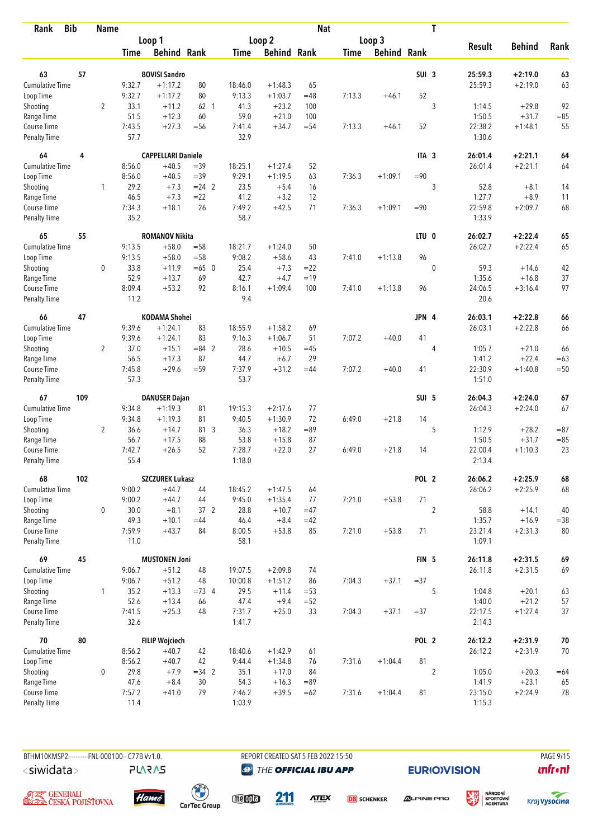| <b>Bib</b><br>Rank          |     | <b>Name</b>    |                |                           |                       |                |                      | <b>Nat</b>    |             |                    |                  | T              |                   |                      |              |
|-----------------------------|-----|----------------|----------------|---------------------------|-----------------------|----------------|----------------------|---------------|-------------|--------------------|------------------|----------------|-------------------|----------------------|--------------|
|                             |     |                |                | Loop 1                    |                       |                | Loop <sub>2</sub>    |               |             | Loop 3             |                  |                |                   |                      |              |
|                             |     |                | <b>Time</b>    | <b>Behind Rank</b>        |                       | Time           | <b>Behind Rank</b>   |               | <b>Time</b> | <b>Behind Rank</b> |                  |                | <b>Result</b>     | <b>Behind</b>        | Rank         |
|                             |     |                |                |                           |                       |                |                      |               |             |                    |                  |                |                   |                      |              |
| 63                          | 57  |                |                | <b>BOVISI Sandro</b>      |                       |                |                      |               |             |                    | SUI <sub>3</sub> |                | 25:59.3           | $+2:19.0$            | 63           |
| Cumulative Time             |     |                | 9:32.7         | $+1:17.2$                 | 80                    | 18:46.0        | $+1:48.3$            | 65            |             |                    |                  |                | 25:59.3           | $+2:19.0$            | 63           |
| Loop Time                   |     |                | 9:32.7         | $+1:17.2$                 | 80                    | 9:13.3         | $+1:03.7$            | $=48$         | 7:13.3      | $+46.1$            | 52               |                |                   |                      |              |
| Shooting                    |     | $\overline{2}$ | 33.1           | $+11.2$                   | 62 <sub>1</sub><br>60 | 41.3<br>59.0   | $+23.2$<br>$+21.0$   | 100           |             |                    |                  | 3              | 1:14.5<br>1:50.5  | $+29.8$<br>$+31.7$   | 92           |
| Range Time<br>Course Time   |     |                | 51.5<br>7:43.5 | $+12.3$<br>$+27.3$        | $=$ 56                | 7:41.4         | $+34.7$              | 100<br>$= 54$ | 7:13.3      | $+46.1$            | 52               |                | 22:38.2           | $+1:48.1$            | $= 85$<br>55 |
| <b>Penalty Time</b>         |     |                | 57.7           |                           |                       | 32.9           |                      |               |             |                    |                  |                | 1:30.6            |                      |              |
| 64                          | 4   |                |                | <b>CAPPELLARI Daniele</b> |                       |                |                      |               |             |                    | ITA <sub>3</sub> |                | 26:01.4           | $+2:21.1$            | 64           |
| <b>Cumulative Time</b>      |     |                | 8:56.0         | $+40.5$                   | $=39$                 | 18:25.1        | $+1:27.4$            | 52            |             |                    |                  |                | 26:01.4           | $+2:21.1$            | 64           |
| Loop Time                   |     |                | 8:56.0         | $+40.5$                   | $=39$                 | 9:29.1         | $+1:19.5$            | 63            | 7:36.3      | $+1:09.1$          | $=90$            |                |                   |                      |              |
| Shooting                    |     | 1              | 29.2           | $+7.3$                    | $= 24$ 2              | 23.5           | $+5.4$               | 16            |             |                    |                  | 3              | 52.8              | $+8.1$               | 14           |
| Range Time                  |     |                | 46.5           | $+7.3$                    | $=22$                 | 41.2           | $+3.2$               | 12            |             |                    |                  |                | 1:27.7            | $+8.9$               | 11           |
| Course Time                 |     |                | 7:34.3         | $+18.1$                   | 26                    | 7:49.2         | $+42.5$              | 71            | 7:36.3      | $+1:09.1$          | $= 90$           |                | 22:59.8           | $+2:09.7$            | 68           |
| <b>Penalty Time</b>         |     |                | 35.2           |                           |                       | 58.7           |                      |               |             |                    |                  |                | 1:33.9            |                      |              |
| 65                          | 55  |                |                | <b>ROMANOV Nikita</b>     |                       |                |                      |               |             |                    | LTU <sub>0</sub> |                | 26:02.7           | $+2:22.4$            | 65           |
| <b>Cumulative Time</b>      |     |                | 9:13.5         | $+58.0$                   | $= 58$                | 18:21.7        | $+1:24.0$            | 50            |             |                    |                  |                | 26:02.7           | $+2:22.4$            | 65           |
| Loop Time                   |     |                | 9:13.5         | $+58.0$                   | $=58$                 | 9:08.2         | $+58.6$              | 43            | 7:41.0      | $+1:13.8$          | 96               |                |                   |                      |              |
| Shooting                    |     | $\mathbf 0$    | 33.8           | $+11.9$                   | $=65$ 0               | 25.4           | $+7.3$               | $= 22$        |             |                    |                  | $\mathbf 0$    | 59.3              | $+14.6$              | 42           |
| Range Time                  |     |                | 52.9           | $+13.7$                   | 69                    | 42.7           | $+4.7$               | $=19$         |             |                    |                  |                | 1:35.6            | $+16.8$              | 37           |
| Course Time                 |     |                | 8:09.4         | $+53.2$                   | 92                    | 8:16.1         | $+1:09.4$            | 100           | 7:41.0      | $+1:13.8$          | 96               |                | 24:06.5           | $+3:16.4$            | 97           |
| <b>Penalty Time</b>         |     |                | 11.2           |                           |                       | 9.4            |                      |               |             |                    |                  |                | 20.6              |                      |              |
| 66                          | 47  |                |                | <b>KODAMA Shohei</b>      |                       |                |                      |               |             |                    | JPN 4            |                | 26:03.1           | $+2:22.8$            | 66           |
| Cumulative Time             |     |                | 9:39.6         | $+1:24.1$                 | 83                    | 18:55.9        | $+1:58.2$            | 69            |             |                    |                  |                | 26:03.1           | $+2:22.8$            | 66           |
| Loop Time                   |     |                | 9:39.6         | $+1:24.1$                 | 83                    | 9:16.3         | $+1:06.7$            | 51            | 7:07.2      | $+40.0$            | 41               |                |                   |                      |              |
| Shooting                    |     | $\overline{2}$ | 37.0           | $+15.1$                   | $= 84$ 2              | 28.6           | $+10.5$              | $=45$         |             |                    |                  | 4              | 1:05.7            | $+21.0$              | 66           |
| Range Time                  |     |                | 56.5           | $+17.3$                   | 87                    | 44.7           | $+6.7$               | 29            |             |                    |                  |                | 1:41.2            | $+22.4$              | $=63$        |
| Course Time                 |     |                | 7:45.8         | $+29.6$                   | $= 59$                | 7:37.9         | $+31.2$              | $=44$         | 7:07.2      | $+40.0$            | 41               |                | 22:30.9           | $+1:40.8$            | $=50$        |
| <b>Penalty Time</b>         |     |                | 57.3           |                           |                       | 53.7           |                      |               |             |                    |                  |                | 1:51.0            |                      |              |
| 67                          | 109 |                |                | <b>DANUSER Dajan</b>      |                       |                |                      |               |             |                    | SUI 5            |                | 26:04.3           | $+2:24.0$            | 67           |
| <b>Cumulative Time</b>      |     |                | 9:34.8         | $+1:19.3$                 | 81                    | 19:15.3        | $+2:17.6$            | 77            |             |                    |                  |                | 26:04.3           | $+2:24.0$            | 67           |
| Loop Time                   |     |                | 9:34.8         | $+1:19.3$                 | 81                    | 9:40.5         | $+1:30.9$            | 72            | 6:49.0      | $+21.8$            | 14               |                |                   |                      |              |
| Shooting                    |     | $\overline{2}$ | 36.6           | $+14.7$                   | 81 3                  | 36.3           | $+18.2$              | $=89$         |             |                    |                  | 5              | 1:12.9            | $+28.2$              | $= 87$       |
| Range Time                  |     |                | 56.7           | $+17.5$                   | 88                    | 53.8           | $+15.8$              | 87            |             |                    |                  |                | 1:50.5            | $+31.7$              | $= 85$       |
| Course Time                 |     |                | 7:42.7         | $+26.5$                   | 52                    | 7:28.7         | $+22.0$              | 27            | 6:49.0      | $+21.8$            | 14               |                | 22:00.4           | $+1:10.3$            | 23           |
| <b>Penalty Time</b>         |     |                | 55.4           |                           |                       | 1:18.0         |                      |               |             |                    |                  |                | 2:13.4            |                      |              |
| 68                          | 102 |                |                | <b>SZCZUREK Lukasz</b>    |                       |                |                      |               |             |                    | POL 2            |                | 26:06.2           | $+2:25.9$            | 68           |
| <b>Cumulative Time</b>      |     |                | 9:00.2         | $+44.7$                   | 44                    | 18:45.2        | $+1:47.5$            | 64            |             |                    |                  |                | 26:06.2           | $+2:25.9$            | 68           |
| Loop Time                   |     |                | 9:00.2         | $+44.7$                   | 44                    | 9:45.0         | $+1:35.4$            | 77            | 7:21.0      | $+53.8$            | 71               |                |                   |                      |              |
| Shooting                    |     | 0              | 30.0           | $+8.1$                    | 37 2                  | 28.8           | $+10.7$              | $=47$         |             |                    |                  | $\overline{2}$ | 58.8              | $+14.1$              | 40           |
| Range Time                  |     |                | 49.3           | $+10.1$                   | $=44$                 | 46.4           | $+8.4$               | $=42$         |             |                    |                  |                | 1:35.7            | $+16.9$              | $= 38$       |
| Course Time<br>Penalty Time |     |                | 7:59.9<br>11.0 | $+43.7$                   | 84                    | 8:00.5<br>58.1 | $+53.8$              | 85            | 7:21.0      | $+53.8$            | 71               |                | 23:21.4<br>1:09.1 | $+2:31.3$            | 80           |
| 69                          | 45  |                |                | <b>MUSTONEN Joni</b>      |                       |                |                      |               |             |                    | FIN <sub>5</sub> |                | 26:11.8           | $+2:31.5$            | 69           |
| <b>Cumulative Time</b>      |     |                |                |                           |                       |                |                      |               |             |                    |                  |                |                   |                      |              |
|                             |     |                | 9:06.7         | $+51.2$<br>$+51.2$        | 48<br>48              | 19:07.5        | $+2:09.8$            | 74            |             |                    | $= 37$           |                | 26:11.8           | $+2:31.5$            | 69           |
| Loop Time                   |     |                | 9:06.7         |                           | $=73.4$               | 10:00.8        | $+1:51.2$<br>$+11.4$ | 86<br>$= 53$  | 7:04.3      | $+37.1$            |                  |                | 1:04.8            |                      |              |
| Shooting                    |     | $\mathbf{1}$   | 35.2<br>52.6   | $+13.3$                   |                       | 29.5           | $+9.4$               |               |             |                    |                  | 5              |                   | $+20.1$              | 63           |
| Range Time<br>Course Time   |     |                | 7:41.5         | $+13.4$<br>$+25.3$        | 66<br>48              | 47.4<br>7:31.7 | $+25.0$              | $=52$<br>33   | 7:04.3      | $+37.1$            | $= 37$           |                | 1:40.0<br>22:17.5 | $+21.2$<br>$+1:27.4$ | 57<br>$37\,$ |
| Penalty Time                |     |                | 32.6           |                           |                       | 1:41.7         |                      |               |             |                    |                  |                | 2:14.3            |                      |              |
| 70                          | 80  |                |                | <b>FILIP Wojciech</b>     |                       |                |                      |               |             |                    | POL <sub>2</sub> |                | 26:12.2           | $+2:31.9$            | $70\,$       |
| <b>Cumulative Time</b>      |     |                | 8:56.2         | $+40.7$                   | 42                    | 18:40.6        | $+1:42.9$            | 61            |             |                    |                  |                | 26:12.2           | $+2:31.9$            | 70           |
| Loop Time                   |     |                | 8:56.2         | $+40.7$                   | 42                    | 9:44.4         | $+1:34.8$            | 76            | 7:31.6      | $+1:04.4$          | 81               |                |                   |                      |              |
| Shooting                    |     | 0              | 29.8           | $+7.9$                    | $=34$ 2               | 35.1           | $+17.0$              | 84            |             |                    |                  | $\overline{2}$ | 1:05.0            | $+20.3$              | $=64$        |
| Range Time                  |     |                | 47.6           | $+8.4$                    | 30                    | 54.3           | $+16.3$              | $=89$         |             |                    |                  |                | 1:41.9            | $+23.1$              | 65           |
| Course Time                 |     |                | 7:57.2         | $+41.0$                   | 79                    | 7:46.2         | $+39.5$              | $=62$         | 7:31.6      | $+1:04.4$          | 81               |                | 23:15.0           | $+2:24.9$            | 78           |
| Penalty Time                |     |                | 11.4           |                           |                       | 1:03.9         |                      |               |             |                    |                  |                | 1:15.3            |                      |              |

**PLARAS** 

BTHM10KMSP2----------FNL-000100-- C77B Vv1.0. REPORT CREATED SAT 5 FEB 2022 15:50 PAGE 9/15 **@** THE OFFICIAL IBU APP

**EURIO)VISION** 







meona

211

**ATEX DB** SCHENKER **ALPINE PRO** 



溪

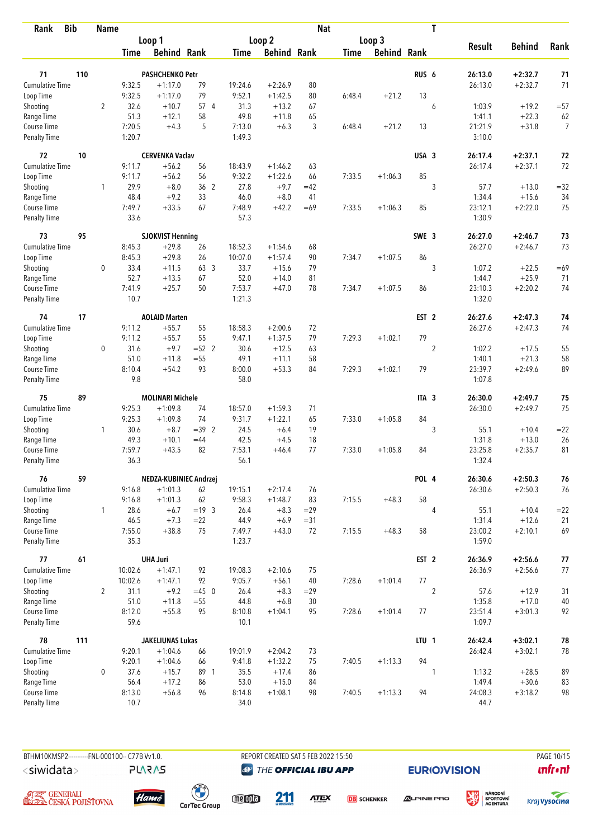| <b>Bib</b><br>Rank           |     | <b>Name</b>    |                  |                         |          |                   |                        | <b>Nat</b> |        |                    |                  | T              |                   |                        |                |
|------------------------------|-----|----------------|------------------|-------------------------|----------|-------------------|------------------------|------------|--------|--------------------|------------------|----------------|-------------------|------------------------|----------------|
|                              |     |                |                  | Loop 1                  |          |                   | Loop 2                 |            |        | Loop 3             |                  |                |                   |                        |                |
|                              |     |                | Time             | <b>Behind Rank</b>      |          | Time              | <b>Behind Rank</b>     |            | Time   | <b>Behind Rank</b> |                  |                | <b>Result</b>     | <b>Behind</b>          | Rank           |
|                              |     |                |                  |                         |          |                   |                        |            |        |                    |                  |                |                   |                        |                |
| 71<br><b>Cumulative Time</b> | 110 |                |                  | <b>PASHCHENKO Petr</b>  | 79       |                   |                        | 80         |        |                    | RUS <sub>6</sub> |                | 26:13.0           | $+2:32.7$<br>$+2:32.7$ | 71<br>71       |
| Loop Time                    |     |                | 9:32.5<br>9:32.5 | $+1:17.0$<br>$+1:17.0$  | 79       | 19:24.6<br>9:52.1 | $+2:26.9$<br>$+1:42.5$ | 80         | 6:48.4 | $+21.2$            | 13               |                | 26:13.0           |                        |                |
| Shooting                     |     | 2              | 32.6             | $+10.7$                 | 57 4     | 31.3              | $+13.2$                | 67         |        |                    |                  | 6              | 1:03.9            | $+19.2$                | $= 57$         |
| Range Time                   |     |                | 51.3             | $+12.1$                 | 58       | 49.8              | $+11.8$                | 65         |        |                    |                  |                | 1:41.1            | $+22.3$                | 62             |
| Course Time                  |     |                | 7:20.5           | $+4.3$                  | 5        | 7:13.0            | $+6.3$                 | 3          | 6:48.4 | $+21.2$            | 13               |                | 21:21.9           | $+31.8$                | $\overline{7}$ |
| Penalty Time                 |     |                | 1:20.7           |                         |          | 1:49.3            |                        |            |        |                    |                  |                | 3:10.0            |                        |                |
| 72                           | 10  |                |                  | <b>CERVENKA Vaclav</b>  |          |                   |                        |            |        |                    | USA 3            |                | 26:17.4           | $+2:37.1$              | 72             |
| Cumulative Time              |     |                | 9:11.7           | $+56.2$                 | 56       | 18:43.9           | $+1:46.2$              | 63         |        |                    |                  |                | 26:17.4           | $+2:37.1$              | 72             |
| Loop Time                    |     |                | 9:11.7           | $+56.2$                 | 56       | 9:32.2            | $+1:22.6$              | 66         | 7:33.5 | $+1:06.3$          | 85               |                |                   |                        |                |
| Shooting                     |     | 1              | 29.9             | $+8.0$                  | 36 2     | 27.8              | $+9.7$                 | $=42$      |        |                    |                  | 3              | 57.7              | $+13.0$                | $= 32$         |
| Range Time                   |     |                | 48.4             | $+9.2$                  | 33       | 46.0              | $+8.0$                 | 41         |        |                    |                  |                | 1:34.4            | $+15.6$                | 34             |
| Course Time                  |     |                | 7:49.7           | $+33.5$                 | 67       | 7:48.9            | $+42.2$                | $=69$      | 7:33.5 | $+1:06.3$          | 85               |                | 23:12.1           | $+2:22.0$              | 75             |
| <b>Penalty Time</b>          |     |                | 33.6             |                         |          | 57.3              |                        |            |        |                    |                  |                | 1:30.9            |                        |                |
| 73                           | 95  |                |                  | <b>SJOKVIST Henning</b> |          |                   |                        |            |        |                    | SWE 3            |                | 26:27.0           | $+2:46.7$              | 73             |
| <b>Cumulative Time</b>       |     |                | 8:45.3           | $+29.8$                 | 26       | 18:52.3           | $+1:54.6$              | 68         |        |                    |                  |                | 26:27.0           | $+2:46.7$              | 73             |
| Loop Time                    |     |                | 8:45.3           | $+29.8$                 | 26       | 10:07.0           | $+1:57.4$              | 90         | 7:34.7 | $+1:07.5$          | 86               |                |                   |                        |                |
| Shooting                     |     | 0              | 33.4             | $+11.5$                 | 63 3     | 33.7              | $+15.6$                | 79         |        |                    |                  | 3              | 1:07.2            | $+22.5$                | $=69$          |
| Range Time                   |     |                | 52.7             | $+13.5$                 | 67       | 52.0              | $+14.0$                | 81         |        |                    |                  |                | 1:44.7            | $+25.9$                | 71             |
| Course Time<br>Penalty Time  |     |                | 7:41.9<br>10.7   | $+25.7$                 | 50       | 7:53.7<br>1:21.3  | $+47.0$                | 78         | 7:34.7 | $+1:07.5$          | 86               |                | 23:10.3<br>1:32.0 | $+2:20.2$              | 74             |
| 74                           | 17  |                |                  | <b>AOLAID Marten</b>    |          |                   |                        |            |        |                    | EST <sub>2</sub> |                | 26:27.6           | $+2:47.3$              | 74             |
| Cumulative Time              |     |                | 9:11.2           | $+55.7$                 | 55       | 18:58.3           | $+2:00.6$              | 72         |        |                    |                  |                | 26:27.6           | $+2:47.3$              | 74             |
| Loop Time                    |     |                | 9:11.2           | $+55.7$                 | 55       | 9:47.1            | $+1:37.5$              | 79         | 7:29.3 | $+1:02.1$          | 79               |                |                   |                        |                |
| Shooting                     |     | 0              | 31.6             | $+9.7$                  | $=52$ 2  | 30.6              | $+12.5$                | 63         |        |                    |                  | $\overline{c}$ | 1:02.2            | $+17.5$                | 55             |
| Range Time                   |     |                | 51.0             | $+11.8$                 | $= 55$   | 49.1              | $+11.1$                | 58         |        |                    |                  |                | 1:40.1            | $+21.3$                | 58             |
| Course Time                  |     |                | 8:10.4           | $+54.2$                 | 93       | 8:00.0            | $+53.3$                | 84         | 7:29.3 | $+1:02.1$          | 79               |                | 23:39.7           | $+2:49.6$              | 89             |
| <b>Penalty Time</b>          |     |                | 9.8              |                         |          | 58.0              |                        |            |        |                    |                  |                | 1:07.8            |                        |                |
| 75                           | 89  |                |                  | <b>MOLINARI Michele</b> |          |                   |                        |            |        |                    | ITA <sub>3</sub> |                | 26:30.0           | $+2:49.7$              | 75             |
| Cumulative Time              |     |                | 9:25.3           | $+1:09.8$               | 74       | 18:57.0           | $+1:59.3$              | 71         |        |                    |                  |                | 26:30.0           | $+2:49.7$              | 75             |
| Loop Time                    |     |                | 9:25.3           | $+1:09.8$               | 74       | 9:31.7            | $+1:22.1$              | 65         | 7:33.0 | $+1:05.8$          | 84               |                |                   |                        |                |
| Shooting                     |     | 1              | 30.6             | $+8.7$                  | $=39$ 2  | 24.5              | $+6.4$                 | 19         |        |                    |                  | 3              | 55.1              | $+10.4$                | $= 22$         |
| Range Time                   |     |                | 49.3             | $+10.1$                 | $=44$    | 42.5              | $+4.5$                 | 18         |        |                    |                  |                | 1:31.8            | $+13.0$                | 26             |
| Course Time                  |     |                | 7:59.7           | $+43.5$                 | 82       | 7:53.1            | $+46.4$                | 77         | 7:33.0 | $+1:05.8$          | 84               |                | 23:25.8           | $+2:35.7$              | 81             |
| Penalty Time                 |     |                | 36.3             |                         |          | 56.1              |                        |            |        |                    |                  |                | 1:32.4            |                        |                |
| 76                           | 59  |                |                  | NEDZA-KUBINIEC Andrzej  |          |                   |                        |            |        |                    | POL 4            |                | 26:30.6           | $+2:50.3$              | 76             |
| Cumulative Time              |     |                | 9:16.8           | $+1:01.3$               | 62       | 19:15.1           | $+2:17.4$              | 76         |        |                    |                  |                | 26:30.6           | $+2:50.3$              | 76             |
| Loop Time                    |     |                | 9:16.8           | $+1:01.3$               | 62       | 9:58.3            | $+1:48.7$              | 83         | 7:15.5 | $+48.3$            | 58               |                |                   |                        |                |
| Shooting                     |     | $\mathbf{1}$   | 28.6             | $+6.7$                  | $= 19$ 3 | 26.4              | $+8.3$                 | $=29$      |        |                    |                  | 4              | 55.1              | $+10.4$                | $=22$          |
| Range Time                   |     |                | 46.5             | $+7.3$                  | $=22$    | 44.9              | $+6.9$                 | $= 31$     |        |                    |                  |                | 1:31.4            | $+12.6$                | 21             |
| Course Time<br>Penalty Time  |     |                | 7:55.0<br>35.3   | $+38.8$                 | 75       | 7:49.7<br>1:23.7  | $+43.0$                | 72         | 7:15.5 | $+48.3$            | 58               |                | 23:00.2<br>1:59.0 | $+2:10.1$              | 69             |
| 77                           | 61  |                |                  | <b>UHA Juri</b>         |          |                   |                        |            |        |                    | EST <sub>2</sub> |                | 26:36.9           | $+2:56.6$              | 77             |
| <b>Cumulative Time</b>       |     |                | 10:02.6          | $+1:47.1$               | 92       | 19:08.3           | $+2:10.6$              | 75         |        |                    |                  |                | 26:36.9           | $+2:56.6$              | 77             |
| Loop Time                    |     |                | 10:02.6          | $+1:47.1$               | 92       | 9:05.7            | $+56.1$                | 40         | 7:28.6 | $+1:01.4$          | 77               |                |                   |                        |                |
| Shooting                     |     | $\overline{2}$ | 31.1             | $+9.2$                  | $=45$ 0  | 26.4              | $+8.3$                 | $=29$      |        |                    |                  | $\overline{2}$ | 57.6              | $+12.9$                | 31             |
| Range Time                   |     |                | 51.0             | $+11.8$                 | $=55$    | 44.8              | $+6.8$                 | 30         |        |                    |                  |                | 1:35.8            | $+17.0$                | $40\,$         |
| Course Time                  |     |                | 8:12.0           | $+55.8$                 | 95       | 8:10.8            | $+1:04.1$              | 95         | 7:28.6 | $+1:01.4$          | 77               |                | 23:51.4           | $+3:01.3$              | 92             |
| Penalty Time                 |     |                | 59.6             |                         |          | 10.1              |                        |            |        |                    |                  |                | 1:09.7            |                        |                |
| 78                           | 111 |                |                  | <b>JAKELIUNAS Lukas</b> |          |                   |                        |            |        |                    | LTU <sub>1</sub> |                | 26:42.4           | $+3:02.1$              | 78             |
| Cumulative Time              |     |                | 9:20.1           | $+1:04.6$               | 66       | 19:01.9           | $+2:04.2$              | 73         |        |                    |                  |                | 26:42.4           | $+3:02.1$              | 78             |
| Loop Time                    |     |                | 9:20.1           | $+1:04.6$               | 66       | 9:41.8            | $+1:32.2$              | 75         | 7:40.5 | $+1:13.3$          | 94               |                |                   |                        |                |
| Shooting                     |     | 0              | 37.6             | $+15.7$                 | 89 1     | 35.5              | $+17.4$                | 86         |        |                    |                  | 1              | 1:13.2            | $+28.5$                | 89             |
| Range Time                   |     |                | 56.4             | $+17.2$                 | 86       | 53.0              | $+15.0$                | 84         |        |                    |                  |                | 1:49.4            | $+30.6$                | 83             |
| Course Time                  |     |                | 8:13.0           | $+56.8$                 | 96       | 8:14.8            | $+1:08.1$              | 98         | 7:40.5 | $+1:13.3$          | 94               |                | 24:08.3           | $+3:18.2$              | 98             |
| Penalty Time                 |     |                | 10.7             |                         |          | 34.0              |                        |            |        |                    |                  |                | 44.7              |                        |                |

**PLARAS** 

BTHM10KMSP2----------FNL-000100-- C77B Vv1.0. REPORT CREATED SAT 5 FEB 2022 15:50 PAGE 10/15 **@** THE OFFICIAL IBU APP

**EURIO)VISION** 

溪







meona

211

**ATEX DB** SCHENKER



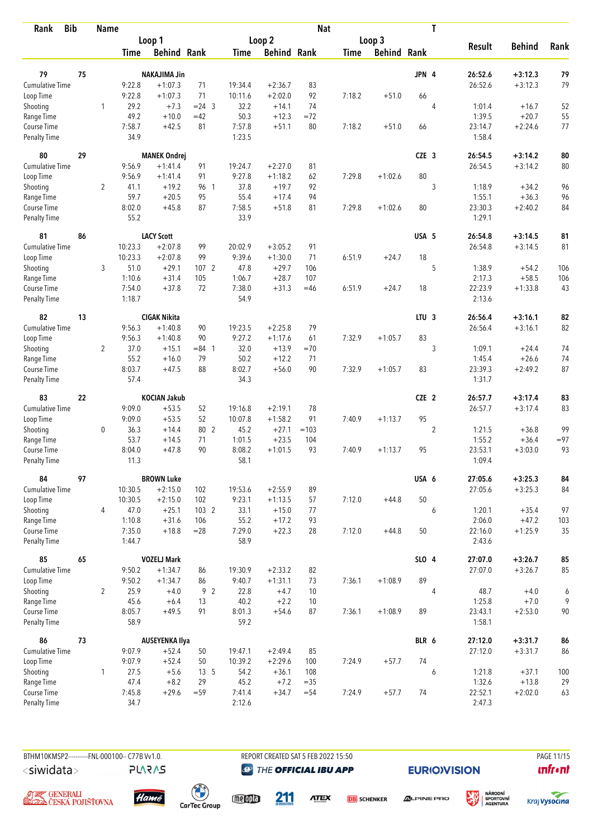| <b>Bib</b><br>Rank                 |    | <b>Name</b>    |                  |                        |                 |                    |                        | <b>Nat</b> |             |                    |                  | T              |                   |               |        |
|------------------------------------|----|----------------|------------------|------------------------|-----------------|--------------------|------------------------|------------|-------------|--------------------|------------------|----------------|-------------------|---------------|--------|
|                                    |    |                |                  | Loop 1                 |                 |                    | Loop 2                 |            |             | Loop 3             |                  |                |                   |               |        |
|                                    |    |                | <b>Time</b>      | <b>Behind Rank</b>     |                 | <b>Time</b>        | <b>Behind Rank</b>     |            | <b>Time</b> | <b>Behind Rank</b> |                  |                | <b>Result</b>     | <b>Behind</b> | Rank   |
|                                    |    |                |                  |                        |                 |                    |                        |            |             |                    |                  |                | 26:52.6           |               |        |
| 79                                 | 75 |                |                  | <b>NAKAJIMA Jin</b>    |                 |                    |                        |            |             |                    | JPN 4            |                |                   | $+3:12.3$     | 79     |
| Cumulative Time                    |    |                | 9:22.8<br>9:22.8 | $+1:07.3$<br>$+1:07.3$ | 71<br>71        | 19:34.4<br>10:11.6 | $+2:36.7$<br>$+2:02.0$ | 83<br>92   | 7:18.2      | $+51.0$            | 66               |                | 26:52.6           | $+3:12.3$     | 79     |
| Loop Time<br>Shooting              |    | 1              | 29.2             | $+7.3$                 | $= 24$ 3        | 32.2               | $+14.1$                | 74         |             |                    |                  | 4              | 1:01.4            | $+16.7$       | 52     |
| Range Time                         |    |                | 49.2             | $+10.0$                | $=42$           | 50.3               | $+12.3$                | $= 72$     |             |                    |                  |                | 1:39.5            | $+20.7$       | 55     |
| Course Time                        |    |                | 7:58.7           | $+42.5$                | 81              | 7:57.8             | $+51.1$                | 80         | 7:18.2      | $+51.0$            | 66               |                | 23:14.7           | $+2:24.6$     | 77     |
| Penalty Time                       |    |                | 34.9             |                        |                 | 1:23.5             |                        |            |             |                    |                  |                | 1:58.4            |               |        |
| 80                                 | 29 |                |                  | <b>MANEK Ondrej</b>    |                 |                    |                        |            |             |                    | CZE <sub>3</sub> |                | 26:54.5           | $+3:14.2$     | 80     |
| <b>Cumulative Time</b>             |    |                | 9:56.9           | $+1:41.4$              | 91              | 19:24.7            | $+2:27.0$              | 81         |             |                    |                  |                | 26:54.5           | $+3:14.2$     | 80     |
| Loop Time                          |    |                | 9:56.9           | $+1:41.4$              | 91              | 9:27.8             | $+1:18.2$              | 62         | 7:29.8      | $+1:02.6$          | 80               |                |                   |               |        |
| Shooting                           |    | $\overline{2}$ | 41.1             | $+19.2$                | 96 1            | 37.8               | $+19.7$                | 92         |             |                    |                  | 3              | 1:18.9            | $+34.2$       | 96     |
| Range Time                         |    |                | 59.7             | $+20.5$                | 95              | 55.4               | $+17.4$                | 94         |             |                    |                  |                | 1:55.1            | $+36.3$       | 96     |
| Course Time                        |    |                | 8:02.0           | $+45.8$                | 87              | 7:58.5             | $+51.8$                | 81         | 7:29.8      | $+1:02.6$          | 80               |                | 23:30.3           | $+2:40.2$     | 84     |
| <b>Penalty Time</b>                |    |                | 55.2             |                        |                 | 33.9               |                        |            |             |                    |                  |                | 1:29.1            |               |        |
| 81                                 | 86 |                |                  | <b>LACY Scott</b>      |                 |                    |                        |            |             |                    | USA 5            |                | 26:54.8           | $+3:14.5$     | 81     |
| Cumulative Time                    |    |                | 10:23.3          | $+2:07.8$              | 99              | 20:02.9            | $+3:05.2$              | 91         |             |                    |                  |                | 26:54.8           | $+3:14.5$     | 81     |
| Loop Time                          |    |                | 10:23.3          | $+2:07.8$              | 99              | 9:39.6             | $+1:30.0$              | 71         | 6:51.9      | $+24.7$            | 18               |                |                   |               |        |
| Shooting                           |    | 3              | 51.0             | $+29.1$                | 107 2           | 47.8               | $+29.7$                | 106        |             |                    |                  | 5              | 1:38.9            | $+54.2$       | 106    |
| Range Time                         |    |                | 1:10.6           | $+31.4$                | 105             | 1:06.7             | $+28.7$                | 107        |             |                    |                  |                | 2:17.3            | $+58.5$       | 106    |
| Course Time<br><b>Penalty Time</b> |    |                | 7:54.0<br>1:18.7 | $+37.8$                | 72              | 7:38.0<br>54.9     | $+31.3$                | $=46$      | 6:51.9      | $+24.7$            | 18               |                | 22:23.9<br>2:13.6 | $+1:33.8$     | 43     |
| 82                                 | 13 |                |                  | <b>CIGAK Nikita</b>    |                 |                    |                        |            |             |                    | LTU <sub>3</sub> |                | 26:56.4           | $+3:16.1$     | 82     |
| <b>Cumulative Time</b>             |    |                | 9:56.3           | $+1:40.8$              | 90              | 19:23.5            | $+2:25.8$              | 79         |             |                    |                  |                | 26:56.4           | $+3:16.1$     | 82     |
| Loop Time                          |    |                | 9:56.3           | $+1:40.8$              | 90              | 9:27.2             | $+1:17.6$              | 61         | 7:32.9      | $+1:05.7$          | 83               |                |                   |               |        |
| Shooting                           |    | $\overline{2}$ | 37.0             | $+15.1$                | $= 84$ 1        | 32.0               | $+13.9$                | $=70$      |             |                    |                  | 3              | 1:09.1            | $+24.4$       | 74     |
| Range Time                         |    |                | 55.2             | $+16.0$                | 79              | 50.2               | $+12.2$                | 71         |             |                    |                  |                | 1:45.4            | $+26.6$       | 74     |
| Course Time                        |    |                | 8:03.7           | $+47.5$                | 88              | 8:02.7             | $+56.0$                | 90         | 7:32.9      | $+1:05.7$          | 83               |                | 23:39.3           | $+2:49.2$     | 87     |
| <b>Penalty Time</b>                |    |                | 57.4             |                        |                 | 34.3               |                        |            |             |                    |                  |                | 1:31.7            |               |        |
| 83                                 | 22 |                |                  | <b>KOCIAN Jakub</b>    |                 |                    |                        |            |             |                    | CZE 2            |                | 26:57.7           | $+3:17.4$     | 83     |
| <b>Cumulative Time</b>             |    |                | 9:09.0           | $+53.5$                | 52              | 19:16.8            | $+2:19.1$              | 78         |             |                    |                  |                | 26:57.7           | $+3:17.4$     | 83     |
| Loop Time                          |    |                | 9:09.0           | $+53.5$                | 52              | 10:07.8            | $+1:58.2$              | 91         | 7:40.9      | $+1:13.7$          | 95               |                |                   |               |        |
| Shooting                           |    | $\mathbf 0$    | 36.3             | $+14.4$                | 80 2            | 45.2               | $+27.1$                | $=103$     |             |                    |                  | $\overline{2}$ | 1:21.5            | $+36.8$       | 99     |
| Range Time                         |    |                | 53.7             | $+14.5$                | 71              | 1:01.5             | $+23.5$                | 104        |             |                    |                  |                | 1:55.2            | $+36.4$       | $= 97$ |
| Course Time                        |    |                | 8:04.0           | $+47.8$                | 90              | 8:08.2             | $+1:01.5$              | 93         | 7:40.9      | $+1:13.7$          | 95               |                | 23:53.1           | $+3:03.0$     | 93     |
| <b>Penalty Time</b>                |    |                | 11.3             |                        |                 | 58.1               |                        |            |             |                    |                  |                | 1:09.4            |               |        |
| 84                                 | 97 |                |                  | <b>BROWN Luke</b>      |                 |                    |                        |            |             |                    | USA 6            |                | 27:05.6           | $+3:25.3$     | 84     |
| <b>Cumulative Time</b>             |    |                | 10:30.5          | $+2:15.0$              | 102             | 19:53.6            | $+2:55.9$              | 89         |             |                    |                  |                | 27:05.6           | $+3:25.3$     | 84     |
| Loop Time                          |    |                | 10:30.5          | $+2:15.0$              | 102             | 9:23.1             | $+1:13.5$              | 57         | 7:12.0      | $+44.8$            | 50               |                |                   |               |        |
| Shooting                           |    | 4              | 47.0             | $+25.1$                | 103 2           | 33.1               | $+15.0$                | 77         |             |                    |                  | 6              | 1:20.1            | $+35.4$       | 97     |
| Range Time                         |    |                | 1:10.8           | $+31.6$                | 106             | 55.2               | $+17.2$                | 93         |             |                    |                  |                | 2:06.0            | $+47.2$       | 103    |
| Course Time<br>Penalty Time        |    |                | 7:35.0<br>1:44.7 | $+18.8$                | $= 28$          | 7:29.0<br>58.9     | $+22.3$                | 28         | 7:12.0      | $+44.8$            | 50               |                | 22:16.0<br>2:43.6 | $+1:25.9$     | 35     |
| 85                                 | 65 |                |                  | <b>VOZELJ Mark</b>     |                 |                    |                        |            |             |                    | SLO 4            |                | 27:07.0           | $+3:26.7$     | 85     |
| Cumulative Time                    |    |                | 9:50.2           | $+1:34.7$              | 86              | 19:30.9            | $+2:33.2$              | 82         |             |                    |                  |                | 27:07.0           | $+3:26.7$     | 85     |
| Loop Time                          |    |                | 9:50.2           | $+1:34.7$              | 86              | 9:40.7             | $+1:31.1$              | 73         | 7:36.1      | $+1:08.9$          | 89               |                |                   |               |        |
| Shooting                           |    | $\overline{2}$ | 25.9             | $+4.0$                 | 92              | 22.8               | $+4.7$                 | 10         |             |                    |                  | 4              | 48.7              | $+4.0$        | 6      |
| Range Time                         |    |                | 45.6             | $+6.4$                 | 13              | 40.2               | $+2.2$                 | 10         |             |                    |                  |                | 1:25.8            | $+7.0$        | 9      |
| Course Time                        |    |                | 8:05.7           | $+49.5$                | 91              | 8:01.3             | $+54.6$                | 87         | 7:36.1      | $+1:08.9$          | 89               |                | 23:43.1           | $+2:53.0$     | $90\,$ |
| Penalty Time                       |    |                | 58.9             |                        |                 | 59.2               |                        |            |             |                    |                  |                | 1:58.1            |               |        |
| 86                                 | 73 |                |                  | <b>AUSEYENKA Ilya</b>  |                 |                    |                        |            |             |                    | BLR 6            |                | 27:12.0           | $+3:31.7$     | 86     |
| <b>Cumulative Time</b>             |    |                | 9:07.9           | $+52.4$                | 50              | 19:47.1            | $+2:49.4$              | 85         |             |                    |                  |                | 27:12.0           | $+3:31.7$     | 86     |
| Loop Time                          |    |                | 9:07.9           | $+52.4$                | 50              | 10:39.2            | $+2:29.6$              | 100        | 7:24.9      | $+57.7$            | 74               |                |                   |               |        |
| Shooting                           |    | $\mathbf{1}$   | 27.5             | $+5.6$                 | 13 <sub>5</sub> | 54.2               | $+36.1$                | 108        |             |                    |                  | 6              | 1:21.8            | $+37.1$       | 100    |
| Range Time                         |    |                | 47.4             | $+8.2$                 | 29              | 45.2               | $+7.2$                 | $= 35$     |             |                    |                  |                | 1:32.6            | $+13.8$       | 29     |
| Course Time<br>Penalty Time        |    |                | 7:45.8<br>34.7   | $+29.6$                | $= 59$          | 7:41.4<br>2:12.6   | $+34.7$                | $= 54$     | 7:24.9      | $+57.7$            | 74               |                | 22:52.1<br>2:47.3 | $+2:02.0$     | 63     |
|                                    |    |                |                  |                        |                 |                    |                        |            |             |                    |                  |                |                   |               |        |

**PLARAS** 

BTHM10KMSP2----------FNL-000100-- C77B Vv1.0. REPORT CREATED SAT 5 FEB 2022 15:50 PAGE 11/15 **@** THE OFFICIAL IBU APP

**EURIO)VISION** 

溪

**unfront** 





 $\begin{pmatrix} 1 \\ 1 \end{pmatrix}$ <br>CarTec Group



211 **ATEX** 

**DB** SCHENKER



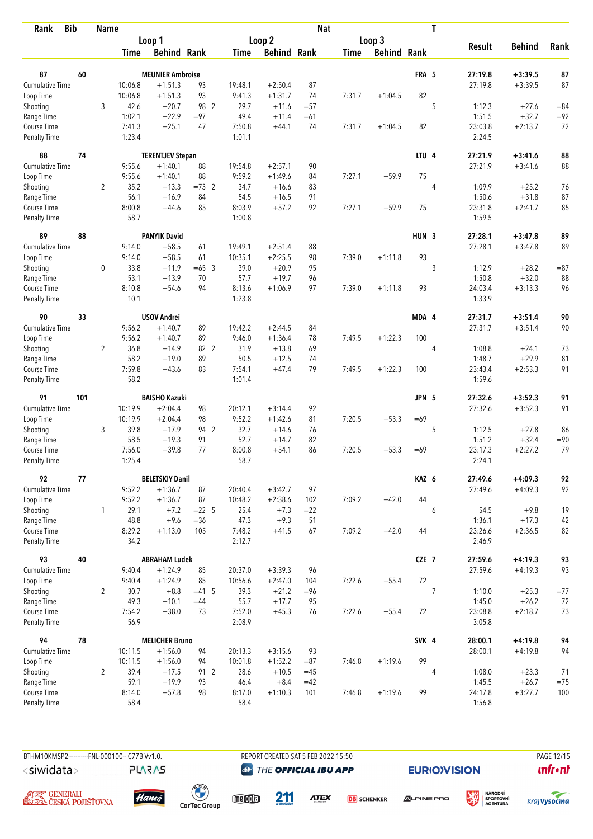| Rank                               | <b>Bib</b> | Name           |                  |                         |                |                  |                     | <b>Nat</b>    |        |                    |                  | T |                   |               |        |
|------------------------------------|------------|----------------|------------------|-------------------------|----------------|------------------|---------------------|---------------|--------|--------------------|------------------|---|-------------------|---------------|--------|
|                                    |            |                |                  | Loop 1                  |                |                  | Loop 2              |               |        | Loop 3             |                  |   |                   |               |        |
|                                    |            |                | <b>Time</b>      | <b>Behind Rank</b>      |                | Time             | <b>Behind Rank</b>  |               | Time   | <b>Behind Rank</b> |                  |   | <b>Result</b>     | <b>Behind</b> | Rank   |
| 87                                 | 60         |                |                  | <b>MEUNIER Ambroise</b> |                |                  |                     |               |        |                    | FRA 5            |   | 27:19.8           | $+3:39.5$     | 87     |
| <b>Cumulative Time</b>             |            |                | 10:06.8          | $+1:51.3$               | 93             | 19:48.1          | $+2:50.4$           | 87            |        |                    |                  |   | 27:19.8           | $+3:39.5$     | 87     |
| Loop Time                          |            |                | 10:06.8          | $+1:51.3$               | 93             | 9:41.3           | $+1:31.7$           | 74            | 7:31.7 | $+1:04.5$          | 82               |   |                   |               |        |
| Shooting                           |            | 3              | 42.6             | $+20.7$                 | 98 2           | 29.7             | $+11.6$             | $= 57$        |        |                    |                  | 5 | 1:12.3            | $+27.6$       | $= 84$ |
| Range Time                         |            |                | 1:02.1           | $+22.9$                 | $= 97$         | 49.4             | $+11.4$             | $=61$         |        |                    |                  |   | 1:51.5            | $+32.7$       | $= 92$ |
| Course Time                        |            |                | 7:41.3           | $+25.1$                 | 47             | 7:50.8           | $+44.1$             | 74            | 7:31.7 | $+1:04.5$          | 82               |   | 23:03.8           | $+2:13.7$     | 72     |
| <b>Penalty Time</b>                |            |                | 1:23.4           |                         |                | 1:01.1           |                     |               |        |                    |                  |   | 2:24.5            |               |        |
| 88                                 | 74         |                |                  | <b>TERENTJEV Stepan</b> |                |                  |                     |               |        |                    | LTU <sub>4</sub> |   | 27:21.9           | $+3:41.6$     | 88     |
| Cumulative Time                    |            |                | 9:55.6           | $+1:40.1$               | 88             | 19:54.8          | $+2:57.1$           | 90            |        |                    |                  |   | 27:21.9           | $+3:41.6$     | 88     |
| Loop Time                          |            |                | 9:55.6           | $+1:40.1$               | 88             | 9:59.2           | $+1:49.6$           | 84            | 7:27.1 | $+59.9$            | 75               |   |                   |               |        |
| Shooting                           |            | $\overline{2}$ | 35.2             | $+13.3$                 | $=73$ 2        | 34.7             | $+16.6$             | 83            |        |                    |                  | 4 | 1:09.9            | $+25.2$       | 76     |
| Range Time                         |            |                | 56.1             | $+16.9$                 | 84             | 54.5             | $+16.5$             | 91            |        |                    |                  |   | 1:50.6            | $+31.8$       | 87     |
| Course Time                        |            |                | 8:00.8           | $+44.6$                 | 85             | 8:03.9           | $+57.2$             | 92            | 7:27.1 | $+59.9$            | 75               |   | 23:31.8           | $+2:41.7$     | 85     |
| Penalty Time                       |            |                | 58.7             |                         |                | 1:00.8           |                     |               |        |                    |                  |   | 1:59.5            |               |        |
| 89                                 | 88         |                |                  | <b>PANYIK David</b>     |                |                  |                     |               |        |                    | HUN <sub>3</sub> |   | 27:28.1           | $+3:47.8$     | 89     |
| <b>Cumulative Time</b>             |            |                | 9:14.0           | $+58.5$                 | 61             | 19:49.1          | $+2:51.4$           | 88            |        |                    |                  |   | 27:28.1           | $+3:47.8$     | 89     |
| Loop Time                          |            |                | 9:14.0           | $+58.5$                 | 61             | 10:35.1          | $+2:25.5$           | 98            | 7:39.0 | $+1:11.8$          | 93               |   |                   |               |        |
| Shooting                           |            | $\mathbf 0$    | 33.8             | $+11.9$                 | $=65$ 3        | 39.0             | $+20.9$             | 95            |        |                    |                  | 3 | 1:12.9            | $+28.2$       | $= 87$ |
| Range Time                         |            |                | 53.1             | $+13.9$                 | 70             | 57.7             | $+19.7$             | 96            |        |                    |                  |   | 1:50.8            | $+32.0$       | 88     |
| Course Time<br><b>Penalty Time</b> |            |                | 8:10.8<br>10.1   | $+54.6$                 | 94             | 8:13.6<br>1:23.8 | $+1:06.9$           | 97            | 7:39.0 | $+1:11.8$          | 93               |   | 24:03.4<br>1:33.9 | $+3:13.3$     | 96     |
| 90                                 | 33         |                |                  | <b>USOV Andrei</b>      |                |                  |                     |               |        |                    | MDA 4            |   | 27:31.7           | $+3:51.4$     | 90     |
| <b>Cumulative Time</b>             |            |                | 9:56.2           | $+1:40.7$               | 89             | 19:42.2          | $+2:44.5$           | 84            |        |                    |                  |   | 27:31.7           | $+3:51.4$     | 90     |
| Loop Time                          |            |                | 9:56.2           | $+1:40.7$               | 89             | 9:46.0           | $+1:36.4$           | 78            | 7:49.5 | $+1:22.3$          | 100              |   |                   |               |        |
| Shooting                           |            | $\overline{2}$ | 36.8             | $+14.9$                 | 82 2           | 31.9             | $+13.8$             | 69            |        |                    |                  | 4 | 1:08.8            | $+24.1$       | 73     |
| Range Time                         |            |                | 58.2             | $+19.0$                 | 89             | 50.5             | $+12.5$             | 74            |        |                    |                  |   | 1:48.7            | $+29.9$       | 81     |
| Course Time                        |            |                | 7:59.8           | $+43.6$                 | 83             | 7:54.1           | $+47.4$             | 79            | 7:49.5 | $+1:22.3$          | 100              |   | 23:43.4           | $+2:53.3$     | 91     |
| <b>Penalty Time</b>                |            |                | 58.2             |                         |                | 1:01.4           |                     |               |        |                    |                  |   | 1:59.6            |               |        |
| 91                                 | 101        |                |                  | <b>BAISHO Kazuki</b>    |                |                  |                     |               |        |                    | JPN 5            |   | 27:32.6           | $+3:52.3$     | 91     |
| <b>Cumulative Time</b>             |            |                | 10:19.9          | $+2:04.4$               | 98             | 20:12.1          | $+3:14.4$           | 92            |        |                    |                  |   | 27:32.6           | $+3:52.3$     | 91     |
| Loop Time                          |            |                | 10:19.9          | $+2:04.4$               | 98             | 9:52.2           | $+1:42.6$           | 81            | 7:20.5 | $+53.3$            | $=69$            |   |                   |               |        |
| Shooting                           |            | 3              | 39.8             | $+17.9$                 | 94 2           | 32.7             | $+14.6$             | 76            |        |                    |                  | 5 | 1:12.5            | $+27.8$       | 86     |
| Range Time                         |            |                | 58.5             | $+19.3$                 | 91             | 52.7             | $+14.7$             | 82            |        |                    |                  |   | 1:51.2            | $+32.4$       | $= 90$ |
| Course Time                        |            |                | 7:56.0           | $+39.8$                 | 77             | 8:00.8           | $+54.1$             | 86            | 7:20.5 | $+53.3$            | $=69$            |   | 23:17.3           | $+2:27.2$     | 79     |
| <b>Penalty Time</b>                |            |                | 1:25.4           |                         |                | 58.7             |                     |               |        |                    |                  |   | 2:24.1            |               |        |
| 92                                 | 77         |                |                  | <b>BELETSKIY Danil</b>  |                |                  |                     |               |        |                    | KAZ 6            |   | 27:49.6           | $+4:09.3$     | 92     |
| <b>Cumulative Time</b>             |            |                | 9:52.2<br>9:52.2 | $+1:36.7$               | 87<br>87       | 20:40.4          | $+3:42.7$           | 97            |        |                    | 44               |   | 27:49.6           | $+4:09.3$     | 92     |
| Loop Time<br>Shooting              |            | $\mathbf{1}$   | 29.1             | $+1:36.7$<br>$+7.2$     | $= 22 \quad 5$ | 10:48.2<br>25.4  | $+2:38.6$<br>$+7.3$ | 102<br>$= 22$ | 7:09.2 | $+42.0$            |                  | 6 | 54.5              | $+9.8$        | 19     |
| Range Time                         |            |                | 48.8             | $+9.6$                  | $= 36$         | 47.3             | $+9.3$              | 51            |        |                    |                  |   | 1:36.1            | $+17.3$       | 42     |
| Course Time                        |            |                | 8:29.2           | $+1:13.0$               | 105            | 7:48.2           | $+41.5$             | 67            | 7:09.2 | $+42.0$            | 44               |   | 23:26.6           | $+2:36.5$     | 82     |
| Penalty Time                       |            |                | 34.2             |                         |                | 2:12.7           |                     |               |        |                    |                  |   | 2:46.9            |               |        |
| 93                                 | 40         |                |                  | <b>ABRAHAM Ludek</b>    |                |                  |                     |               |        |                    | CZE 7            |   | 27:59.6           | $+4:19.3$     | 93     |
| <b>Cumulative Time</b>             |            |                | 9:40.4           | $+1:24.9$               | 85             | 20:37.0          | $+3:39.3$           | 96            |        |                    |                  |   | 27:59.6           | $+4:19.3$     | 93     |
| Loop Time                          |            |                | 9:40.4           | $+1:24.9$               | 85             | 10:56.6          | $+2:47.0$           | 104           | 7:22.6 | $+55.4$            | 72               |   |                   |               |        |
| Shooting                           |            | $\overline{2}$ | 30.7             | $+8.8$                  | $= 41.5$       | 39.3             | $+21.2$             | $= 96$        |        |                    |                  | 7 | 1:10.0            | $+25.3$       | $=77$  |
| Range Time                         |            |                | 49.3             | $+10.1$                 | $=44$          | 55.7             | $+17.7$             | 95            |        |                    |                  |   | 1:45.0            | $+26.2$       | 72     |
| Course Time<br><b>Penalty Time</b> |            |                | 7:54.2<br>56.9   | $+38.0$                 | 73             | 7:52.0<br>2:08.9 | $+45.3$             | 76            | 7:22.6 | $+55.4$            | 72               |   | 23:08.8<br>3:05.8 | $+2:18.7$     | 73     |
| 94                                 | 78         |                |                  | <b>MELICHER Bruno</b>   |                |                  |                     |               |        |                    | SVK 4            |   | 28:00.1           | $+4:19.8$     | 94     |
| Cumulative Time                    |            |                | 10:11.5          | $+1:56.0$               | 94             | 20:13.3          | $+3:15.6$           | 93            |        |                    |                  |   | 28:00.1           | $+4:19.8$     | 94     |
| Loop Time                          |            |                | 10:11.5          | $+1:56.0$               | 94             | 10:01.8          | $+1:52.2$           | $= 87$        | 7:46.8 | $+1:19.6$          | 99               |   |                   |               |        |
| Shooting                           |            | $\overline{2}$ | 39.4             | $+17.5$                 | 91 2           | 28.6             | $+10.5$             | $=45$         |        |                    |                  | 4 | 1:08.0            | $+23.3$       | 71     |
| Range Time                         |            |                | 59.1             | $+19.9$                 | 93             | 46.4             | $+8.4$              | $=42$         |        |                    |                  |   | 1:45.5            | $+26.7$       | $=75$  |
| Course Time                        |            |                | 8:14.0           | $+57.8$                 | 98             | 8:17.0           | $+1:10.3$           | 101           | 7:46.8 | $+1:19.6$          | 99               |   | 24:17.8           | $+3:27.7$     | 100    |
| <b>Penalty Time</b>                |            |                | 58.4             |                         |                | 58.4             |                     |               |        |                    |                  |   | 1:56.8            |               |        |

BTHM10KMSP2----------FNL-000100-- C77B Vv1.0. **PLARAS**  REPORT CREATED SAT 5 FEB 2022 15:50 **@** THE OFFICIAL IBU APP

**EURIO)VISION** 

溪







 $\begin{pmatrix} 1 \\ 1 \end{pmatrix}$ <br>CarTec Group

meona 211

**ATEX DB** SCHENKER



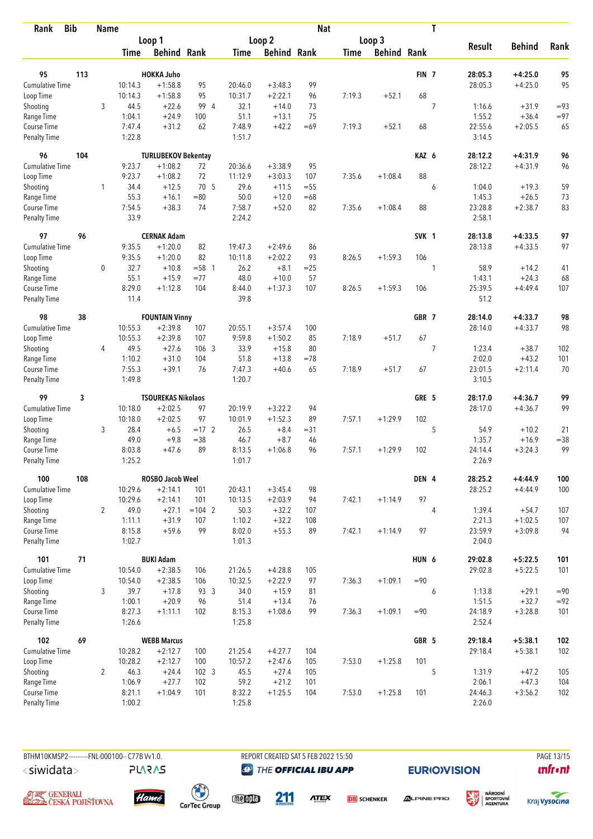| <b>Bib</b><br>Rank                 |     | <b>Name</b>    |                  |                                    |                  |                   |                        | <b>Nat</b> |             |                    |                  | T              |                   |               |        |
|------------------------------------|-----|----------------|------------------|------------------------------------|------------------|-------------------|------------------------|------------|-------------|--------------------|------------------|----------------|-------------------|---------------|--------|
|                                    |     |                |                  | Loop 1                             |                  |                   | Loop <sub>2</sub>      |            |             | Loop 3             |                  |                | <b>Result</b>     | <b>Behind</b> | Rank   |
|                                    |     |                | <b>Time</b>      | <b>Behind Rank</b>                 |                  | <b>Time</b>       | <b>Behind Rank</b>     |            | <b>Time</b> | <b>Behind Rank</b> |                  |                |                   |               |        |
| 95                                 | 113 |                |                  | <b>HOKKA Juho</b>                  |                  |                   |                        |            |             |                    | FIN <sub>7</sub> |                | 28:05.3           | $+4:25.0$     | 95     |
| <b>Cumulative Time</b>             |     |                | 10:14.3          | $+1:58.8$                          | 95               | 20:46.0           | $+3:48.3$              | 99         |             |                    |                  |                | 28:05.3           | $+4:25.0$     | 95     |
| Loop Time                          |     |                | 10:14.3          | $+1:58.8$                          | 95               | 10:31.7           | $+2:22.1$              | 96         | 7:19.3      | $+52.1$            | 68               |                |                   |               |        |
| Shooting                           |     | 3              | 44.5             | $+22.6$                            | 99 4             | 32.1              | $+14.0$                | 73         |             |                    |                  | $\overline{7}$ | 1:16.6            | $+31.9$       | $= 93$ |
| Range Time                         |     |                | 1:04.1           | $+24.9$                            | 100              | 51.1              | $+13.1$                | 75         |             |                    |                  |                | 1:55.2            | $+36.4$       | $= 97$ |
| Course Time                        |     |                | 7:47.4           | $+31.2$                            | 62               | 7:48.9            | $+42.2$                | $=69$      | 7:19.3      | $+52.1$            | 68               |                | 22:55.6           | $+2:05.5$     | 65     |
| <b>Penalty Time</b>                |     |                | 1:22.8           |                                    |                  | 1:51.7            |                        |            |             |                    |                  |                | 3:14.5            |               |        |
| 96                                 | 104 |                |                  | <b>TURLUBEKOV Bekentay</b>         |                  |                   |                        |            |             |                    | KAZ 6            |                | 28:12.2           | $+4:31.9$     | 96     |
| <b>Cumulative Time</b>             |     |                | 9:23.7           | $+1:08.2$                          | 72               | 20:36.6           | $+3:38.9$              | 95         |             |                    |                  |                | 28:12.2           | $+4:31.9$     | 96     |
| Loop Time                          |     |                | 9:23.7           | $+1:08.2$                          | 72               | 11:12.9           | $+3:03.3$              | 107        | 7:35.6      | $+1:08.4$          | 88               |                |                   |               |        |
| Shooting                           |     | 1              | 34.4             | $+12.5$                            | 70 5             | 29.6              | $+11.5$                | $= 55$     |             |                    |                  | 6              | 1:04.0            | $+19.3$       | 59     |
| Range Time                         |     |                | 55.3             | $+16.1$                            | $=80$            | 50.0              | $+12.0$                | $=68$      |             |                    |                  |                | 1:45.3            | $+26.5$       | 73     |
| Course Time                        |     |                | 7:54.5           | $+38.3$                            | 74               | 7:58.7            | $+52.0$                | 82         | 7:35.6      | $+1:08.4$          | 88               |                | 23:28.8           | $+2:38.7$     | 83     |
| <b>Penalty Time</b>                |     |                | 33.9             |                                    |                  | 2:24.2            |                        |            |             |                    |                  |                | 2:58.1            |               |        |
| 97                                 | 96  |                |                  | <b>CERNAK Adam</b>                 |                  |                   |                        |            |             |                    | SVK 1            |                | 28:13.8           | $+4:33.5$     | 97     |
| <b>Cumulative Time</b>             |     |                | 9:35.5           | $+1:20.0$                          | 82               | 19:47.3           | $+2:49.6$              | 86         |             |                    |                  |                | 28:13.8           | $+4:33.5$     | 97     |
| Loop Time                          |     |                | 9:35.5           | $+1:20.0$                          | 82               | 10:11.8           | $+2:02.2$              | 93         | 8:26.5      | $+1:59.3$          | 106              |                |                   |               |        |
| Shooting                           |     | $\mathbf 0$    | 32.7             | $+10.8$                            | $= 58$ 1         | 26.2              | $+8.1$                 | $=25$      |             |                    |                  | 1              | 58.9              | $+14.2$       | 41     |
| Range Time                         |     |                | 55.1             | $+15.9$                            | $= 77$           | 48.0              | $+10.0$                | 57         |             |                    |                  |                | 1:43.1            | $+24.3$       | 68     |
| Course Time<br><b>Penalty Time</b> |     |                | 8:29.0<br>11.4   | $+1:12.8$                          | 104              | 8:44.0<br>39.8    | $+1:37.3$              | 107        | 8:26.5      | $+1:59.3$          | 106              |                | 25:39.5<br>51.2   | $+4:49.4$     | 107    |
|                                    |     |                |                  |                                    |                  |                   |                        |            |             |                    |                  |                |                   |               |        |
| 98                                 | 38  |                | 10:55.3          | <b>FOUNTAIN Vinny</b><br>$+2:39.8$ | 107              |                   |                        |            |             |                    | GBR 7            |                | 28:14.0           | $+4:33.7$     | 98     |
| Cumulative Time                    |     |                | 10:55.3          | $+2:39.8$                          | 107              | 20:55.1<br>9:59.8 | $+3:57.4$<br>$+1:50.2$ | 100<br>85  | 7:18.9      | $+51.7$            | 67               |                | 28:14.0           | $+4:33.7$     | 98     |
| Loop Time<br>Shooting              |     | 4              | 49.5             | $+27.6$                            | 106 3            | 33.9              | $+15.8$                | 80         |             |                    |                  | $\overline{7}$ | 1:23.4            | $+38.7$       | 102    |
| Range Time                         |     |                | 1:10.2           | $+31.0$                            | 104              | 51.8              | $+13.8$                | $=78$      |             |                    |                  |                | 2:02.0            | $+43.2$       | 101    |
| Course Time                        |     |                | 7:55.3           | $+39.1$                            | 76               | 7:47.3            | $+40.6$                | 65         | 7:18.9      | $+51.7$            | 67               |                | 23:01.5           | $+2:11.4$     | 70     |
| <b>Penalty Time</b>                |     |                | 1:49.8           |                                    |                  | 1:20.7            |                        |            |             |                    |                  |                | 3:10.5            |               |        |
| 99                                 | 3   |                |                  | <b>TSOUREKAS Nikolaos</b>          |                  |                   |                        |            |             |                    | GRE 5            |                | 28:17.0           | $+4:36.7$     | 99     |
| Cumulative Time                    |     |                | 10:18.0          | $+2:02.5$                          | 97               | 20:19.9           | $+3:22.2$              | 94         |             |                    |                  |                | 28:17.0           | $+4:36.7$     | 99     |
| Loop Time                          |     |                | 10:18.0          | $+2:02.5$                          | 97               | 10:01.9           | $+1:52.3$              | 89         | 7:57.1      | $+1:29.9$          | 102              |                |                   |               |        |
| Shooting                           |     | 3              | 28.4             | $+6.5$                             | $= 172$          | 26.5              | $+8.4$                 | $= 31$     |             |                    |                  | 5              | 54.9              | $+10.2$       | 21     |
| Range Time                         |     |                | 49.0             | $+9.8$                             | $= 38$           | 46.7              | $+8.7$                 | 46         |             |                    |                  |                | 1:35.7            | $+16.9$       | $= 38$ |
| Course Time                        |     |                | 8:03.8           | $+47.6$                            | 89               | 8:13.5            | $+1:06.8$              | 96         | 7:57.1      | $+1:29.9$          | 102              |                | 24:14.4           | $+3:24.3$     | 99     |
| <b>Penalty Time</b>                |     |                | 1:25.2           |                                    |                  | 1:01.7            |                        |            |             |                    |                  |                | 2:26.9            |               |        |
| 100                                | 108 |                |                  | ROSBO Jacob Weel                   |                  |                   |                        |            |             |                    | DEN 4            |                | 28:25.2           | $+4:44.9$     | 100    |
| <b>Cumulative Time</b>             |     |                | 10:29.6          | $+2:14.1$                          | 101              | 20:43.1           | $+3:45.4$              | 98         |             |                    |                  |                | 28:25.2           | $+4:44.9$     | 100    |
| Loop Time                          |     |                | 10:29.6          | $+2:14.1$                          | 101              | 10:13.5           | $+2:03.9$              | 94         | 7:42.1      | $+1:14.9$          | 97               |                |                   |               |        |
| Shooting                           |     | $\overline{2}$ | 49.0             | $+27.1$                            | $= 104$ 2        | 50.3              | $+32.2$                | 107        |             |                    |                  | 4              | 1:39.4            | $+54.7$       | 107    |
| Range Time                         |     |                | 1:11.1           | $+31.9$                            | 107              | 1:10.2            | $+32.2$                | 108        |             |                    |                  |                | 2:21.3            | $+1:02.5$     | 107    |
| Course Time<br>Penalty Time        |     |                | 8:15.8<br>1:02.7 | $+59.6$                            | 99               | 8:02.0<br>1:01.3  | $+55.3$                | 89         | 7:42.1      | $+1:14.9$          | 97               |                | 23:59.9<br>2:04.0 | $+3:09.8$     | 94     |
| 101                                | 71  |                |                  | <b>BUKI Adam</b>                   |                  |                   |                        |            |             |                    | HUN 6            |                | 29:02.8           | $+5:22.5$     | 101    |
| Cumulative Time                    |     |                | 10:54.0          | $+2:38.5$                          | 106              | 21:26.5           | $+4:28.8$              | 105        |             |                    |                  |                | 29:02.8           | $+5:22.5$     | 101    |
| Loop Time                          |     |                | 10:54.0          | $+2:38.5$                          | 106              | 10:32.5           | $+2:22.9$              | 97         | 7:36.3      | $+1:09.1$          | $= 90$           |                |                   |               |        |
| Shooting                           |     | 3              | 39.7             | $+17.8$                            | 93 3             | 34.0              | $+15.9$                | 81         |             |                    |                  | 6              | 1:13.8            | $+29.1$       | $= 90$ |
| Range Time                         |     |                | 1:00.1           | $+20.9$                            | 96               | 51.4              | $+13.4$                | 76         |             |                    |                  |                | 1:51.5            | $+32.7$       | $= 92$ |
| Course Time                        |     |                | 8:27.3           | $+1:11.1$                          | 102              | 8:15.3            | $+1:08.6$              | 99         | 7:36.3      | $+1:09.1$          | $= 90$           |                | 24:18.9           | $+3:28.8$     | 101    |
| Penalty Time                       |     |                | 1:26.6           |                                    |                  | 1:25.8            |                        |            |             |                    |                  |                | 2:52.4            |               |        |
| 102                                | 69  |                |                  | <b>WEBB Marcus</b>                 |                  |                   |                        |            |             |                    | GBR 5            |                | 29:18.4           | $+5:38.1$     | 102    |
| Cumulative Time                    |     |                | 10:28.2          | $+2:12.7$                          | 100              | 21:25.4           | $+4:27.7$              | 104        |             |                    |                  |                | 29:18.4           | $+5:38.1$     | 102    |
| Loop Time                          |     |                | 10:28.2          | $+2:12.7$                          | 100              | 10:57.2           | $+2:47.6$              | 105        | 7:53.0      | $+1:25.8$          | 101              |                |                   |               |        |
| Shooting                           |     | $\overline{2}$ | 46.3             | $+24.4$                            | 102 <sub>3</sub> | 45.5              | $+27.4$                | 105        |             |                    |                  | 5              | 1:31.9            | $+47.2$       | 105    |
| Range Time                         |     |                | 1:06.9           | $+27.7$                            | 102              | 59.2              | $+21.2$                | 101        |             |                    |                  |                | 2:06.1            | $+47.3$       | 104    |
| Course Time                        |     |                | 8:21.1           | $+1:04.9$                          | 101              | 8:32.2            | $+1:25.5$              | 104        | 7:53.0      | $+1:25.8$          | 101              |                | 24:46.3           | $+3:56.2$     | 102    |
| Penalty Time                       |     |                | 1:00.2           |                                    |                  | 1:25.8            |                        |            |             |                    |                  |                | 2:26.0            |               |        |

BTHM10KMSP2----------FNL-000100-- C77B Vv1.0. <siwidata>

**PLARAS** 

REPORT CREATED SAT 5 FEB 2022 15:50 **@** THE OFFICIAL IBU APP

**EURIO)VISION** 

溪

PAGE 13/15 **unfront** 





 $\begin{pmatrix} 1 \\ 1 \end{pmatrix}$ <br>CarTec Group

meona

211

**ATEX DB** SCHENKER



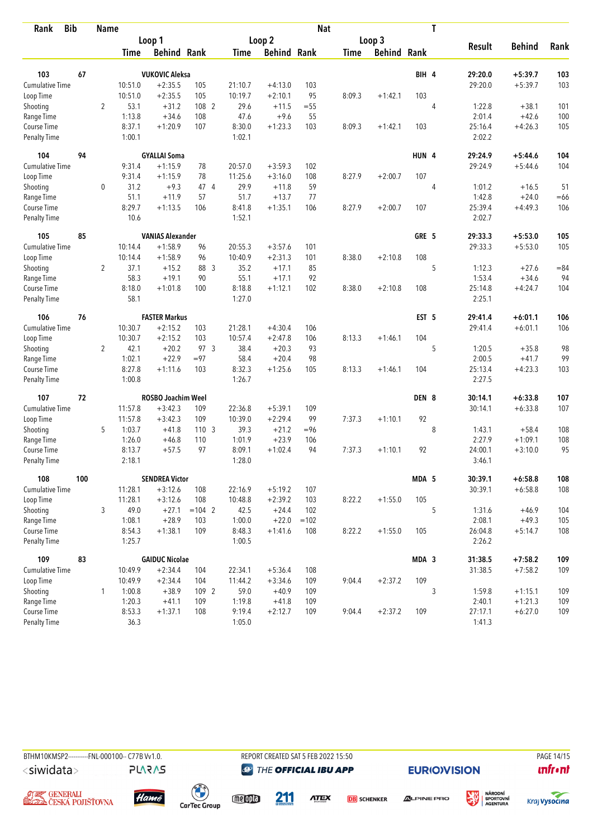| Rank                        | <b>Bib</b> | Name           |                  |                         |                  |                  |                    | <b>Nat</b> |             |                    |                  | T      |                   |           |        |
|-----------------------------|------------|----------------|------------------|-------------------------|------------------|------------------|--------------------|------------|-------------|--------------------|------------------|--------|-------------------|-----------|--------|
|                             |            | Loop 1         |                  |                         |                  | Loop 2           |                    |            | Loop 3      |                    |                  | Result | <b>Behind</b>     |           |        |
|                             |            |                | <b>Time</b>      | <b>Behind Rank</b>      |                  | Time             | <b>Behind Rank</b> |            | <b>Time</b> | <b>Behind Rank</b> |                  |        |                   |           | Rank   |
| 103                         | 67         |                |                  | <b>VUKOVIC Aleksa</b>   |                  |                  |                    |            |             |                    | BIH 4            |        | 29:20.0           | $+5:39.7$ | 103    |
| <b>Cumulative Time</b>      |            |                | 10:51.0          | $+2:35.5$               | 105              | 21:10.7          | $+4:13.0$          | 103        |             |                    |                  |        | 29:20.0           | $+5:39.7$ | 103    |
| Loop Time                   |            |                | 10:51.0          | $+2:35.5$               | 105              | 10:19.7          | $+2:10.1$          | 95         | 8:09.3      | $+1:42.1$          | 103              |        |                   |           |        |
| Shooting                    |            | $\overline{2}$ | 53.1             | $+31.2$                 | 108 2            | 29.6             | $+11.5$            | $=55$      |             |                    |                  | 4      | 1:22.8            | $+38.1$   | 101    |
| Range Time                  |            |                | 1:13.8           | $+34.6$                 | 108              | 47.6             | $+9.6$             | 55         |             |                    |                  |        | 2:01.4            | $+42.6$   | 100    |
| Course Time                 |            |                | 8:37.1           | $+1:20.9$               | 107              | 8:30.0           | $+1:23.3$          | 103        | 8:09.3      | $+1:42.1$          | 103              |        | 25:16.4           | $+4:26.3$ | 105    |
| Penalty Time                |            |                | 1:00.1           |                         |                  | 1:02.1           |                    |            |             |                    |                  |        | 2:02.2            |           |        |
| 104                         | 94         |                |                  | <b>GYALLAI Soma</b>     |                  |                  |                    |            |             |                    | HUN 4            |        | 29:24.9           | $+5:44.6$ | 104    |
| Cumulative Time             |            |                | 9:31.4           | $+1:15.9$               | 78               | 20:57.0          | $+3:59.3$          | 102        |             |                    |                  |        | 29:24.9           | $+5:44.6$ | 104    |
| Loop Time                   |            |                | 9:31.4           | $+1:15.9$               | 78               | 11:25.6          | $+3:16.0$          | 108        | 8:27.9      | $+2:00.7$          | 107              |        |                   |           |        |
| Shooting                    |            | $\mathbf 0$    | 31.2             | $+9.3$                  | 47 4             | 29.9             | $+11.8$            | 59         |             |                    |                  | 4      | 1:01.2            | $+16.5$   | 51     |
| Range Time                  |            |                | 51.1             | $+11.9$                 | 57               | 51.7             | $+13.7$            | 77         |             |                    |                  |        | 1:42.8            | $+24.0$   | $=66$  |
| Course Time                 |            |                | 8:29.7           | $+1:13.5$               | 106              | 8:41.8           | $+1:35.1$          | 106        | 8:27.9      | $+2:00.7$          | 107              |        | 25:39.4           | $+4:49.3$ | 106    |
| <b>Penalty Time</b>         |            |                | 10.6             |                         |                  | 1:52.1           |                    |            |             |                    |                  |        | 2:02.7            |           |        |
| 105                         | 85         |                |                  | <b>VANIAS Alexander</b> |                  |                  |                    |            |             |                    | GRE 5            |        | 29:33.3           | $+5:53.0$ | 105    |
| <b>Cumulative Time</b>      |            |                | 10:14.4          | $+1:58.9$               | 96               | 20:55.3          | $+3:57.6$          | 101        |             |                    |                  |        | 29:33.3           | $+5:53.0$ | 105    |
| Loop Time                   |            |                | 10:14.4          | $+1:58.9$               | 96               | 10:40.9          | $+2:31.3$          | 101        | 8:38.0      | $+2:10.8$          | 108              |        |                   |           |        |
| Shooting                    |            | $\overline{2}$ | 37.1             | $+15.2$                 | 88 3             | 35.2             | $+17.1$            | 85         |             |                    |                  | 5      | 1:12.3            | $+27.6$   | $= 84$ |
| Range Time                  |            |                | 58.3             | $+19.1$                 | 90               | 55.1             | $+17.1$            | 92         |             |                    |                  |        | 1:53.4            | $+34.6$   | 94     |
| Course Time                 |            |                | 8:18.0           | $+1:01.8$               | 100              | 8:18.8           | $+1:12.1$          | 102        | 8:38.0      | $+2:10.8$          | 108              |        | 25:14.8           | $+4:24.7$ | 104    |
| Penalty Time                |            |                | 58.1             |                         |                  | 1:27.0           |                    |            |             |                    |                  |        | 2:25.1            |           |        |
| 106                         | 76         |                |                  | <b>FASTER Markus</b>    |                  |                  |                    |            |             |                    | EST <sub>5</sub> |        | 29:41.4           | $+6:01.1$ | 106    |
| Cumulative Time             |            |                | 10:30.7          | $+2:15.2$               | 103              | 21:28.1          | $+4:30.4$          | 106        |             |                    |                  |        | 29:41.4           | $+6:01.1$ | 106    |
| Loop Time                   |            |                | 10:30.7          | $+2:15.2$               | 103              | 10:57.4          | $+2:47.8$          | 106        | 8:13.3      | $+1:46.1$          | 104              |        |                   |           |        |
| Shooting                    |            | $\overline{2}$ | 42.1             | $+20.2$                 | 97 3             | 38.4             | $+20.3$            | 93         |             |                    |                  | 5      | 1:20.5            | $+35.8$   | 98     |
| Range Time                  |            |                | 1:02.1           | $+22.9$                 | $= 97$           | 58.4             | $+20.4$            | 98         |             |                    |                  |        | 2:00.5            | $+41.7$   | 99     |
| Course Time                 |            |                | 8:27.8           | $+1:11.6$               | 103              | 8:32.3           | $+1:25.6$          | 105        | 8:13.3      | $+1:46.1$          | 104              |        | 25:13.4           | $+4:23.3$ | 103    |
| <b>Penalty Time</b>         |            |                | 1:00.8           |                         |                  | 1:26.7           |                    |            |             |                    |                  |        | 2:27.5            |           |        |
| 107                         | 72         |                |                  | ROSBO Joachim Weel      |                  |                  |                    |            |             |                    | DEN 8            |        | 30:14.1           | $+6:33.8$ | 107    |
| Cumulative Time             |            |                | 11:57.8          | $+3:42.3$               | 109              | 22:36.8          | $+5:39.1$          | 109        |             |                    |                  |        | 30:14.1           | $+6:33.8$ | 107    |
| Loop Time                   |            |                | 11:57.8          | $+3:42.3$               | 109              | 10:39.0          | $+2:29.4$          | 99         | 7:37.3      | $+1:10.1$          | 92               |        |                   |           |        |
| Shooting                    |            | 5              | 1:03.7           | $+41.8$                 | 110 <sub>3</sub> | 39.3             | $+21.2$            | $= 96$     |             |                    |                  | 8      | 1:43.1            | $+58.4$   | 108    |
| Range Time                  |            |                | 1:26.0           | $+46.8$                 | 110              | 1:01.9           | $+23.9$            | 106        |             |                    |                  |        | 2:27.9            | $+1:09.1$ | 108    |
| Course Time                 |            |                | 8:13.7           | $+57.5$                 | 97               | 8:09.1           | $+1:02.4$          | 94         | 7:37.3      | $+1:10.1$          | 92               |        | 24:00.1           | $+3:10.0$ | 95     |
| Penalty Time                |            |                | 2:18.1           |                         |                  | 1:28.0           |                    |            |             |                    |                  |        | 3:46.1            |           |        |
| 108                         | 100        |                |                  | <b>SENDREA Victor</b>   |                  |                  |                    |            |             |                    | MDA 5            |        | 30:39.1           | $+6:58.8$ | 108    |
| <b>Cumulative Time</b>      |            |                | 11:28.1          | $+3:12.6$               | 108              | 22:16.9          | $+5:19.2$          | 107        |             |                    |                  |        | 30:39.1           | $+6:58.8$ | 108    |
| Loop Time                   |            |                | 11:28.1          | $+3:12.6$               | 108              | 10:48.8          | $+2:39.2$          | 103        | 8:22.2      | $+1:55.0$          | 105              |        |                   |           |        |
| Shooting                    |            | 3              | 49.0             | $+27.1$                 | $= 104$ 2        | 42.5             | $+24.4$            | 102        |             |                    |                  | 5      | 1:31.6            | $+46.9$   | 104    |
| Range Time                  |            |                | 1:08.1           | $+28.9$                 | 103              | 1:00.0           | $+22.0$            | $=102$     |             |                    |                  |        | 2:08.1            | $+49.3$   | 105    |
| Course Time<br>Penalty Time |            |                | 8:54.3<br>1:25.7 | $+1:38.1$               | 109              | 8:48.3<br>1:00.5 | $+1:41.6$          | 108        | 8:22.2      | $+1:55.0$          | 105              |        | 26:04.8<br>2:26.2 | $+5:14.7$ | 108    |
|                             |            |                |                  |                         |                  |                  |                    |            |             |                    |                  |        |                   |           |        |
| 109                         | 83         |                |                  | <b>GAIDUC Nicolae</b>   |                  |                  |                    |            |             |                    | MDA 3            |        | 31:38.5           | $+7:58.2$ | 109    |
| <b>Cumulative Time</b>      |            |                | 10:49.9          | $+2:34.4$               | 104              | 22:34.1          | $+5:36.4$          | 108        |             |                    |                  |        | 31:38.5           | $+7:58.2$ | 109    |
| Loop Time                   |            |                | 10:49.9          | $+2:34.4$               | 104              | 11:44.2          | $+3:34.6$          | 109        | 9:04.4      | $+2:37.2$          | 109              |        |                   |           |        |
| Shooting                    |            | 1              | 1:00.8           | $+38.9$                 | 109 2            | 59.0             | $+40.9$            | 109        |             |                    |                  | 3      | 1:59.8            | $+1:15.1$ | 109    |
| Range Time<br>Course Time   |            |                | 1:20.3           | $+41.1$                 | 109              | 1:19.8           | $+41.8$            | 109        |             |                    |                  |        | 2:40.1            | $+1:21.3$ | 109    |
|                             |            |                | 8:53.3<br>36.3   | $+1:37.1$               | 108              | 9:19.4           | $+2:12.7$          | 109        | 9:04.4      | $+2:37.2$          | 109              |        | 27:17.1           | $+6:27.0$ | 109    |
| Penalty Time                |            |                |                  |                         |                  | 1:05.0           |                    |            |             |                    |                  |        | 1:41.3            |           |        |



**PLARAS** 

**@** THE OFFICIAL IBU APP

**ATEX** 

**EURIO)VISION** 



溪











211

**DB** SCHENKER